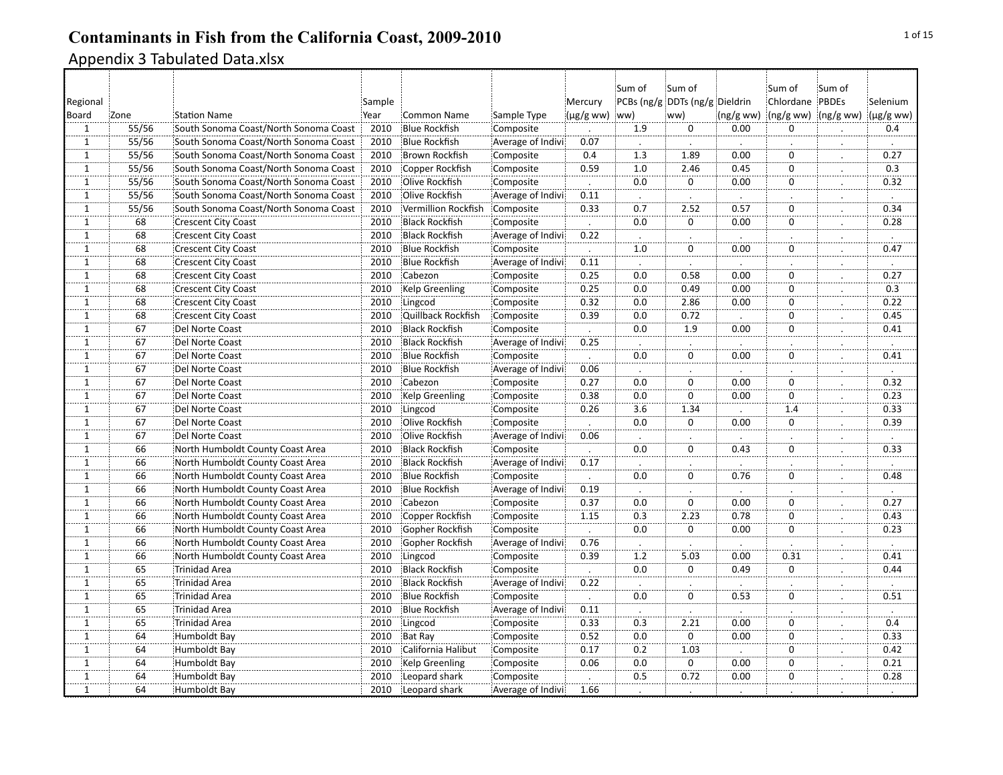|                          |       |                                       |        |                       |                   |                    | Sum of           | Sum of                         |                      | :Sum of             | Sum of       |                   |
|--------------------------|-------|---------------------------------------|--------|-----------------------|-------------------|--------------------|------------------|--------------------------------|----------------------|---------------------|--------------|-------------------|
| Regional                 |       |                                       | Sample |                       |                   | Mercury            |                  | PCBs (ng/g DDTs (ng/g Dieldrin |                      | Chlordane PBDEs     |              | Selenium          |
| Board                    | Zone  | <b>Station Name</b>                   | Year   | <b>Common Name</b>    | Sample Type       | $(\mu g/g$ ww) ww) |                  | ww)                            | (ng/gww)             | (ng/g ww) (ng/g ww) |              | $(\mu g/g$ ww)    |
| $\mathbf{1}$             | 55/56 | South Sonoma Coast/North Sonoma Coast | 2010   | <b>Blue Rockfish</b>  | Composite         |                    | 1.9              | $\mathbf 0$                    | 0.00                 | $\Omega$            |              | 0.4               |
| $\overline{1}$           | 55/56 | South Sonoma Coast/North Sonoma Coast | 2010   | <b>Blue Rockfish</b>  | Average of Indivi | 0.07               | $\cdot$          |                                |                      |                     |              | $\blacksquare$    |
| $\mathbf{1}$             | 55/56 | South Sonoma Coast/North Sonoma Coast | 2010   | <b>Brown Rockfish</b> | Composite         | 0.4                | 1.3              | 1.89                           | 0.00                 | $\Omega$            |              | 0.27              |
| $\mathbf{1}$             | 55/56 | South Sonoma Coast/North Sonoma Coast | 2010   | Copper Rockfish       | Composite         | 0.59               | 1.0              | 2.46                           | 0.45                 | $\mathbf 0$         |              | 0.3               |
| $\mathbf{1}$             | 55/56 | South Sonoma Coast/North Sonoma Coast | 2010   | Olive Rockfish        | Composite         |                    | 0.0              | 0                              | 0.00                 | $\mathbf 0$         |              | 0.32              |
| $\overline{1}$           | 55/56 | South Sonoma Coast/North Sonoma Coast | 2010   | Olive Rockfish        | Average of Indivi | 0.11               |                  |                                |                      |                     |              |                   |
| $\mathbf{\bar{1}}$       | 55/56 | South Sonoma Coast/North Sonoma Coast | 2010   | Vermillion Rockfish   | Composite         | 0.33               | 0.7              | 2.52                           | 0.57                 | $\overline{0}$      | $\mathbf{L}$ | 0.34              |
| $\overline{1}$           | 68    | <b>Crescent City Coast</b>            | 2010   | <b>Black Rockfish</b> | Composite         |                    | $\overline{0.0}$ | $\overline{0}$                 | 0.00                 | $\overline{0}$      |              | 0.28              |
| $\mathbf{1}$             | 68    | <b>Crescent City Coast</b>            | 2010   | <b>Black Rockfish</b> | Average of Indivi | 0.22               |                  |                                |                      |                     |              |                   |
| $\mathbf{1}$             | 68    | <b>Crescent City Coast</b>            | 2010   | <b>Blue Rockfish</b>  | Composite         |                    | 1.0              | 0                              | 0.00                 | $\mathbf 0$         |              | 0.47              |
| $\overline{1}$           | 68    | <b>Crescent City Coast</b>            | 2010   | <b>Blue Rockfish</b>  | Average of Indivi | 0.11               |                  |                                |                      |                     |              |                   |
| $\mathbf{1}$             | 68    | <b>Crescent City Coast</b>            | 2010   | Cabezon               | Composite         | 0.25               | 0.0              | 0.58                           | 0.00                 | $\Omega$            | $\vdots$     | 0.27              |
| $\overline{1}$           | 68    | <b>Crescent City Coast</b>            | 2010   | Kelp Greenling        | Composite         | 0.25               | $\overline{0.0}$ | 0.49                           | 0.00                 | ö                   |              | $\overline{0.3}$  |
| $\mathbf{1}$             | 68    | <b>Crescent City Coast</b>            | 2010   | Lingcod               | Composite         | 0.32               | 0.0              | 2.86                           | 0.00                 | $\Omega$            |              | 0.22              |
| $\mathbf{1}$             | 68    | <b>Crescent City Coast</b>            | 2010   | Quillback Rockfish    | Composite         | 0.39               | 0.0              | 0.72                           |                      | $\mathbf 0$         |              | 0.45              |
| $\overline{1}$           | 67    | Del Norte Coast                       | 2010   | <b>Black Rockfish</b> | Composite         |                    | 0.0              | 1.9                            | 0.00                 | ö                   |              | 0.41              |
| $\mathbf 1$              | 67    | Del Norte Coast                       | 2010   | <b>Black Rockfish</b> | Average of Indivi | 0.25               | $\cdot$          |                                | $\ddot{\phantom{a}}$ |                     |              | $\cdot$           |
| $\overline{1}$           | 67    | Del Norte Coast                       | 2010   | <b>Blue Rockfish</b>  | Composite         |                    | $\overline{0.0}$ | $\overline{0}$                 | 0.00                 | ö                   |              | 0.41              |
| $\mathbf{1}$             | 67    | Del Norte Coast                       | 2010   | <b>Blue Rockfish</b>  | Average of Indivi | 0.06               |                  |                                |                      |                     |              |                   |
| $\mathbf{1}$             | 67    | Del Norte Coast                       | 2010   | Cabezon               | Composite         | 0.27               | 0.0              | 0                              | 0.00                 | $\mathbf 0$         |              | 0.32              |
| $\mathbf{1}$             | 67    | Del Norte Coast                       | 2010   | Kelp Greenling        | Composite         | 0.38               | 0.0              | $\mathbf 0$                    | 0.00                 | $\overline{0}$      |              | 0.23              |
| $\mathbf{1}$             | 67    | Del Norte Coast                       | 2010   | Lingcod               | Composite         | 0.26               | 3.6              | 1.34                           | $\ddot{\phantom{a}}$ | 1.4                 | $\cdot$      | 0.33              |
| $\overline{1}$           | 67    | Del Norte Coast                       | 2010   | Olive Rockfish        | Composite         |                    | 0.0              | 0                              | 0.00                 | $\overline{0}$      |              | 0.39              |
| $\mathbf 1$              | 67    | Del Norte Coast                       | 2010   | Olive Rockfish        | Average of Indivi | 0.06               |                  |                                |                      |                     |              |                   |
| $\mathbf{1}$             | 66    | North Humboldt County Coast Area      | 2010   | <b>Black Rockfish</b> | Composite         |                    | 0.0              | $\mathbf 0$                    | 0.43                 | $\mathbf 0$         |              | 0.33              |
| $\mathbf{1}$             | 66    | North Humboldt County Coast Area      | 2010   | <b>Black Rockfish</b> | Average of Indivi | 0.17               |                  |                                |                      |                     |              |                   |
| $\mathbf{1}$             | 66    | North Humboldt County Coast Area      | 2010   | <b>Blue Rockfish</b>  | Composite         | $\cdot$            | 0.0              | $\mathbf 0$                    | 0.76                 | $\mathbf 0$         | $\cdot$      | 0.48              |
| $\mathbf{1}$             | 66    | North Humboldt County Coast Area      | 2010   | <b>Blue Rockfish</b>  | Average of Indivi | 0.19               | $\cdot$          |                                |                      |                     |              | $\cdot$           |
| 1                        | 66    | North Humboldt County Coast Area      | 2010   | Cabezon               | Composite         | 0.37               | 0.0              | $\overline{0}$                 | $\overline{0.00}$    | 0                   |              | $\overline{0.27}$ |
| $\mathbf{1}$             | 66    | North Humboldt County Coast Area      | 2010   | Copper Rockfish       | Composite         | 1.15               | 0.3              | 2.23                           | 0.78                 | $\mathbf 0$         |              | 0.43              |
| $\overline{1}$           | 66    | North Humboldt County Coast Area      | 2010   | Gopher Rockfish       | Composite         |                    | 0.0              | $\overline{0}$                 | 0.00                 | $\overline{0}$      |              | 0.23              |
| $\overline{1}$           | 66    | North Humboldt County Coast Area      | 2010   | Gopher Rockfish       | Average of Indivi | 0.76               | $\cdot$          |                                | $\cdot$              |                     |              | $\cdot$           |
| $\overline{1}$           | $-66$ | North Humboldt County Coast Area      | 2010   | Lingcod               | Composite         | 0.39               | $\overline{1.2}$ | 5.03                           | 0.00                 | 0.31                |              | 0.41              |
| $\overline{1}$           | 65    | <b>Trinidad Area</b>                  | 2010   | <b>Black Rockfish</b> | Composite         |                    | $\overline{0.0}$ | $\mathbf 0$                    | 0.49                 | $\mathbf 0$         |              | 0.44              |
| $\mathbf{1}$             | 65    | <b>Trinidad Area</b>                  | 2010   | <b>Black Rockfish</b> | Average of Indivi | 0.22               |                  |                                |                      |                     |              |                   |
| ï                        | 65    | <b>Trinidad Area</b>                  | 2010   | <b>Blue Rockfish</b>  | Composite         |                    | 0.0              | $\Omega$                       | 0.53                 | 0                   |              | 0.51              |
| $\mathbf{1}$             | 65    | <b>Trinidad Area</b>                  | 2010   | <b>Blue Rockfish</b>  | Average of Indivi | 0.11               | $\cdot$          |                                |                      |                     |              | $\cdot$           |
| $\overline{1}$           | $-65$ | <b>Trinidad Area</b>                  | 2010   | Lingcod               | Composite         | 0.33               | $\overline{0.3}$ | 2.21                           | 0.00                 | ö                   |              | $\overline{0.4}$  |
| $\widetilde{\mathbf{1}}$ | 64    | Humboldt Bay                          | 2010   | <b>Bat Ray</b>        | Composite         | 0.52               | 0.0              | $\mathbf 0$                    | 0.00                 | $\Omega$            |              | 0.33              |
| $\mathbf{1}$             | 64    | Humboldt Bay                          | 2010   | California Halibut    | Composite         | 0.17               | 0.2              | 1.03                           |                      | $\mathbf 0$         |              | 0.42              |
| $\overline{1}$           | 64    | <b>Humboldt Bay</b>                   | 2010   | Kelp Greenling        | Composite         | 0.06               | 0.0              | 0                              | 0.00                 | $\mathbf 0$         |              | 0.21              |
| $\mathbf{1}$             | 64    | Humboldt Bay                          | 2010   | Leopard shark         | Composite         |                    | 0.5              | 0.72                           | 0.00                 | $\mathbf 0$         |              | 0.28              |
| $\overline{1}$           | 64    | <b>Humboldt Bay</b>                   | 2010   | Leopard shark         | Average of Indivi | 1.66               |                  |                                |                      |                     |              |                   |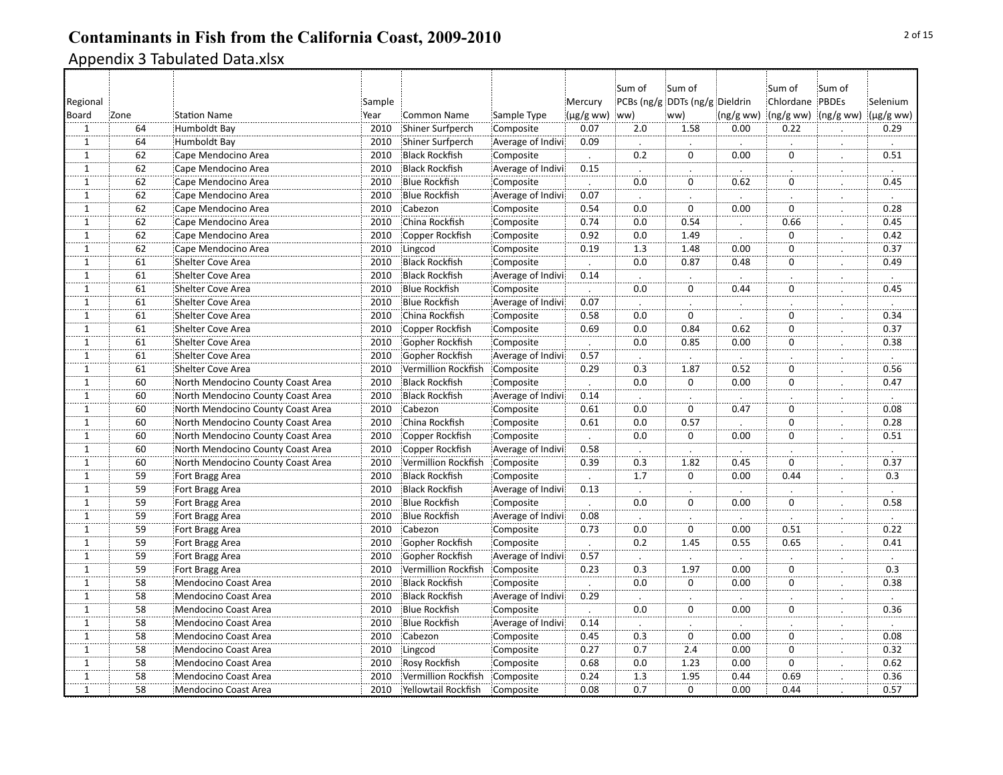|                |                 |                                   |        |                       |                   |                          | Sum of           | Sum of                         |          | :Sum of         | Sum of              |                  |
|----------------|-----------------|-----------------------------------|--------|-----------------------|-------------------|--------------------------|------------------|--------------------------------|----------|-----------------|---------------------|------------------|
| Regional       |                 |                                   | Sample |                       |                   | Mercury                  |                  | PCBs (ng/g DDTs (ng/g Dieldrin |          | Chlordane PBDEs |                     | Selenium         |
| Board          | Zone            | <b>Station Name</b>               | Year   | <b>Common Name</b>    | Sample Type       | $(\mu g/g$ ww)           | ww)              | ww)                            | (ng/gww) |                 | (ng/g ww) (ng/g ww) | (µg/g ww)        |
| $\mathbf{1}$   | 64              | Humboldt Bay                      | 2010   | Shiner Surfperch      | Composite         | 0.07                     | 2.0              | 1.58                           | 0.00     | 0.22            |                     | 0.29             |
| $\overline{1}$ | 64              | Humboldt Bay                      | 2010   | Shiner Surfperch      | Average of Indivi | 0.09                     | $\cdot$          |                                |          |                 | $\bullet$           | $\cdot$          |
| $\mathbf{1}$   | 62              | Cape Mendocino Area               | 2010   | <b>Black Rockfish</b> | Composite         |                          | 0.2              | $\Omega$                       | 0.00     | $\Omega$        |                     | 0.51             |
| 1              | 62              | Cape Mendocino Area               | 2010   | <b>Black Rockfish</b> | Average of Indivi | 0.15                     | $\cdot$          |                                | $\cdot$  |                 |                     | $\cdot$          |
| $1\,$          | 62              | Cape Mendocino Area               | 2010   | <b>Blue Rockfish</b>  | Composite         |                          | 0.0              | $\mathbf 0$                    | 0.62     | $\mathbf 0$     |                     | 0.45             |
| $\overline{1}$ | 62              | Cape Mendocino Area               | 2010   | <b>Blue Rockfish</b>  | Average of Indivi | 0.07                     |                  |                                |          |                 |                     |                  |
| Ï.             | 62              | Cape Mendocino Area               | 2010   | Cabezon               | Composite         | 0.54                     | 0.0              | $\overline{0}$                 | 0.00     | $\mathbf 0$     | $\bullet$           | 0.28             |
| $\overline{1}$ | 62              | Cape Mendocino Area               | 2010   | China Rockfish        | Composite         | 0.74                     | 0.0              | 0.54                           |          | 0.66            |                     | 0.45             |
| 1              | 62              | Cape Mendocino Area               | 2010   | Copper Rockfish       | Composite         | 0.92                     | $\overline{0.0}$ | 1.49                           |          | $\mathbf 0$     |                     | 0.42             |
| $\mathbf 1$    | 62              | Cape Mendocino Area               | 2010   | Lingcod               | Composite         | 0.19                     | 1.3              | 1.48                           | 0.00     | 0               |                     | 0.37             |
| $\overline{1}$ | 61              | Shelter Cove Area                 | 2010   | <b>Black Rockfish</b> | Composite         |                          | 0.0              | 0.87                           | 0.48     | 0               |                     | 0.49             |
| $\mathbf{1}$   | 61              | <b>Shelter Cove Area</b>          | 2010   | <b>Black Rockfish</b> | Average of Indivi | 0.14                     | $\cdot$          |                                |          |                 |                     | $\cdot$          |
| $\dddot{1}$    | 61              | Shelter Cove Area                 | 2010   | <b>Blue Rockfish</b>  | Composite         | $\overline{\phantom{a}}$ | $\overline{0.0}$ | ö                              | 0.44     | $\mathbf 0$     | $\cdot$             | 0.45             |
| $\mathbf 1$    | 61              | Shelter Cove Area                 | 2010   | <b>Blue Rockfish</b>  | Average of Indivi | 0.07                     |                  |                                |          |                 |                     |                  |
| $1\,$          | 61              | Shelter Cove Area                 | 2010   | China Rockfish        | Composite         | 0.58                     | 0.0              | 0                              |          | 0               |                     | 0.34             |
| $\overline{1}$ | 61              | Shelter Cove Area                 | 2010   | Copper Rockfish       | Composite         | 0.69                     | 0.0              | 0.84                           | 0.62     | $\mathbf 0$     |                     | 0.37             |
| $\mathbf{1}$   | 61              | <b>Shelter Cove Area</b>          | 2010   | Gopher Rockfish       | Composite         | $\ddot{\phantom{0}}$     | 0.0              | 0.85                           | 0.00     | 0               | $\cdot$             | 0.38             |
| $\overline{1}$ | 61              | Shelter Cove Area                 | 2010   | Gopher Rockfish       | Average of Indivi | 0.57                     |                  |                                |          |                 | $\blacksquare$      |                  |
| $\mathbf 1$    | 61              | Shelter Cove Area                 | 2010   | Vermillion Rockfish   | Composite         | 0.29                     | 0.3              | 1.87                           | 0.52     | $\mathbf 0$     |                     | 0.56             |
| $\mathbf{1}$   | 60              | North Mendocino County Coast Area | 2010   | <b>Black Rockfish</b> | Composite         |                          | 0.0              | $\mathbf 0$                    | 0.00     | 0               |                     | 0.47             |
| $\mathbf{1}$   | 60              | North Mendocino County Coast Area | 2010   | <b>Black Rockfish</b> | Average of Indivi | 0.14                     |                  |                                |          |                 | ∴.                  |                  |
| $\mathbf{1}$   | 60              | North Mendocino County Coast Area | 2010   | Cabezon               | Composite         | 0.61                     | 0.0              | 0                              | 0.47     | $\mathbf 0$     | $\bullet$           | 0.08             |
| $\overline{1}$ | 60              | North Mendocino County Coast Area | 2010   | China Rockfish        | Composite         | 0.61                     | 0.0              | 0.57                           |          | $\Omega$        |                     | 0.28             |
| $\overline{1}$ | 60              | North Mendocino County Coast Area | 2010   | Copper Rockfish       | Composite         |                          | 0.0              | $\overline{0}$                 | 0.00     | $\mathbf 0$     | $\cdot$             | 0.51             |
| $1\,$          | 60              | North Mendocino County Coast Area | 2010   | Copper Rockfish       | Average of Indivi | 0.58                     | $\cdot$          |                                |          |                 | $\cdot$             |                  |
| $\mathbf{1}$   | 60              | North Mendocino County Coast Area | 2010   | Vermillion Rockfish   | Composite         | 0.39                     | 0.3              | 1.82                           | 0.45     | $\Omega$        |                     | 0.37             |
| $\mathbf{1}$   | 59              | Fort Bragg Area                   | 2010   | <b>Black Rockfish</b> | Composite         | $\cdot$                  | 1.7              | $\mathbf 0$                    | 0.00     | 0.44            | $\cdot$             | 0.3              |
| $\mathbf{1}$   | 59              | Fort Bragg Area                   | 2010   | <b>Black Rockfish</b> | Average of Indivi | 0.13                     |                  |                                |          |                 |                     |                  |
| $\overline{1}$ | $\overline{59}$ | Fort Bragg Area                   | 2010   | <b>Blue Rockfish</b>  | Composite         |                          | $\overline{0.0}$ | $\ddot{\overline{0}}$          | 0.00     | 0               |                     | 0.58             |
| $1\,$          | 59              | Fort Bragg Area                   | 2010   | <b>Blue Rockfish</b>  | Average of Indivi | 0.08                     |                  |                                |          |                 |                     |                  |
| ï              | 59              | Fort Bragg Area                   | 2010   | Cabezon               | Composite         | 0.73                     | 0.0              | $\dddot{\mathbf{0}}$           | 0.00     | 0.51            |                     | 0.22             |
| $\overline{1}$ | 59              | Fort Bragg Area                   | 2010   | Gopher Rockfish       | Composite         |                          | 0.2              | 1.45                           | 0.55     | 0.65            | ż.                  | 0.41             |
| $\overline{1}$ | 59              | Fort Bragg Area                   | 2010   | Gopher Rockfish       | Average of Indivi | 0.57                     |                  |                                |          |                 |                     |                  |
| $\overline{1}$ | $\overline{59}$ | Fort Bragg Area                   | 2010   | Vermillion Rockfish   | Composite         | 0.23                     | $\overline{0.3}$ | 1.97                           | 0.00     | $\mathbf 0$     |                     | $\overline{0.3}$ |
| $\mathbf{1}$   | 58              | Mendocino Coast Area              | 2010   | <b>Black Rockfish</b> | Composite         |                          | 0.0              | 0                              | 0.00     | 0               |                     | 0.38             |
| $\mathbf{1}$   | 58              | <b>Mendocino Coast Area</b>       | 2010   | <b>Black Rockfish</b> | Average of Indivi | 0.29                     |                  |                                |          |                 |                     |                  |
| $1\,$          | 58              | Mendocino Coast Area              | 2010   | <b>Blue Rockfish</b>  | Composite         |                          | 0.0              | 0                              | 0.00     | $\mathbf 0$     | .                   | 0.36             |
| $\overline{1}$ | 58              | Mendocino Coast Area              | 2010   | <b>Blue Rockfish</b>  | Average of Indivi | 0.14                     |                  |                                |          |                 |                     |                  |
| $\overline{1}$ | 58              | Mendocino Coast Area              | 2010   | Cabezon               | Composite         | 0.45                     | $\overline{0.3}$ | $\overline{0}$                 | 0.00     | $\mathbf 0$     |                     | 0.08             |
| $\mathbf{1}$   | 58              | Mendocino Coast Area              | 2010   | Lingcod               | Composite         | 0.27                     | 0.7              | 2.4                            | 0.00     | 0               |                     | 0.32             |
| $1\,$          | 58              | Mendocino Coast Area              | 2010   | Rosy Rockfish         | Composite         | 0.68                     | 0.0              | 1.23                           | 0.00     | $\Omega$        |                     | 0.62             |
| $\mathbf{1}$   | 58              | Mendocino Coast Area              | 2010   | Vermillion Rockfish   | Composite         | 0.24                     | 1.3              | 1.95                           | 0.44     | 0.69            |                     | 0.36             |
| $\overline{1}$ | 58              | <b>Mendocino Coast Area</b>       | 2010   | Yellowtail Rockfish   | Composite         | 0.08                     | 0.7              | $\overline{0}$                 | 0.00     | 0.44            |                     | 0.57             |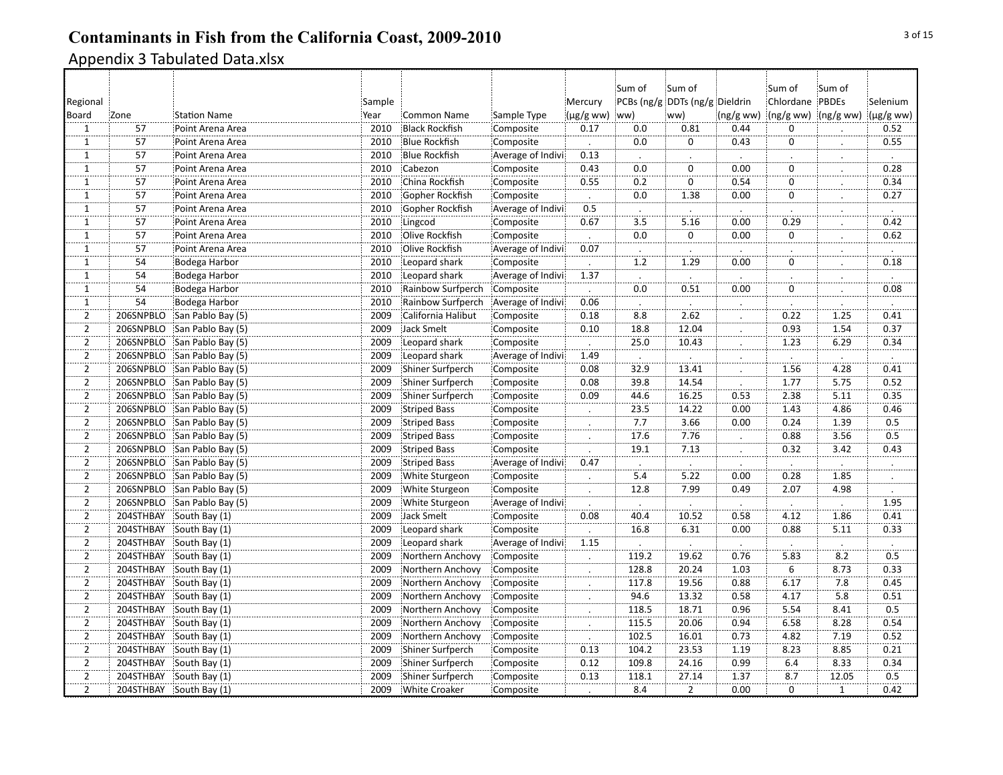|                   |                 |                     |        |                       |                   |                             | Sum of           | Sum of                         |                      | :Sum of             | :Sum of              |                      |
|-------------------|-----------------|---------------------|--------|-----------------------|-------------------|-----------------------------|------------------|--------------------------------|----------------------|---------------------|----------------------|----------------------|
| Regional          |                 |                     | Sample |                       |                   | Mercury                     |                  | PCBs (ng/g DDTs (ng/g Dieldrin |                      | Chlordane PBDEs     |                      | Selenium             |
| Board             | Zone            | <b>Station Name</b> | Year   | <b>Common Name</b>    | Sample Type       | $(\mu g/g$ ww)              | ww)              | ww)                            | (ng/gww)             | (ng/g ww) (ng/g ww) |                      | (µg/g ww)            |
| 1                 | 57              | Point Arena Area    | 2010   | <b>Black Rockfish</b> | Composite         | 0.17                        | 0.0              | 0.81                           | 0.44                 | $\mathbf 0$         |                      | 0.52                 |
| $\overline{1}$    | 57              | Point Arena Area    | 2010   | <b>Blue Rockfish</b>  | Composite         | $\cdot$                     | 0.0              | $\pmb{0}$                      | 0.43                 | $\mathbf 0$         |                      | 0.55                 |
| $\mathbf{1}$      | 57              | Point Arena Area    | 2010   | <b>Blue Rockfish</b>  | Average of Indivi | 0.13                        |                  |                                |                      |                     | $\cdot$              |                      |
| $\mathbf{1}$      | 57              | Point Arena Area    | 2010   | Cabezon               | Composite         | 0.43                        | 0.0              | 0                              | 0.00                 | 0                   | $\ddot{\phantom{a}}$ | 0.28                 |
| $\mathbf{1}$      | 57              | Point Arena Area    | 2010   | China Rockfish        | Composite         | 0.55                        | 0.2              | $\mathbf 0$                    | 0.54                 | $\mathbf 0$         |                      | 0.34                 |
| ï                 | 57              | Point Arena Area    | 2010   | Gopher Rockfish       | Composite         |                             | 0.0              | 1.38                           | 0.00                 | $\Omega$            | .                    | 0.27                 |
| $\overline{1}$    | $\overline{57}$ | Point Arena Area    | 2010   | Gopher Rockfish       | Average of Indivi | 0.5                         |                  | $\cdot$                        |                      |                     |                      |                      |
| .<br>$\mathbf{1}$ | $\overline{57}$ | Point Arena Area    | 2010   | Lingcod               | Composite         | 0.67                        | Ļ.<br>3.5        | 5.16                           | ż,<br>0.00           | 0.29                |                      | j.<br>0.42           |
| $\mathbf{1}$      | 57              | Point Arena Area    | 2010   | Olive Rockfish        | Composite         |                             | 0.0              | $\mathbf{0}$                   | 0.00                 | $\mathbf 0$         |                      | 0.62                 |
| $\overline{1}$    | 57              | Point Arena Area    | 2010   | Olive Rockfish        | Average of Indivi | 0.07                        | $\cdot$          |                                |                      |                     | $\bullet$            |                      |
| $\overline{1}$    | 54              | Bodega Harbor       | 2010   | Leopard shark         | Composite         |                             | 1.2              | 1.29                           | 0.00                 | $\mathbf 0$         |                      | $\cdot$<br>0.18      |
| $\mathbf 1$       | 54              | Bodega Harbor       | 2010   | Leopard shark         | Average of Indivi | 1.37                        | $\cdot$          |                                | $\blacksquare$       |                     |                      | $\cdot$              |
| $\overline{1}$    | $\overline{54}$ | Bodega Harbor       | 2010   | Rainbow Surfperch     | Composite         | $\blacksquare$              | $\overline{0.0}$ | 0.51                           | 0.00                 | $\overline{0}$      |                      | 0.08                 |
| $\mathbf{1}$      | 54              | Bodega Harbor       | 2010   | Rainbow Surfperch     | Average of Indivi | 0.06                        |                  |                                |                      |                     |                      |                      |
| $\overline{2}$    | 206SNPBLO       | San Pablo Bay (5)   | 2009   | California Halibut    | Composite         | 0.18                        | 8.8              | 2.62                           |                      | 0.22                | 1.25                 | 0.41                 |
| $\overline{2}$    | 206SNPBLO       | San Pablo Bay (5)   | 2009   | <b>Jack Smelt</b>     | Composite         | 0.10                        | 18.8             | 12.04                          |                      | 0.93                | 1.54                 | 0.37                 |
| $\overline{2}$    | 206SNPBLO       | San Pablo Bay (5)   | 2009   | Leopard shark         | Composite         | $\mathcal{L}$               | 25.0             | 10.43                          | $\ddot{\phantom{a}}$ | 1.23                | 6.29                 | 0.34                 |
| $\overline{2}$    | 206SNPBLO       | San Pablo Bay (5)   | 2009   | Leopard shark         | Average of Indivi | 1.49                        | $\cdot$          | $\cdot$                        |                      |                     | $\blacksquare$       | $\ddot{\phantom{a}}$ |
| $\overline{2}$    | 206SNPBLO       | San Pablo Bay (5)   | 2009   | Shiner Surfperch      | Composite         | 0.08                        | 32.9             | 13.41                          |                      | 1.56                | 4.28                 | 0.41                 |
| $\overline{2}$    | 206SNPBLO       | San Pablo Bay (5)   | 2009   | Shiner Surfperch      | Composite         | 0.08                        | 39.8             | 14.54                          |                      | 1.77                | 5.75                 | 0.52                 |
| $\overline{2}$    | 206SNPBLO       | San Pablo Bay (5)   | 2009   | Shiner Surfperch      | Composite         | 0.09                        | 44.6             | 16.25                          | 0.53                 | 2.38                | 5.11                 | 0.35                 |
| $\overline{2}$    | 206SNPBLO       | San Pablo Bay (5)   | 2009   | <b>Striped Bass</b>   | Composite         | $\cdot$                     | 23.5             | 14.22                          | 0.00                 | 1.43                | 4.86                 | 0.46                 |
| $\overline{2}$    | 206SNPBLO       | San Pablo Bay (5)   | 2009   | <b>Striped Bass</b>   | Composite         |                             | 7.7              | 3.66                           | 0.00                 | 0.24                | 1.39                 | 0.5                  |
| $\overline{2}$    | 206SNPBLO       | San Pablo Bay (5)   | 2009   | Striped Bass          | Composite         | .                           | 17.6             | 7.76                           |                      | 0.88                | 3.56                 | 0.5                  |
| $\overline{2}$    | 206SNPBLO       | San Pablo Bay (5)   | 2009   | <b>Striped Bass</b>   | Composite         |                             | 19.1             | 7.13                           |                      | 0.32                | 3.42                 | 0.43                 |
| $\overline{2}$    | 206SNPBLO       | San Pablo Bay (5)   | 2009   | <b>Striped Bass</b>   | Average of Indivi | 0.47                        | $\cdot$          |                                |                      |                     |                      |                      |
| $\overline{2}$    | 206SNPBLO       | San Pablo Bay (5)   | 2009   | White Sturgeon        | Composite         | $\cdot$                     | 5.4              | 5.22                           | 0.00                 | 0.28                | 1.85                 | $\cdot$              |
| $\overline{2}$    | 206SNPBLO       | San Pablo Bay (5)   | 2009   | White Sturgeon        | Composite         |                             | 12.8             | 7.99                           | 0.49                 | 2.07                | 4.98                 |                      |
| $\overline{2}$    | 206SNPBLO       | San Pablo Bay (5)   | 2009   | White Sturgeon        | Average of Indivi |                             |                  |                                |                      |                     |                      | 1.95                 |
| $\overline{2}$    | 204STHBAY       | South Bay (1)       | 2009   | Jack Smelt            | Composite         | 0.08                        | 40.4             | 10.52                          | 0.58                 | 4.12                | 1.86                 | 0.41                 |
| $\overline{2}$    | 204STHBAY       | South Bay (1)       | 2009   | Leopard shark         | Composite         | $\cdot$                     | 16.8             | 6.31                           | 0.00                 | 0.88                | 5.11                 | 0.33                 |
| $\overline{2}$    | 204STHBAY       | South Bay (1)       | 2009   | Leopard shark         | Average of Indivi | 1.15                        | $\cdot$          | $\cdot$                        | $\cdot$              | $\cdot$             | $\ddot{\phantom{0}}$ | $\cdot$              |
| $\overline{2}$    | 204STHBAY       | South Bay (1)       | 2009   | Northern Anchovy      | Composite         |                             | 119.2            | 19.62                          | 0.76                 | 5.83                | 8.2                  | 0.5                  |
| $\overline{2}$    | 204STHBAY       | South Bay (1)       | 2009   | Northern Anchovy      | Composite         |                             | 128.8            | 20.24                          | 1.03                 | 6                   | 8.73                 | 0.33                 |
| $\overline{2}$    | 204STHBAY       | South Bay (1)       | 2009   | Northern Anchovy      | Composite         |                             | 117.8            | 19.56                          | 0.88                 | 6.17                | 7.8                  | 0.45                 |
| $\overline{2}$    | 204STHBAY       | South Bay (1)       | 2009   | Northern Anchovy      | Composite         | $\mathcal{L}_{\mathcal{L}}$ | 94.6             | 13.32                          | 0.58                 | 4.17                | 5.8                  | 0.51                 |
| $\overline{2}$    | 204STHBAY       | South Bay (1)       | 2009   | Northern Anchovy      | Composite         |                             | 118.5            | 18.71                          | 0.96                 | 5.54                | 8.41                 | 0.5                  |
| $\overline{2}$    | 204STHBAY       | South Bay (1)       | 2009   | Northern Anchovy      | Composite         |                             | 115.5            | 20.06                          | 0.94                 | 6.58                | 8.28                 | 0.54                 |
| $\overline{2}$    | 204STHBAY       | South Bay (1)       | 2009   | Northern Anchovy      | Composite         |                             | 102.5            | 16.01                          | 0.73                 | 4.82                | 7.19                 | 0.52                 |
| $\overline{2}$    | 204STHBAY       | South Bay (1)       | 2009   | Shiner Surfperch      | Composite         | 0.13                        | 104.2            | 23.53                          | 1.19                 | 8.23                | 8.85                 | 0.21                 |
| $\overline{2}$    | 204STHBAY       | South Bay (1)       | 2009   | Shiner Surfperch      | Composite         | 0.12                        | 109.8            | 24.16                          | 0.99                 | 6.4                 | 8.33                 | 0.34                 |
| $\overline{2}$    | 204STHBAY       | South Bay (1)       | 2009   | Shiner Surfperch      | Composite         | 0.13                        | 118.1            | 27.14                          | 1.37                 | 8.7                 | 12.05                | 0.5                  |
| $\overline{2}$    | 204STHBAY       | South Bay (1)       | 2009   | <b>White Croaker</b>  | Composite         | $\cdot$                     | 8.4              | $\overline{2}$                 | 0.00                 | $\mathbf 0$         | 1                    | 0.42                 |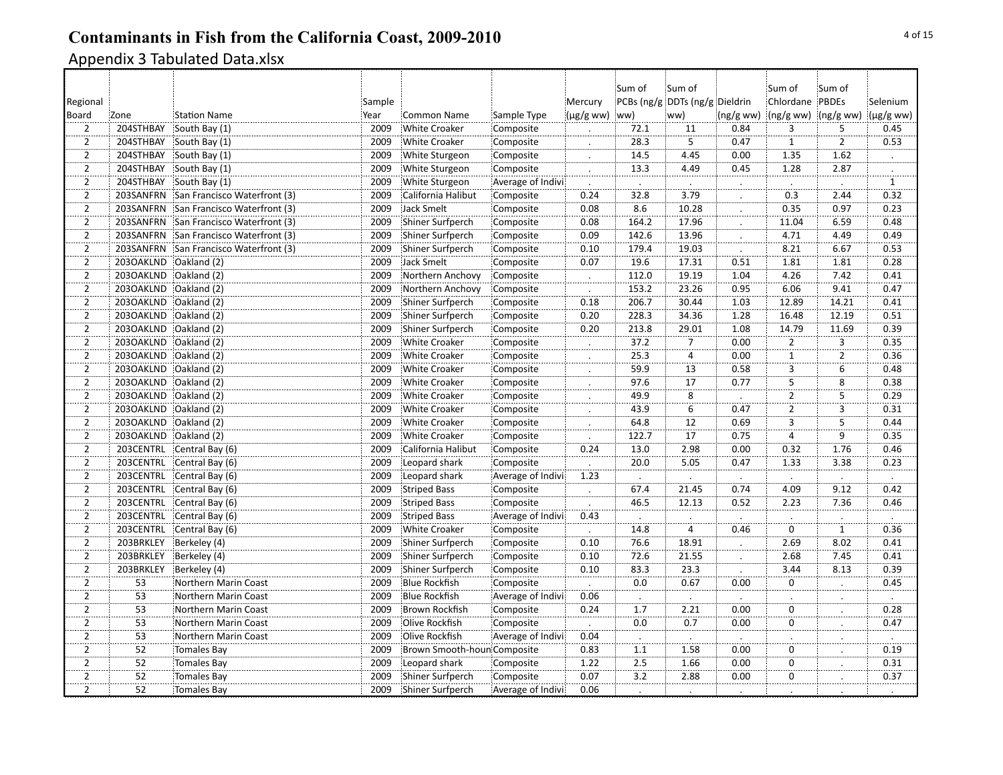| PCBs (ng/g DDTs (ng/g Dieldrin<br>Chlordane PBDEs<br>Mercury<br>Regional<br>Sample<br>$(\mu g/gww)$ ww)<br>$(ng/gww)$ (ng/g ww) (µg/g ww)<br>Board<br>Zone<br><b>Station Name</b><br><b>Common Name</b><br>Sample Type<br>ww)<br>(ng/gww)<br>Year<br>$\overline{3}$<br>5<br>$\overline{2}$<br>204STHBAY<br>South Bay (1)<br>2009<br><b>White Croaker</b><br>Composite<br>72.1<br>11<br>0.84<br>$\overline{2}$<br>5<br>$\overline{2}$<br>28.3<br>204STHBAY<br>South Bay (1)<br>2009<br><b>White Croaker</b><br>0.47<br>$\mathbf{1}$<br>Composite<br>$\overline{2}$<br>204STHBAY<br>South Bay (1)<br>2009<br>14.5<br>4.45<br>0.00<br>1.35<br>1.62<br>White Sturgeon<br>Composite<br>$\overline{2}$<br>13.3<br>1.28<br>204STHBAY<br>2009<br>White Sturgeon<br>4.49<br>0.45<br>2.87<br>South Bay (1)<br>Composite<br>$\cdot$<br>$\overline{2}$<br>$\overline{1}$<br>204STHBAY<br>South Bay (1)<br>2009<br>White Sturgeon<br>Average of Indivi<br>$\overline{2}$<br>203SANFRN<br>San Francisco Waterfront (3)<br>2009<br>California Halibut<br>0.24<br>32.8<br>3.79<br>0.3<br>Composite<br>2.44<br>$\overline{2}$<br>8.6<br>0.35<br>203SANFRN<br>2009<br>Jack Smelt<br>0.08<br>10.28<br>0.97<br>San Francisco Waterfront (3)<br>Composite<br>$\overline{2}$<br>164.2<br>203SANFRN<br>San Francisco Waterfront (3)<br>2009<br>Shiner Surfperch<br>0.08<br>17.96<br>11.04<br>6.59<br>Composite<br>$\overline{2}$<br>4.71<br>0.09<br>142.6<br>13.96<br>4.49<br>203SANFRN<br>San Francisco Waterfront (3)<br>2009<br>Shiner Surfperch<br>Composite<br>$\overline{2}$<br>203SANFRN<br>San Francisco Waterfront (3)<br>2009<br>Shiner Surfperch<br>0.10<br>179.4<br>19.03<br>8.21<br>6.67<br>Composite<br>$\overline{2}$<br>2030AKLND<br>2009<br>Jack Smelt<br>0.07<br>19.6<br>1.81<br>Oakland (2)<br>Composite<br>17.31<br>0.51<br>1.81<br>$\overline{2}$<br>2030AKLND<br>19.19<br>4.26<br>7.42<br>Oakland (2)<br>2009<br>Northern Anchovy<br>Composite<br>112.0<br>1.04<br>$\mathcal{L}_{\mathcal{L}}$<br>$\overline{2}$<br>6.06<br>2030AKLND<br>23.26<br>0.95<br>9.41<br>Oakland (2)<br>2009<br>Northern Anchovy<br>153.2<br>Composite<br>$\overline{2}$<br>30.44<br>2030AKLND<br>0.18<br>206.7<br>1.03<br>12.89<br>14.21<br>Oakland (2)<br>2009<br>Shiner Surfperch<br>Composite<br>$\overline{2}$<br>203OAKLND<br>Oakland (2)<br>2009<br>0.20<br>228.3<br>34.36<br>1.28<br>16.48<br>12.19<br>Shiner Surfperch<br>Composite<br>$\overline{2}$<br>2030AKLND<br>Oakland (2)<br>2009<br>Composite<br>0.20<br>213.8<br>29.01<br>1.08<br>14.79<br>11.69<br>Shiner Surfperch |                |  |  |  | Sum of | Sum of | :Sum of | :Sum of |          |
|-----------------------------------------------------------------------------------------------------------------------------------------------------------------------------------------------------------------------------------------------------------------------------------------------------------------------------------------------------------------------------------------------------------------------------------------------------------------------------------------------------------------------------------------------------------------------------------------------------------------------------------------------------------------------------------------------------------------------------------------------------------------------------------------------------------------------------------------------------------------------------------------------------------------------------------------------------------------------------------------------------------------------------------------------------------------------------------------------------------------------------------------------------------------------------------------------------------------------------------------------------------------------------------------------------------------------------------------------------------------------------------------------------------------------------------------------------------------------------------------------------------------------------------------------------------------------------------------------------------------------------------------------------------------------------------------------------------------------------------------------------------------------------------------------------------------------------------------------------------------------------------------------------------------------------------------------------------------------------------------------------------------------------------------------------------------------------------------------------------------------------------------------------------------------------------------------------------------------------------------------------------------------------------------------------------------------------------------------------------------------------------------------------------------------------------------------------------------------------------------------------------------------------------------------------------------|----------------|--|--|--|--------|--------|---------|---------|----------|
|                                                                                                                                                                                                                                                                                                                                                                                                                                                                                                                                                                                                                                                                                                                                                                                                                                                                                                                                                                                                                                                                                                                                                                                                                                                                                                                                                                                                                                                                                                                                                                                                                                                                                                                                                                                                                                                                                                                                                                                                                                                                                                                                                                                                                                                                                                                                                                                                                                                                                                                                                                 |                |  |  |  |        |        |         |         | Selenium |
|                                                                                                                                                                                                                                                                                                                                                                                                                                                                                                                                                                                                                                                                                                                                                                                                                                                                                                                                                                                                                                                                                                                                                                                                                                                                                                                                                                                                                                                                                                                                                                                                                                                                                                                                                                                                                                                                                                                                                                                                                                                                                                                                                                                                                                                                                                                                                                                                                                                                                                                                                                 |                |  |  |  |        |        |         |         |          |
|                                                                                                                                                                                                                                                                                                                                                                                                                                                                                                                                                                                                                                                                                                                                                                                                                                                                                                                                                                                                                                                                                                                                                                                                                                                                                                                                                                                                                                                                                                                                                                                                                                                                                                                                                                                                                                                                                                                                                                                                                                                                                                                                                                                                                                                                                                                                                                                                                                                                                                                                                                 |                |  |  |  |        |        |         |         | 0.45     |
|                                                                                                                                                                                                                                                                                                                                                                                                                                                                                                                                                                                                                                                                                                                                                                                                                                                                                                                                                                                                                                                                                                                                                                                                                                                                                                                                                                                                                                                                                                                                                                                                                                                                                                                                                                                                                                                                                                                                                                                                                                                                                                                                                                                                                                                                                                                                                                                                                                                                                                                                                                 |                |  |  |  |        |        |         |         | 0.53     |
|                                                                                                                                                                                                                                                                                                                                                                                                                                                                                                                                                                                                                                                                                                                                                                                                                                                                                                                                                                                                                                                                                                                                                                                                                                                                                                                                                                                                                                                                                                                                                                                                                                                                                                                                                                                                                                                                                                                                                                                                                                                                                                                                                                                                                                                                                                                                                                                                                                                                                                                                                                 |                |  |  |  |        |        |         |         |          |
|                                                                                                                                                                                                                                                                                                                                                                                                                                                                                                                                                                                                                                                                                                                                                                                                                                                                                                                                                                                                                                                                                                                                                                                                                                                                                                                                                                                                                                                                                                                                                                                                                                                                                                                                                                                                                                                                                                                                                                                                                                                                                                                                                                                                                                                                                                                                                                                                                                                                                                                                                                 |                |  |  |  |        |        |         |         |          |
|                                                                                                                                                                                                                                                                                                                                                                                                                                                                                                                                                                                                                                                                                                                                                                                                                                                                                                                                                                                                                                                                                                                                                                                                                                                                                                                                                                                                                                                                                                                                                                                                                                                                                                                                                                                                                                                                                                                                                                                                                                                                                                                                                                                                                                                                                                                                                                                                                                                                                                                                                                 |                |  |  |  |        |        |         |         |          |
|                                                                                                                                                                                                                                                                                                                                                                                                                                                                                                                                                                                                                                                                                                                                                                                                                                                                                                                                                                                                                                                                                                                                                                                                                                                                                                                                                                                                                                                                                                                                                                                                                                                                                                                                                                                                                                                                                                                                                                                                                                                                                                                                                                                                                                                                                                                                                                                                                                                                                                                                                                 |                |  |  |  |        |        |         |         | 0.32     |
|                                                                                                                                                                                                                                                                                                                                                                                                                                                                                                                                                                                                                                                                                                                                                                                                                                                                                                                                                                                                                                                                                                                                                                                                                                                                                                                                                                                                                                                                                                                                                                                                                                                                                                                                                                                                                                                                                                                                                                                                                                                                                                                                                                                                                                                                                                                                                                                                                                                                                                                                                                 |                |  |  |  |        |        |         |         | 0.23     |
|                                                                                                                                                                                                                                                                                                                                                                                                                                                                                                                                                                                                                                                                                                                                                                                                                                                                                                                                                                                                                                                                                                                                                                                                                                                                                                                                                                                                                                                                                                                                                                                                                                                                                                                                                                                                                                                                                                                                                                                                                                                                                                                                                                                                                                                                                                                                                                                                                                                                                                                                                                 |                |  |  |  |        |        |         |         | 0.48     |
|                                                                                                                                                                                                                                                                                                                                                                                                                                                                                                                                                                                                                                                                                                                                                                                                                                                                                                                                                                                                                                                                                                                                                                                                                                                                                                                                                                                                                                                                                                                                                                                                                                                                                                                                                                                                                                                                                                                                                                                                                                                                                                                                                                                                                                                                                                                                                                                                                                                                                                                                                                 |                |  |  |  |        |        |         |         | 0.49     |
|                                                                                                                                                                                                                                                                                                                                                                                                                                                                                                                                                                                                                                                                                                                                                                                                                                                                                                                                                                                                                                                                                                                                                                                                                                                                                                                                                                                                                                                                                                                                                                                                                                                                                                                                                                                                                                                                                                                                                                                                                                                                                                                                                                                                                                                                                                                                                                                                                                                                                                                                                                 |                |  |  |  |        |        |         |         | 0.53     |
|                                                                                                                                                                                                                                                                                                                                                                                                                                                                                                                                                                                                                                                                                                                                                                                                                                                                                                                                                                                                                                                                                                                                                                                                                                                                                                                                                                                                                                                                                                                                                                                                                                                                                                                                                                                                                                                                                                                                                                                                                                                                                                                                                                                                                                                                                                                                                                                                                                                                                                                                                                 |                |  |  |  |        |        |         |         | 0.28     |
|                                                                                                                                                                                                                                                                                                                                                                                                                                                                                                                                                                                                                                                                                                                                                                                                                                                                                                                                                                                                                                                                                                                                                                                                                                                                                                                                                                                                                                                                                                                                                                                                                                                                                                                                                                                                                                                                                                                                                                                                                                                                                                                                                                                                                                                                                                                                                                                                                                                                                                                                                                 |                |  |  |  |        |        |         |         | 0.41     |
|                                                                                                                                                                                                                                                                                                                                                                                                                                                                                                                                                                                                                                                                                                                                                                                                                                                                                                                                                                                                                                                                                                                                                                                                                                                                                                                                                                                                                                                                                                                                                                                                                                                                                                                                                                                                                                                                                                                                                                                                                                                                                                                                                                                                                                                                                                                                                                                                                                                                                                                                                                 |                |  |  |  |        |        |         |         | 0.47     |
|                                                                                                                                                                                                                                                                                                                                                                                                                                                                                                                                                                                                                                                                                                                                                                                                                                                                                                                                                                                                                                                                                                                                                                                                                                                                                                                                                                                                                                                                                                                                                                                                                                                                                                                                                                                                                                                                                                                                                                                                                                                                                                                                                                                                                                                                                                                                                                                                                                                                                                                                                                 |                |  |  |  |        |        |         |         | 0.41     |
|                                                                                                                                                                                                                                                                                                                                                                                                                                                                                                                                                                                                                                                                                                                                                                                                                                                                                                                                                                                                                                                                                                                                                                                                                                                                                                                                                                                                                                                                                                                                                                                                                                                                                                                                                                                                                                                                                                                                                                                                                                                                                                                                                                                                                                                                                                                                                                                                                                                                                                                                                                 |                |  |  |  |        |        |         |         | 0.51     |
|                                                                                                                                                                                                                                                                                                                                                                                                                                                                                                                                                                                                                                                                                                                                                                                                                                                                                                                                                                                                                                                                                                                                                                                                                                                                                                                                                                                                                                                                                                                                                                                                                                                                                                                                                                                                                                                                                                                                                                                                                                                                                                                                                                                                                                                                                                                                                                                                                                                                                                                                                                 |                |  |  |  |        |        |         |         | 0.39     |
| 37.2<br>203OAKLND<br>Oakland (2)<br>2009<br>$\overline{7}$<br>0.00<br>$\overline{2}$<br>3<br><b>White Croaker</b><br>Composite                                                                                                                                                                                                                                                                                                                                                                                                                                                                                                                                                                                                                                                                                                                                                                                                                                                                                                                                                                                                                                                                                                                                                                                                                                                                                                                                                                                                                                                                                                                                                                                                                                                                                                                                                                                                                                                                                                                                                                                                                                                                                                                                                                                                                                                                                                                                                                                                                                  | $\overline{2}$ |  |  |  |        |        |         |         | 0.35     |
| $\mathbf{L}$<br>$\overline{1}$<br>$\overline{2}$<br>$\dddot{4}$<br>$\overline{2}$<br>2030AKLND<br>Oakland (2)<br>2009<br>25.3<br>0.00<br><b>White Croaker</b><br>Composite<br>$\cdot$                                                                                                                                                                                                                                                                                                                                                                                                                                                                                                                                                                                                                                                                                                                                                                                                                                                                                                                                                                                                                                                                                                                                                                                                                                                                                                                                                                                                                                                                                                                                                                                                                                                                                                                                                                                                                                                                                                                                                                                                                                                                                                                                                                                                                                                                                                                                                                           |                |  |  |  |        |        |         |         | 0.36     |
| $\overline{2}$<br>0.58<br>$\overline{3}$<br>$6\overline{6}$<br>203OAKLND<br>Oakland (2)<br>2009<br><b>White Croaker</b><br>59.9<br>13<br>Composite                                                                                                                                                                                                                                                                                                                                                                                                                                                                                                                                                                                                                                                                                                                                                                                                                                                                                                                                                                                                                                                                                                                                                                                                                                                                                                                                                                                                                                                                                                                                                                                                                                                                                                                                                                                                                                                                                                                                                                                                                                                                                                                                                                                                                                                                                                                                                                                                              |                |  |  |  |        |        |         |         | 0.48     |
| $\overline{2}$<br>2030AKLND<br>Oakland (2)<br>2009<br>0.77<br>5<br><b>White Croaker</b><br>Composite<br>97.6<br>17<br>8                                                                                                                                                                                                                                                                                                                                                                                                                                                                                                                                                                                                                                                                                                                                                                                                                                                                                                                                                                                                                                                                                                                                                                                                                                                                                                                                                                                                                                                                                                                                                                                                                                                                                                                                                                                                                                                                                                                                                                                                                                                                                                                                                                                                                                                                                                                                                                                                                                         |                |  |  |  |        |        |         |         | 0.38     |
| $\overline{8}$<br>$\overline{5}$<br>$\overline{2}$<br>49.9<br>$\overline{2}$<br>203OAKLND<br>Oakland (2)<br>2009<br><b>White Croaker</b><br>Composite                                                                                                                                                                                                                                                                                                                                                                                                                                                                                                                                                                                                                                                                                                                                                                                                                                                                                                                                                                                                                                                                                                                                                                                                                                                                                                                                                                                                                                                                                                                                                                                                                                                                                                                                                                                                                                                                                                                                                                                                                                                                                                                                                                                                                                                                                                                                                                                                           |                |  |  |  |        |        |         |         | 0.29     |
| $\overline{2}$<br>$\overline{3}$<br>2030AKLND<br>6<br>0.47<br>$\overline{2}$<br>Oakland (2)<br>2009<br><b>White Croaker</b><br>Composite<br>43.9<br>$\bullet$                                                                                                                                                                                                                                                                                                                                                                                                                                                                                                                                                                                                                                                                                                                                                                                                                                                                                                                                                                                                                                                                                                                                                                                                                                                                                                                                                                                                                                                                                                                                                                                                                                                                                                                                                                                                                                                                                                                                                                                                                                                                                                                                                                                                                                                                                                                                                                                                   |                |  |  |  |        |        |         |         | 0.31     |
| $\overline{5}$<br>$\overline{2}$<br>$\overline{3}$<br>2030AKLND<br>2009<br>12<br>0.69<br>Oakland (2)<br><b>White Croaker</b><br>64.8<br>Composite                                                                                                                                                                                                                                                                                                                                                                                                                                                                                                                                                                                                                                                                                                                                                                                                                                                                                                                                                                                                                                                                                                                                                                                                                                                                                                                                                                                                                                                                                                                                                                                                                                                                                                                                                                                                                                                                                                                                                                                                                                                                                                                                                                                                                                                                                                                                                                                                               |                |  |  |  |        |        |         |         | 0.44     |
| $\overline{9}$<br>$\overline{2}$<br>$\overline{17}$<br>2030AKLND<br>2009<br><b>White Croaker</b><br>122.7<br>0.75<br>Oakland (2)<br>Composite<br>$\overline{4}$                                                                                                                                                                                                                                                                                                                                                                                                                                                                                                                                                                                                                                                                                                                                                                                                                                                                                                                                                                                                                                                                                                                                                                                                                                                                                                                                                                                                                                                                                                                                                                                                                                                                                                                                                                                                                                                                                                                                                                                                                                                                                                                                                                                                                                                                                                                                                                                                 |                |  |  |  |        |        |         |         | 0.35     |
| $\overline{2}$<br>2.98<br>0.00<br>1.76<br>203CENTRL<br>Central Bay (6)<br>2009<br>California Halibut<br>Composite<br>0.24<br>13.0<br>0.32                                                                                                                                                                                                                                                                                                                                                                                                                                                                                                                                                                                                                                                                                                                                                                                                                                                                                                                                                                                                                                                                                                                                                                                                                                                                                                                                                                                                                                                                                                                                                                                                                                                                                                                                                                                                                                                                                                                                                                                                                                                                                                                                                                                                                                                                                                                                                                                                                       |                |  |  |  |        |        |         |         | 0.46     |
| $\overline{2}$<br>203CENTRL<br>Central Bay (6)<br>2009<br>Leopard shark<br>Composite<br>20.0<br>5.05<br>0.47<br>1.33<br>3.38                                                                                                                                                                                                                                                                                                                                                                                                                                                                                                                                                                                                                                                                                                                                                                                                                                                                                                                                                                                                                                                                                                                                                                                                                                                                                                                                                                                                                                                                                                                                                                                                                                                                                                                                                                                                                                                                                                                                                                                                                                                                                                                                                                                                                                                                                                                                                                                                                                    |                |  |  |  |        |        |         |         | 0.23     |
| $\overline{2}$<br>1.23<br>203CENTRL<br>Central Bay (6)<br>2009<br>Leopard shark<br>Average of Indivi<br>$\Box$<br>$\ddot{\phantom{a}}$<br>$\ddot{\phantom{a}}$<br>$\cdot$<br>$\cdot$<br>$\cdot$                                                                                                                                                                                                                                                                                                                                                                                                                                                                                                                                                                                                                                                                                                                                                                                                                                                                                                                                                                                                                                                                                                                                                                                                                                                                                                                                                                                                                                                                                                                                                                                                                                                                                                                                                                                                                                                                                                                                                                                                                                                                                                                                                                                                                                                                                                                                                                 |                |  |  |  |        |        |         |         |          |
| $\overline{2}$<br>203CENTRL<br>Central Bay (6)<br>2009<br><b>Striped Bass</b><br>67.4<br>21.45<br>0.74<br>4.09<br>9.12<br>Composite<br>$\cdot$                                                                                                                                                                                                                                                                                                                                                                                                                                                                                                                                                                                                                                                                                                                                                                                                                                                                                                                                                                                                                                                                                                                                                                                                                                                                                                                                                                                                                                                                                                                                                                                                                                                                                                                                                                                                                                                                                                                                                                                                                                                                                                                                                                                                                                                                                                                                                                                                                  |                |  |  |  |        |        |         |         | 0.42     |
| $\overline{2}$<br>203CENTRL<br>Striped Bass<br>0.52<br>2.23<br>Central Bay (6)<br>2009<br>Composite<br>46.5<br>12.13<br>7.36<br>$\cdot$                                                                                                                                                                                                                                                                                                                                                                                                                                                                                                                                                                                                                                                                                                                                                                                                                                                                                                                                                                                                                                                                                                                                                                                                                                                                                                                                                                                                                                                                                                                                                                                                                                                                                                                                                                                                                                                                                                                                                                                                                                                                                                                                                                                                                                                                                                                                                                                                                         |                |  |  |  |        |        |         |         | 0.46     |
| $\overline{2}$<br>203CENTRL<br>Central Bay (6)<br>2009<br><b>Striped Bass</b><br>Average of Indivi<br>0.43                                                                                                                                                                                                                                                                                                                                                                                                                                                                                                                                                                                                                                                                                                                                                                                                                                                                                                                                                                                                                                                                                                                                                                                                                                                                                                                                                                                                                                                                                                                                                                                                                                                                                                                                                                                                                                                                                                                                                                                                                                                                                                                                                                                                                                                                                                                                                                                                                                                      |                |  |  |  |        |        |         |         |          |
| $\overline{1}$<br>$\overline{2}$<br>$\overline{4}$<br>ö<br>203CENTRL<br>2009<br><b>White Croaker</b><br>0.46<br>Central Bay (6)<br>Composite<br>14.8                                                                                                                                                                                                                                                                                                                                                                                                                                                                                                                                                                                                                                                                                                                                                                                                                                                                                                                                                                                                                                                                                                                                                                                                                                                                                                                                                                                                                                                                                                                                                                                                                                                                                                                                                                                                                                                                                                                                                                                                                                                                                                                                                                                                                                                                                                                                                                                                            |                |  |  |  |        |        |         |         | 0.36     |
| $\overline{2}$<br>76.6<br>2.69<br>8.02<br>203BRKLEY<br>2009<br>Composite<br>0.10<br>18.91<br>Berkeley (4)<br>Shiner Surfperch<br>$\therefore$                                                                                                                                                                                                                                                                                                                                                                                                                                                                                                                                                                                                                                                                                                                                                                                                                                                                                                                                                                                                                                                                                                                                                                                                                                                                                                                                                                                                                                                                                                                                                                                                                                                                                                                                                                                                                                                                                                                                                                                                                                                                                                                                                                                                                                                                                                                                                                                                                   |                |  |  |  |        |        |         |         | 0.41     |
| $\overline{2}$<br>72.6<br>2.68<br>7.45<br>21.55<br>203BRKLEY<br>Berkeley (4)<br>2009<br>0.10<br>Shiner Surfperch<br>Composite                                                                                                                                                                                                                                                                                                                                                                                                                                                                                                                                                                                                                                                                                                                                                                                                                                                                                                                                                                                                                                                                                                                                                                                                                                                                                                                                                                                                                                                                                                                                                                                                                                                                                                                                                                                                                                                                                                                                                                                                                                                                                                                                                                                                                                                                                                                                                                                                                                   |                |  |  |  |        |        |         |         | 0.41     |
| $\overline{2}$<br>0.10<br>203BRKLEY<br>2009<br>Composite<br>83.3<br>23.3<br>3.44<br>8.13<br>Berkeley (4)<br>Shiner Surfperch                                                                                                                                                                                                                                                                                                                                                                                                                                                                                                                                                                                                                                                                                                                                                                                                                                                                                                                                                                                                                                                                                                                                                                                                                                                                                                                                                                                                                                                                                                                                                                                                                                                                                                                                                                                                                                                                                                                                                                                                                                                                                                                                                                                                                                                                                                                                                                                                                                    |                |  |  |  |        |        |         |         | 0.39     |
| $\overline{2}$<br>53<br>Northern Marin Coast<br>2009<br>0.0<br>0.67<br>0.00<br>$\mathbf 0$<br><b>Blue Rockfish</b><br>Composite                                                                                                                                                                                                                                                                                                                                                                                                                                                                                                                                                                                                                                                                                                                                                                                                                                                                                                                                                                                                                                                                                                                                                                                                                                                                                                                                                                                                                                                                                                                                                                                                                                                                                                                                                                                                                                                                                                                                                                                                                                                                                                                                                                                                                                                                                                                                                                                                                                 |                |  |  |  |        |        |         |         | 0.45     |
| $\overline{2}$<br>53<br>0.06<br>2009<br><b>Blue Rockfish</b><br>Average of Indivi<br>Northern Marin Coast                                                                                                                                                                                                                                                                                                                                                                                                                                                                                                                                                                                                                                                                                                                                                                                                                                                                                                                                                                                                                                                                                                                                                                                                                                                                                                                                                                                                                                                                                                                                                                                                                                                                                                                                                                                                                                                                                                                                                                                                                                                                                                                                                                                                                                                                                                                                                                                                                                                       |                |  |  |  |        |        |         |         |          |
| $\overline{2}$<br>2.21<br>0.00<br>53<br>Northern Marin Coast<br>2009<br>Brown Rockfish<br>Composite<br>0.24<br>1.7<br>$\mathbf 0$                                                                                                                                                                                                                                                                                                                                                                                                                                                                                                                                                                                                                                                                                                                                                                                                                                                                                                                                                                                                                                                                                                                                                                                                                                                                                                                                                                                                                                                                                                                                                                                                                                                                                                                                                                                                                                                                                                                                                                                                                                                                                                                                                                                                                                                                                                                                                                                                                               |                |  |  |  |        |        |         |         | 0.28     |
| $\ddot{\cdot}$<br>$\overline{2}$<br>ö<br>0.0<br>0.7<br>0.00<br>53<br>2009<br>Northern Marin Coast<br>Olive Rockfish<br>Composite<br>$\cdot$<br>$\cdot$                                                                                                                                                                                                                                                                                                                                                                                                                                                                                                                                                                                                                                                                                                                                                                                                                                                                                                                                                                                                                                                                                                                                                                                                                                                                                                                                                                                                                                                                                                                                                                                                                                                                                                                                                                                                                                                                                                                                                                                                                                                                                                                                                                                                                                                                                                                                                                                                          |                |  |  |  |        |        |         |         | 0.47     |
| $\overline{2}$<br>Average of Indivi<br>0.04<br>53<br>Northern Marin Coast<br>2009<br>Olive Rockfish                                                                                                                                                                                                                                                                                                                                                                                                                                                                                                                                                                                                                                                                                                                                                                                                                                                                                                                                                                                                                                                                                                                                                                                                                                                                                                                                                                                                                                                                                                                                                                                                                                                                                                                                                                                                                                                                                                                                                                                                                                                                                                                                                                                                                                                                                                                                                                                                                                                             |                |  |  |  |        |        |         |         |          |
| Ŀ.<br>$\overline{2}$<br>0.00<br>$\pmb{0}$<br>52<br>Tomales Bay<br>2009<br>Brown Smooth-houn Composite<br>0.83<br>1.58<br>1.1                                                                                                                                                                                                                                                                                                                                                                                                                                                                                                                                                                                                                                                                                                                                                                                                                                                                                                                                                                                                                                                                                                                                                                                                                                                                                                                                                                                                                                                                                                                                                                                                                                                                                                                                                                                                                                                                                                                                                                                                                                                                                                                                                                                                                                                                                                                                                                                                                                    |                |  |  |  |        |        |         |         | 0.19     |
| $\overline{2}$<br>2.5<br>52<br>1.22<br>$\mathbf 0$<br>2009<br>Composite<br>1.66<br>0.00<br><b>Tomales Bay</b><br>Leopard shark                                                                                                                                                                                                                                                                                                                                                                                                                                                                                                                                                                                                                                                                                                                                                                                                                                                                                                                                                                                                                                                                                                                                                                                                                                                                                                                                                                                                                                                                                                                                                                                                                                                                                                                                                                                                                                                                                                                                                                                                                                                                                                                                                                                                                                                                                                                                                                                                                                  |                |  |  |  |        |        |         |         | 0.31     |
| $\overline{2}$<br>$\overline{52}$<br>0.07<br>3.2<br>0.00<br>2009<br>Shiner Surfperch<br>2.88<br>$\mathbf 0$<br><b>Tomales Bay</b><br>Composite                                                                                                                                                                                                                                                                                                                                                                                                                                                                                                                                                                                                                                                                                                                                                                                                                                                                                                                                                                                                                                                                                                                                                                                                                                                                                                                                                                                                                                                                                                                                                                                                                                                                                                                                                                                                                                                                                                                                                                                                                                                                                                                                                                                                                                                                                                                                                                                                                  |                |  |  |  |        |        |         |         | 0.37     |
| $\overline{2}$<br>52<br>2009<br>0.06<br>Shiner Surfperch<br><b>Tomales Bay</b><br>Average of Indivi                                                                                                                                                                                                                                                                                                                                                                                                                                                                                                                                                                                                                                                                                                                                                                                                                                                                                                                                                                                                                                                                                                                                                                                                                                                                                                                                                                                                                                                                                                                                                                                                                                                                                                                                                                                                                                                                                                                                                                                                                                                                                                                                                                                                                                                                                                                                                                                                                                                             |                |  |  |  |        |        |         |         |          |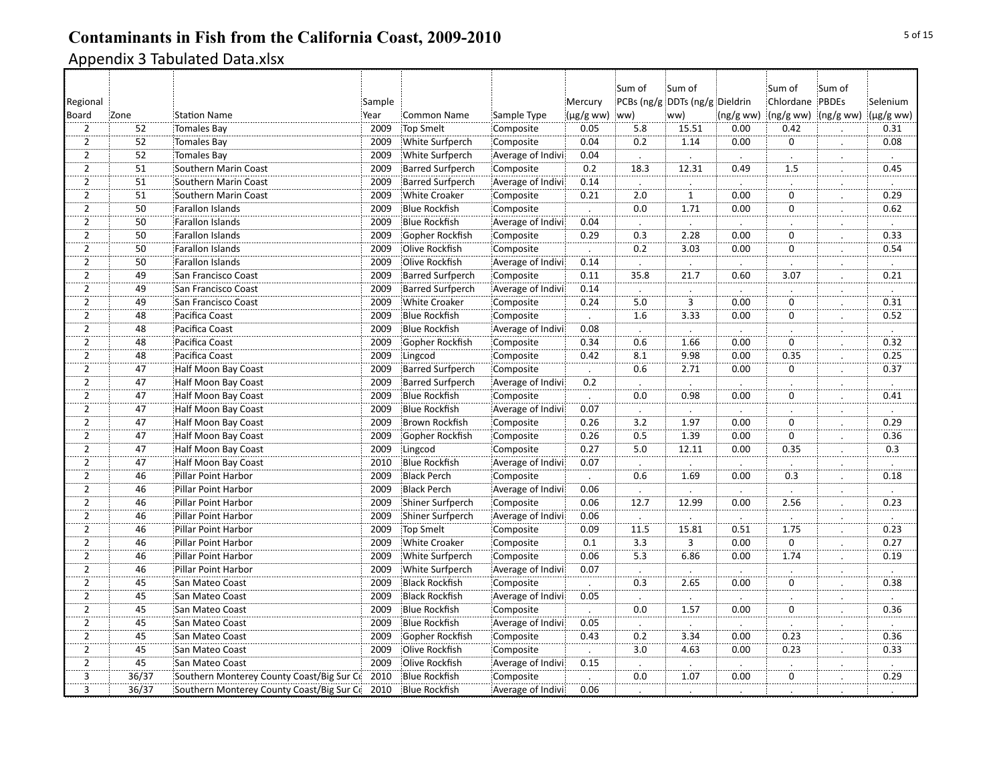|                |                 |                                           |        |                         |                   |                      | Sum of               | Sum of                         |                  | :Sum of                          | Sum of               |                |
|----------------|-----------------|-------------------------------------------|--------|-------------------------|-------------------|----------------------|----------------------|--------------------------------|------------------|----------------------------------|----------------------|----------------|
| Regional       |                 |                                           | Sample |                         |                   | Mercury              |                      | PCBs (ng/g DDTs (ng/g Dieldrin |                  | Chlordane PBDEs                  |                      | Selenium       |
| Board          | Zone            | <b>Station Name</b>                       | Year   | <b>Common Name</b>      | Sample Type       | $(\mu g/g$ ww) (ww)  |                      | ww)                            |                  | $(ng/gww)$ $(ng/gww)$ $(ng/gww)$ |                      | $(\mu g/g$ ww) |
| $\overline{2}$ | 52              | <b>Tomales Bay</b>                        | 2009   | <b>Top Smelt</b>        | Composite         | 0.05                 | 5.8                  | 15.51                          | 0.00             | 0.42                             |                      | 0.31           |
| $\overline{2}$ | 52              | <b>Tomales Bay</b>                        | 2009   | White Surfperch         | Composite         | 0.04                 | 0.2                  | 1.14                           | 0.00             | $\mathbf 0$                      | $\cdot$              | 0.08           |
| $\overline{2}$ | 52              | <b>Tomales Bay</b>                        | 2009   | White Surfperch         | Average of Indivi | 0.04                 |                      |                                |                  |                                  |                      |                |
| $\overline{2}$ | 51              | Southern Marin Coast                      | 2009   | Barred Surfperch        | Composite         | 0.2                  | 18.3                 | 12.31                          | 0.49             | 1.5                              | $\ddot{\phantom{0}}$ | 0.45           |
| $\overline{2}$ | 51              | Southern Marin Coast                      | 2009   | <b>Barred Surfperch</b> | Average of Indivi | 0.14                 | $\cdot$              |                                |                  |                                  | ÷.,                  |                |
| $\overline{2}$ | 51              | Southern Marin Coast                      | 2009   | <b>White Croaker</b>    | Composite         | 0.21                 | 2.0                  | ï                              | 0.00             | $\overline{0}$                   |                      | 0.29           |
| $\overline{2}$ | 50              | Farallon Islands                          | 2009   | <b>Blue Rockfish</b>    | Composite         | $\blacksquare$       | 0.0                  | 1.71                           | 0.00             | $\overline{0}$                   | $\cdot$              | 0.62           |
| $\overline{2}$ | $\overline{50}$ | <b>Farallon Islands</b>                   | 2009   | <b>Blue Rockfish</b>    | Average of Indivi | 0.04                 |                      |                                |                  |                                  |                      |                |
| $\overline{2}$ | 50              | Farallon Islands                          | 2009   | Gopher Rockfish         | Composite         | 0.29                 | 0.3                  | 2.28                           | $\frac{1}{0.00}$ | 0                                |                      | 0.33           |
| $\overline{2}$ | 50              | Farallon Islands                          | 2009   | Olive Rockfish          | Composite         |                      | 0.2                  | 3.03                           | 0.00             | $\mathbf 0$                      |                      | 0.54           |
| $\overline{2}$ | 50              | <b>Farallon Islands</b>                   | 2009   | Olive Rockfish          | Average of Indivi | 0.14                 |                      |                                |                  |                                  |                      |                |
| $\overline{2}$ | 49              | San Francisco Coast                       | 2009   | <b>Barred Surfperch</b> | Composite         | 0.11                 | 35.8                 | 21.7                           | 0.60             | 3.07                             | $\ddot{\cdot}$       | 0.21           |
| $\overline{2}$ | 49              | San Francisco Coast                       | 2009   | <b>Barred Surfperch</b> | Average of Indivi | 0.14                 | $\ddot{\phantom{a}}$ |                                |                  |                                  | $\bullet$            | $\cdot$        |
| $\overline{2}$ | 49              | San Francisco Coast                       | 2009   | <b>White Croaker</b>    | Composite         | 0.24                 | 5.0                  | $\overline{3}$                 | 0.00             | $\mathbf 0$                      |                      | 0.31           |
| $\overline{2}$ | 48              | Pacifica Coast                            | 2009   | <b>Blue Rockfish</b>    | Composite         |                      | 1.6                  | 3.33                           | 0.00             | 0                                |                      | 0.52           |
| $\overline{2}$ | 48              | Pacifica Coast                            | 2009   | <b>Blue Rockfish</b>    | Average of Indivi | 0.08                 |                      |                                |                  |                                  |                      |                |
| $\overline{2}$ | 48              | Pacifica Coast                            | 2009   | Gopher Rockfish         | Composite         | 0.34                 | 0.6                  | 1.66                           | 0.00             | $\Omega$                         |                      | 0.32           |
| $\overline{2}$ | 48              | Pacifica Coast                            | 2009   | Lingcod                 | Composite         | 0.42                 | $\overline{8.1}$     | 9.98                           | 0.00             | 0.35                             | $\ddot{\phantom{0}}$ | 0.25           |
| $\overline{2}$ | 47              | Half Moon Bay Coast                       | 2009   | <b>Barred Surfperch</b> | Composite         |                      | 0.6                  | 2.71                           | 0.00             | $\mathbf 0$                      |                      | 0.37           |
| $\overline{2}$ | 47              | Half Moon Bay Coast                       | 2009   | <b>Barred Surfperch</b> | Average of Indivi | 0.2                  |                      |                                |                  |                                  |                      |                |
| $\overline{2}$ | 47              | Half Moon Bay Coast                       | 2009   | <b>Blue Rockfish</b>    | Composite         |                      | 0.0                  | 0.98                           | 0.00             | $\mathbf 0$                      |                      | 0.41           |
| $\overline{2}$ | 47              | Half Moon Bay Coast                       | 2009   | <b>Blue Rockfish</b>    | Average of Indivi | 0.07                 | $\cdot$              | $\cdot$                        | $\cdot$          |                                  | $\bullet$            | $\cdot$        |
| $\overline{2}$ | 47              | Half Moon Bay Coast                       | 2009   | <b>Brown Rockfish</b>   | Composite         | 0.26                 | 3.2                  | 1.97                           | 0.00             | $\overline{0}$                   |                      | 0.29           |
| $\overline{2}$ | 47              | Half Moon Bay Coast                       | 2009   | Gopher Rockfish         | Composite         | 0.26                 | 0.5                  | 1.39                           | 0.00             | $\mathbf 0$                      |                      | 0.36           |
| $\overline{2}$ | 47              | Half Moon Bay Coast                       | 2009   | Lingcod                 | Composite         | 0.27                 | 5.0                  | 12.11                          | 0.00             | 0.35                             |                      | 0.3            |
| $\overline{2}$ | 47              | Half Moon Bay Coast                       | 2010   | <b>Blue Rockfish</b>    | Average of Indivi | 0.07                 |                      |                                |                  |                                  | ż.,                  |                |
| $\overline{2}$ | 46              | Pillar Point Harbor                       | 2009   | <b>Black Perch</b>      | Composite         | $\ddot{\phantom{a}}$ | 0.6                  | 1.69                           | 0.00             | 0.3                              | $\cdot$              | 0.18           |
| $\overline{2}$ | 46              | Pillar Point Harbor                       | 2009   | <b>Black Perch</b>      | Average of Indivi | 0.06                 | $\cdot$              |                                |                  |                                  |                      |                |
| $\overline{2}$ | 46              | Pillar Point Harbor                       | 2009   | Shiner Surfperch        | Composite         | 0.06                 | 12.7                 | 12.99                          | 0.00             | 2.56                             | $\ddot{\phantom{0}}$ | 0.23           |
| $\overline{2}$ | 46              | Pillar Point Harbor                       | 2009   | Shiner Surfperch        | Average of Indivi | 0.06                 |                      |                                |                  |                                  | .:                   |                |
| $\overline{2}$ | 46              | Pillar Point Harbor                       | 2009   | <b>Top Smelt</b>        | Composite         | 0.09                 | 11.5                 | 15.81                          | 0.51             | 1.75                             |                      | 0.23           |
| $\overline{2}$ | 46              | Pillar Point Harbor                       | 2009   | <b>White Croaker</b>    | Composite         | 0.1                  | $\overline{3.3}$     | 3                              | 0.00             | $\boldsymbol{0}$                 | $\cdot$              | 0.27           |
| $\overline{2}$ | 46              | Pillar Point Harbor                       | 2009   | White Surfperch         | Composite         | 0.06                 | $\overline{5.3}$     | 6.86                           | 0.00             | 1.74                             |                      | 0.19           |
| $\overline{2}$ | 46              | Pillar Point Harbor                       | 2009   | White Surfperch         | Average of Indivi | 0.07                 |                      |                                |                  |                                  |                      |                |
| $\overline{2}$ | 45              | San Mateo Coast                           | 2009   | <b>Black Rockfish</b>   | Composite         |                      | 0.3                  | 2.65                           | 0.00             | $\mathbf 0$                      |                      | 0.38           |
| $\overline{2}$ | 45              | San Mateo Coast                           | 2009   | <b>Black Rockfish</b>   | Average of Indivi | 0.05                 |                      |                                |                  |                                  |                      |                |
| $\overline{2}$ | 45              | San Mateo Coast                           | 2009   | <b>Blue Rockfish</b>    | Composite         |                      | 0.0                  | 1.57                           | 0.00             | $\Omega$                         | $\ddot{\cdot}$       | 0.36           |
| $\overline{2}$ | $\overline{45}$ | San Mateo Coast                           | 2009   | <b>Blue Rockfish</b>    | Average of Indivi | 0.05                 | $\cdot$              |                                |                  |                                  |                      | $\cdot$        |
| $\overline{2}$ | 45              | San Mateo Coast                           | 2009   | Gopher Rockfish         | Composite         | 0.43                 | 0.2                  | 3.34                           | 0.00             | 0.23                             |                      | 0.36           |
| $\overline{2}$ | 45              | San Mateo Coast                           | 2009   | Olive Rockfish          | Composite         |                      | 3.0                  | 4.63                           | 0.00             | 0.23                             |                      | 0.33           |
| $\overline{2}$ | 45              | San Mateo Coast                           | 2009   | Olive Rockfish          | Average of Indivi | 0.15                 |                      |                                |                  |                                  |                      |                |
| $\overline{3}$ | 36/37           | Southern Monterey County Coast/Big Sur Co | 2010   | <b>Blue Rockfish</b>    | Composite         | $\cdot$              | 0.0                  | 1.07                           | 0.00             | $\overline{0}$                   | $\cdot$              | 0.29           |
| $\frac{1}{3}$  | 36/37           | Southern Monterey County Coast/Big Sur Co | 2010   | <b>Blue Rockfish</b>    | Average of Indivi | 0.06                 |                      |                                |                  |                                  |                      |                |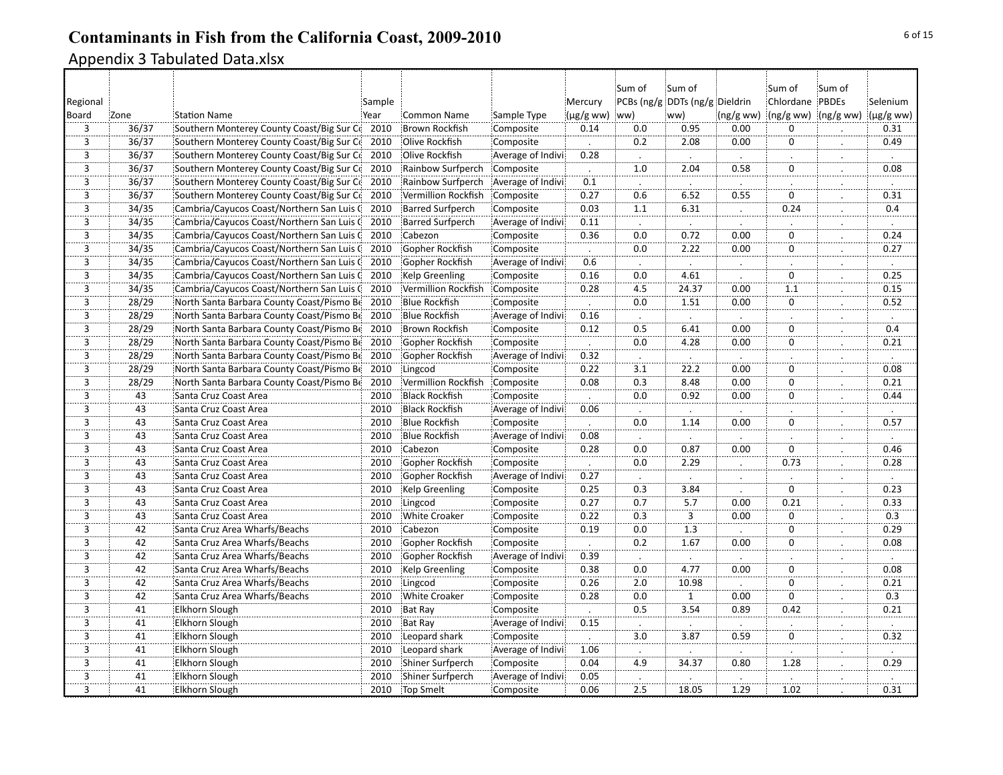|                         |       |                                           |        |                         |                   |                     | Sum of           | Sum of                         |                      | :Sum of             | Sum of               |                |
|-------------------------|-------|-------------------------------------------|--------|-------------------------|-------------------|---------------------|------------------|--------------------------------|----------------------|---------------------|----------------------|----------------|
| Regional                |       |                                           | Sample |                         |                   | Mercury             |                  | PCBs (ng/g DDTs (ng/g Dieldrin |                      | Chlordane PBDEs     |                      | Selenium       |
| Board                   | Zone  | <b>Station Name</b>                       | Year   | <b>Common Name</b>      | Sample Type       | $(\mu g/g$ ww) (ww) |                  | ww)                            | (ng/g ww)            | (ng/g ww) (ng/g ww) |                      | $(\mu g/g$ ww) |
| $\overline{3}$          | 36/37 | Southern Monterey County Coast/Big Sur Cd | 2010   | Brown Rockfish          | Composite         | 0.14                | 0.0              | 0.95                           | 0.00                 | $\mathbf 0$         |                      | 0.31           |
| $\overline{3}$          | 36/37 | Southern Monterey County Coast/Big Sur Co | 2010   | Olive Rockfish          | Composite         | $\cdot$             | 0.2              | 2.08                           | 0.00                 | $\mathbf 0$         | $\cdot$              | 0.49           |
| $\overline{3}$          | 36/37 | Southern Monterey County Coast/Big Sur Co | 2010   | Olive Rockfish          | Average of Indivi | 0.28                |                  |                                |                      |                     |                      |                |
| 3                       | 36/37 | Southern Monterey County Coast/Big Sur Co | 2010   | Rainbow Surfperch       | Composite         | $\blacksquare$      | 1.0              | 2.04                           | 0.58                 | 0                   | $\ddot{\phantom{0}}$ | 0.08           |
| $\overline{3}$          | 36/37 | Southern Monterey County Coast/Big Sur Cd | 2010   | Rainbow Surfperch       | Average of Indivi | 0.1                 |                  |                                |                      |                     |                      |                |
| $\overline{3}$          | 36/37 | Southern Monterey County Coast/Big Sur Co | 2010   | Vermillion Rockfish     | Composite         | 0.27                | 0.6              | 6.52                           | 0.55                 | $\overline{0}$      | $\therefore$         | 0.31           |
| $\overline{3}$          | 34/35 | Cambria/Cayucos Coast/Northern San Luis C | 2010   | <b>Barred Surfperch</b> | Composite         | 0.03                | $\overline{1.1}$ | 6.31                           | $\therefore$         | 0.24                | $\vdots$             | 0.4            |
| $\overline{3}$          | 34/35 | Cambria/Cayucos Coast/Northern San Luis G | 2010   | <b>Barred Surfperch</b> | Average of Indivi | 0.11                |                  |                                |                      |                     |                      |                |
| $\overline{3}$          | 34/35 | Cambria/Cayucos Coast/Northern San Luis C | 2010   | Cabezon                 | Composite         | 0.36                | 0.0              | 0.72                           | $\frac{1}{0.00}$     | $\mathbf 0$         |                      | 0.24           |
| 3                       | 34/35 | Cambria/Cayucos Coast/Northern San Luis C | 2010   | Gopher Rockfish         | Composite         |                     | 0.0              | 2.22                           | 0.00                 | 0                   |                      | 0.27           |
| $\overline{3}$          | 34/35 | Cambria/Cayucos Coast/Northern San Luis C | 2010   | Gopher Rockfish         | Average of Indivi | 0.6                 |                  |                                |                      |                     | $\blacksquare$       |                |
| $\overline{3}$          | 34/35 | Cambria/Cayucos Coast/Northern San Luis G | 2010   | Kelp Greenling          | Composite         | 0.16                | 0.0              | 4.61                           |                      | $\mathbf 0$         |                      | 0.25           |
| $\overline{3}$          | 34/35 | Cambria/Cayucos Coast/Northern San Luis C | 2010   | Vermillion Rockfish     | Composite         | 0.28                | $-4.5$           | 24.37                          | 0.00                 | $\overline{1.1}$    | $\cdot$              | 0.15           |
| $\overline{\mathbf{3}}$ | 28/29 | North Santa Barbara County Coast/Pismo Be | 2010   | <b>Blue Rockfish</b>    | Composite         |                     | 0.0              | 1.51                           | 0.00                 | $\mathbf 0$         |                      | 0.52           |
| 3                       | 28/29 | North Santa Barbara County Coast/Pismo Be | 2010   | <b>Blue Rockfish</b>    | Average of Indivi | 0.16                |                  |                                |                      |                     |                      |                |
| $\overline{3}$          | 28/29 | North Santa Barbara County Coast/Pismo Be | 2010   | <b>Brown Rockfish</b>   | Composite         | 0.12                | 0.5              | 6.41                           | 0.00                 | $\mathbf 0$         |                      | 0.4            |
| $\overline{3}$          | 28/29 | North Santa Barbara County Coast/Pismo Be | 2010   | Gopher Rockfish         | Composite         | $\blacksquare$      | 0.0              | 4.28                           | 0.00                 | 0                   | $\mathbf{L}$         | 0.21           |
| $\overline{3}$          | 28/29 | North Santa Barbara County Coast/Pismo Be | 2010   | Gopher Rockfish         | Average of Indivi | 0.32                | $\cdot$          | $\ddot{\phantom{0}}$           |                      |                     |                      |                |
| 3                       | 28/29 | North Santa Barbara County Coast/Pismo Be | 2010   | Lingcod                 | Composite         | 0.22                | 3.1              | 22.2                           | 0.00                 | 0                   |                      | 0.08           |
| 3                       | 28/29 | North Santa Barbara County Coast/Pismo Be | 2010   | Vermillion Rockfish     | Composite         | 0.08                | 0.3              | 8.48                           | 0.00                 | 0                   |                      | 0.21           |
| $\overline{3}$          | 43    | Santa Cruz Coast Area                     | 2010   | <b>Black Rockfish</b>   | Composite         |                     | 0.0              | 0.92                           | 0.00                 | $\mathbf 0$         |                      | 0.44           |
| $\overline{3}$          | 43    | Santa Cruz Coast Area                     | 2010   | <b>Black Rockfish</b>   | Average of Indivi | 0.06                | $\cdot$          | $\cdot$                        | $\cdot$              |                     | $\bullet$            | $\mathcal{L}$  |
| $\overline{3}$          | 43    | Santa Cruz Coast Area                     | 2010   | <b>Blue Rockfish</b>    | Composite         |                     | 0.0              | 1.14                           | 0.00                 | $\overline{0}$      |                      | 0.57           |
| $\overline{3}$          | 43    | Santa Cruz Coast Area                     | 2010   | <b>Blue Rockfish</b>    | Average of Indivi | 0.08                |                  |                                |                      |                     |                      |                |
| $\overline{3}$          | 43    | Santa Cruz Coast Area                     | 2010   | Cabezon                 | Composite         | 0.28                | 0.0              | 0.87                           | 0.00                 | $\mathbf 0$         |                      | 0.46           |
| $\overline{3}$          | 43    | Santa Cruz Coast Area                     | 2010   | Gopher Rockfish         | Composite         |                     | 0.0              | 2.29                           |                      | 0.73                |                      | 0.28           |
| $\overline{3}$          | 43    | Santa Cruz Coast Area                     | 2010   | Gopher Rockfish         | Average of Indivi | 0.27                | $\cdot$          | $\cdot$                        | $\bullet$            |                     | $\bullet$            | $\blacksquare$ |
| $\overline{3}$          | 43    | Santa Cruz Coast Area                     | 2010   | Kelp Greenling          | Composite         | 0.25                | 0.3              | 3.84                           |                      | $\Omega$            |                      | 0.23           |
| 3                       | 43    | Santa Cruz Coast Area                     | 2010   | Lingcod                 | Composite         | 0.27                | 0.7              | 5.7                            | 0.00                 | 0.21                | $\ddot{\phantom{a}}$ | 0.33           |
| $\overline{3}$          | 43    | Santa Cruz Coast Area                     | 2010   | <b>White Croaker</b>    | Composite         | 0.22                | 0.3              | 3                              | 0.00                 | $\mathbf 0$         |                      | 0.3            |
| $\overline{3}$          | 42    | Santa Cruz Area Wharfs/Beachs             | 2010   | Cabezon                 | Composite         | 0.19                | 0.0              | $\overline{1.3}$               |                      | $\overline{0}$      | .                    | 0.29           |
| $\overline{3}$          | 42    | Santa Cruz Area Wharfs/Beachs             | 2010   | Gopher Rockfish         | Composite         | $\cdot$             | 0.2              | 1.67                           | 0.00                 | $\mathbf 0$         | $\cdot$              | 0.08           |
| $\overline{3}$          | 42    | Santa Cruz Area Wharfs/Beachs             | 2010   | Gopher Rockfish         | Average of Indivi | 0.39                |                  |                                |                      |                     | .                    |                |
| $\overline{3}$          | 42    | Santa Cruz Area Wharfs/Beachs             | 2010   | Kelp Greenling          | Composite         | 0.38                | 0.0              | 4.77                           | 0.00                 | 0                   |                      | 0.08           |
| $\overline{3}$          | 42    | Santa Cruz Area Wharfs/Beachs             | 2010   | Lingcod                 | Composite         | 0.26                | 2.0              | 10.98                          |                      | $\mathbf 0$         |                      | 0.21           |
| $\overline{3}$          | 42    | Santa Cruz Area Wharfs/Beachs             | 2010   | White Croaker           | Composite         | 0.28                | 0.0              | $\mathbf{1}$                   | 0.00                 | $\overline{0}$      | $\blacksquare$       | 0.3            |
| 3                       | 41    | <b>Elkhorn Slough</b>                     | 2010   | Bat Ray                 | Composite         | $\cdot$             | 0.5              | 3.54                           | 0.89                 | 0.42                | $\ddot{\cdot}$       | 0.21           |
| $\overline{3}$          | 41    | Elkhorn Slough                            | 2010   | Bat Ray                 | Average of Indivi | 0.15                | $\cdot$          |                                | $\ddot{\phantom{a}}$ |                     |                      | $\cdot$        |
| 3                       | 41    | Elkhorn Slough                            | 2010   | Leopard shark           | Composite         |                     | 3.0              | 3.87                           | 0.59                 | $\mathbf 0$         |                      | 0.32           |
| $\overline{3}$          | 41    | Elkhorn Slough                            | 2010   | Leopard shark           | Average of Indivi | 1.06                |                  |                                |                      |                     |                      |                |
| $\overline{3}$          | 41    | Elkhorn Slough                            | 2010   | Shiner Surfperch        | Composite         | 0.04                | 4.9              | 34.37                          | 0.80                 | 1.28                |                      | 0.29           |
| $\overline{3}$          | 41    | <b>Elkhorn Slough</b>                     | 2010   | Shiner Surfperch        | Average of Indivi | 0.05                | $\blacksquare$   |                                |                      |                     |                      | $\cdot$        |
| $\frac{1}{3}$           | 41    | <b>Elkhorn Slough</b>                     | 2010   | Top Smelt               | Composite         | 0.06                | $\overline{2.5}$ | 18.05                          | 1.29                 | 1.02                |                      | 0.31           |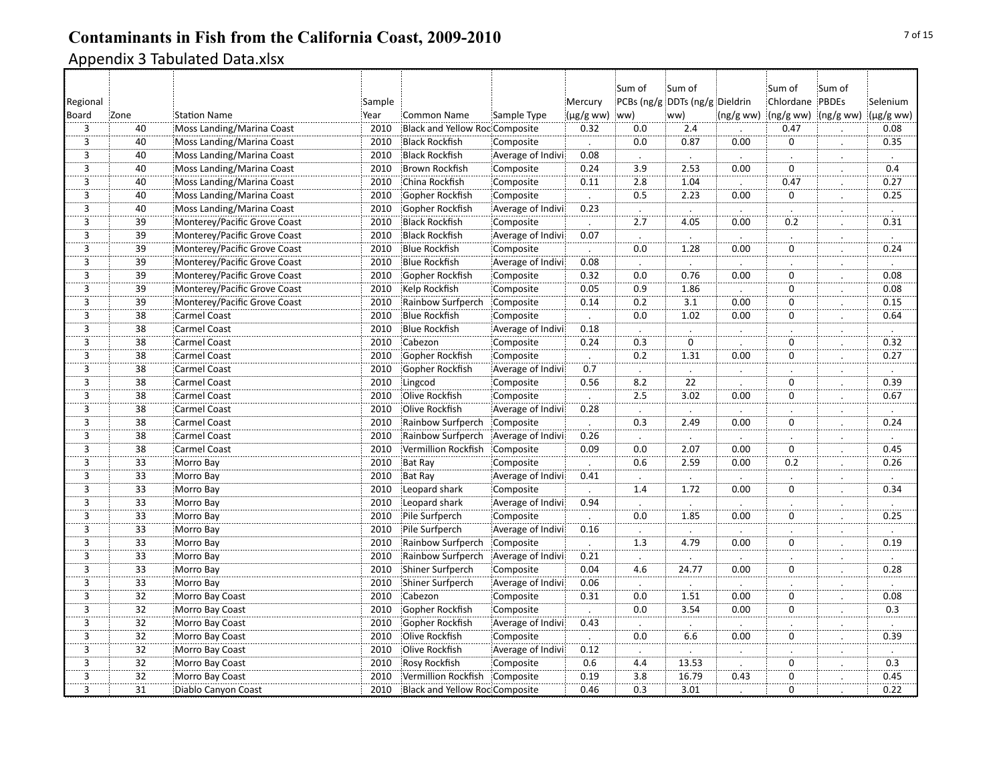|                                      |                 |                              |        |                                       |                   |                      | Sum of           | Sum of                         |                      | :Sum of             | :Sum of              |                      |
|--------------------------------------|-----------------|------------------------------|--------|---------------------------------------|-------------------|----------------------|------------------|--------------------------------|----------------------|---------------------|----------------------|----------------------|
| Regional                             |                 |                              | Sample |                                       |                   | Mercury              |                  | PCBs (ng/g DDTs (ng/g Dieldrin |                      | Chlordane PBDEs     |                      | Selenium             |
| Board                                | Zone            | <b>Station Name</b>          | Year   | <b>Common Name</b>                    | Sample Type       | $(\mu g/g$ ww)       | ww)              | ww)                            | (ng/g ww)            | (ng/g ww) (ng/g ww) |                      | (µg/g ww)            |
| 3                                    | 40              | Moss Landing/Marina Coast    | 2010   | <b>Black and Yellow Roc Composite</b> |                   | 0.32                 | 0.0              | 2.4                            |                      | 0.47                |                      | 0.08                 |
| $\overline{3}$                       | 40              | Moss Landing/Marina Coast    | 2010   | <b>Black Rockfish</b>                 | Composite         |                      | 0.0              | 0.87                           | 0.00                 | $\mathbf 0$         | $\cdot$              | 0.35                 |
| $\overline{3}$                       | 40              | Moss Landing/Marina Coast    | 2010   | <b>Black Rockfish</b>                 | Average of Indivi | 0.08                 |                  |                                |                      |                     |                      |                      |
| 3                                    | 40              | Moss Landing/Marina Coast    | 2010   | <b>Brown Rockfish</b>                 | Composite         | 0.24                 | 3.9              | 2.53                           | 0.00                 | $\mathbf 0$         | $\ddot{\phantom{0}}$ | 0.4                  |
| $\overline{3}$                       | 40              | Moss Landing/Marina Coast    | 2010   | China Rockfish                        | Composite         | 0.11                 | 2.8              | 1.04                           |                      | 0.47                | ∴.                   | 0.27                 |
| $\overline{3}$                       | 40              | Moss Landing/Marina Coast    | 2010   | Gopher Rockfish                       | Composite         |                      | 0.5              | 2.23                           | 0.00                 | $\mathbf 0$         | $\cdot$              | 0.25                 |
| $\overline{3}$                       | 40              | Moss Landing/Marina Coast    | 2010   | Gopher Rockfish                       | Average of Indivi | 0.23                 |                  | $\cdot$                        |                      |                     | $\therefore$         | $\ddot{\phantom{a}}$ |
| $\frac{1}{3}$                        | $\overline{39}$ | Monterey/Pacific Grove Coast | 2010   | <b>Black Rockfish</b>                 | Composite         |                      | $\frac{1}{2.7}$  | 4.05                           | $\frac{1}{0.00}$     | $\overline{0.2}$    |                      | 0.31                 |
| 3                                    | 39              | Monterey/Pacific Grove Coast | 2010   | <b>Black Rockfish</b>                 | Average of Indivi | 0.07                 | $\cdot$          |                                |                      |                     |                      |                      |
| $\overline{3}$                       | 39              | Monterey/Pacific Grove Coast | 2010   | <b>Blue Rockfish</b>                  | Composite         |                      | 0.0              | 1.28                           | 0.00                 | $\mathbf 0$         |                      | 0.24                 |
| $\overline{3}$                       | 39              | Monterey/Pacific Grove Coast | 2010   | <b>Blue Rockfish</b>                  | Average of Indivi | 0.08                 |                  |                                |                      |                     |                      |                      |
| 3                                    | 39              | Monterey/Pacific Grove Coast | 2010   | Gopher Rockfish                       | Composite         | 0.32                 | 0.0              | 0.76                           | 0.00                 | $\mathbf 0$         | ż.                   | 0.08                 |
| $\dddot{3}$                          | $\overline{39}$ | Monterey/Pacific Grove Coast | 2010   | Kelp Rockfish                         | Composite         | 0.05                 | $\overline{0.9}$ | 1.86                           |                      | $\overline{0}$      |                      | 0.08                 |
| 3                                    | 39              | Monterey/Pacific Grove Coast | 2010   | Rainbow Surfperch                     | Composite         | 0.14                 | 0.2              | 3.1                            | 0.00                 | $\mathbf 0$         |                      | 0.15                 |
| $\overline{3}$                       | $\overline{38}$ | <b>Carmel Coast</b>          | 2010   | <b>Blue Rockfish</b>                  | Composite         |                      | 0.0              | 1.02                           | 0.00                 | $\mathbf 0$         |                      | 0.64                 |
| $\overline{3}$                       | 38              | Carmel Coast                 | 2010   | <b>Blue Rockfish</b>                  | Average of Indivi | 0.18                 |                  |                                |                      |                     |                      |                      |
| $\overline{3}$                       | 38              | <b>Carmel Coast</b>          | 2010   | Cabezon                               | Composite         | 0.24                 | $\overline{0.3}$ | $\overline{0}$                 |                      | $\mathbf 0$         | Ż.                   | 0.32                 |
| $\overline{3}$                       | $\overline{38}$ | Carmel Coast                 | 2010   | Gopher Rockfish                       | Composite         | $\cdot$              | 0.2              | 1.31                           | 0.00                 | ö                   |                      | 0.27                 |
| 3                                    | 38              | <b>Carmel Coast</b>          | 2010   | Gopher Rockfish                       | Average of Indivi | 0.7                  | $\cdot$          |                                | $\therefore$         |                     |                      |                      |
| $\overline{3}$                       | 38              | Carmel Coast                 | 2010   | Lingcod                               | Composite         | 0.56                 | 8.2              | 22                             |                      | $\mathbf 0$         |                      | 0.39                 |
| $\overline{3}$                       | 38              | <b>Carmel Coast</b>          | 2010   | Olive Rockfish                        | Composite         |                      | 2.5              | 3.02                           | 0.00                 | $\mathbf 0$         | $\cdot$              | 0.67                 |
| $\overline{3}$                       | $\overline{38}$ | <b>Carmel Coast</b>          | 2010   | Olive Rockfish                        | Average of Indivi | 0.28                 | $\cdot$          | $\cdot$                        |                      |                     | $\bullet$            | $\cdot$              |
| $\overline{3}$                       | 38              | <b>Carmel Coast</b>          | 2010   | Rainbow Surfperch                     | Composite         | $\ddot{\phantom{a}}$ | 0.3              | 2.49                           | 0.00                 | $\overline{0}$      |                      | 0.24                 |
| $\overline{3}$                       | 38              | <b>Carmel Coast</b>          | 2010   | Rainbow Surfperch                     | Average of Indivi | 0.26                 |                  |                                |                      |                     |                      |                      |
| $\overline{3}$                       | 38              | Carmel Coast                 | 2010   | Vermillion Rockfish                   | Composite         | 0.09                 | 0.0              | 2.07                           | 0.00                 | $\mathbf 0$         |                      | 0.45                 |
| $\overline{\overline{\overline{3}}}$ | 33              | Morro Bay                    | 2010   | <b>Bat Ray</b>                        | Composite         |                      | 0.6              | 2.59                           | 0.00                 | 0.2                 |                      | 0.26                 |
| $\overline{3}$                       | $\overline{33}$ | Morro Bay                    | 2010   | <b>Bat Ray</b>                        | Average of Indivi | 0.41                 | $\cdot$          | $\cdot$                        |                      |                     | $\cdot$              | $\cdot$              |
| $\overline{3}$                       | 33              | Morro Bay                    | 2010   | Leopard shark                         | Composite         |                      | 1.4              | 1.72                           | 0.00                 | $\mathbf 0$         |                      | 0.34                 |
| 3                                    | 33              | Morro Bay                    | 2010   | Leopard shark                         | Average of Indivi | 0.94                 | $\cdot$          |                                |                      |                     | $\ddot{\phantom{0}}$ | $\cdot$              |
| $\overline{3}$                       | 33              | Morro Bay                    | 2010   | Pile Surfperch                        | Composite         |                      | 0.0              | 1.85                           | 0.00                 | $\mathbf 0$         |                      | 0.25                 |
| $\overline{3}$                       | $\overline{33}$ | Morro Bay                    | 2010   | Pile Surfperch                        | Average of Indivi | 0.16                 |                  |                                |                      |                     | $\bullet$            |                      |
| $\overline{3}$                       | $\overline{33}$ | Morro Bay                    | 2010   | Rainbow Surfperch                     | Composite         | $\cdot$              | 1.3              | 4.79                           | 0.00                 | $\mathbf 0$         | $\cdot$              | 0.19                 |
| $\overline{3}$                       | $\overline{33}$ | Morro Bay                    | 2010   | Rainbow Surfperch                     | Average of Indivi | 0.21                 |                  |                                |                      |                     |                      |                      |
| $\overline{3}$                       | 33              | Morro Bay                    | 2010   | Shiner Surfperch                      | Composite         | 0.04                 | 4.6              | 24.77                          | $\frac{1}{0.00}$     | 0                   |                      | 0.28                 |
| $\overline{3}$                       | $\overline{33}$ | Morro Bay                    | 2010   | Shiner Surfperch                      | Average of Indivi | 0.06                 |                  |                                |                      |                     |                      |                      |
| $\overline{3}$                       | $\overline{32}$ | Morro Bay Coast              | 2010   | Cabezon                               | Composite         | 0.31                 | $\overline{0.0}$ | 1.51                           | 0.00                 | $\overline{0}$      |                      | 0.08                 |
| 3                                    | 32              | Morro Bay Coast              | 2010   | Gopher Rockfish                       | Composite         | $\cdot$              | 0.0              | 3.54                           | 0.00                 | $\mathbf 0$         | $\cdot$              | 0.3                  |
| $\overline{3}$                       | $\overline{32}$ | Morro Bay Coast              | 2010   | Gopher Rockfish                       | Average of Indivi | 0.43                 | $\cdot$          |                                | $\ddot{\phantom{a}}$ |                     |                      |                      |
| 3                                    | 32              | Morro Bay Coast              | 2010   | Olive Rockfish                        | Composite         |                      | 0.0              | 6.6                            | 0.00                 | 0                   |                      | 0.39                 |
| $\overline{3}$                       | 32              | Morro Bay Coast              | 2010   | Olive Rockfish                        | Average of Indivi | 0.12                 |                  |                                |                      |                     |                      |                      |
| $\overline{3}$                       | $\overline{32}$ | Morro Bay Coast              | 2010   | Rosy Rockfish                         | Composite         | 0.6                  | 4.4              | 13.53                          |                      | 0                   |                      | $\overline{0.3}$     |
| $\overline{3}$                       | $\overline{32}$ | Morro Bay Coast              | 2010   | Vermillion Rockfish                   | Composite         | 0.19                 | 3.8              | 16.79                          | 0.43                 | $\overline{0}$      | $\cdot$              | 0.45                 |
| $\overline{3}$                       | $\overline{31}$ | Diablo Canyon Coast          | 2010   | <b>Black and Yellow Roc Composite</b> |                   | 0.46                 | $\overline{0.3}$ | 3.01                           |                      | $\overline{0}$      |                      | 0.22                 |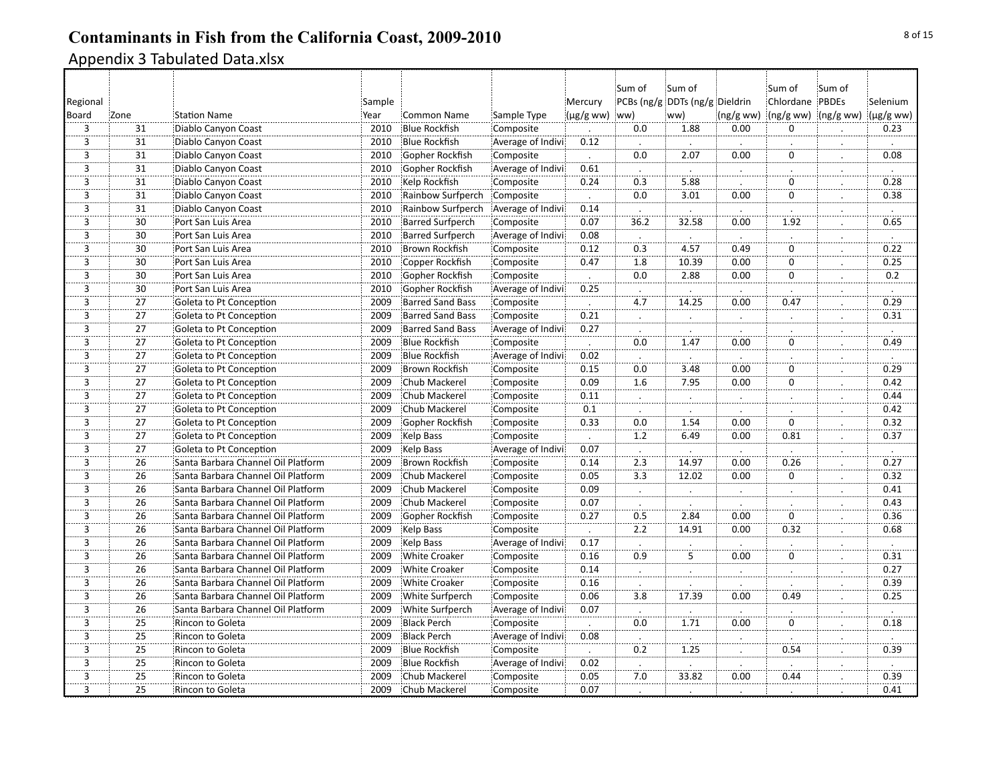|                         |                 |                                    |        |                         |                   |                      | Sum of               | Sum of                         |                | :Sum of             | Sum of               |                      |
|-------------------------|-----------------|------------------------------------|--------|-------------------------|-------------------|----------------------|----------------------|--------------------------------|----------------|---------------------|----------------------|----------------------|
| Regional                |                 |                                    | Sample |                         |                   | Mercury              |                      | PCBs (ng/g DDTs (ng/g Dieldrin |                | Chlordane PBDEs     |                      | Selenium             |
| Board                   | Zone            | <b>Station Name</b>                | Year   | <b>Common Name</b>      | Sample Type       | (µg/g ww) ww)        |                      | ww)                            | (ng/g ww)      | (ng/g ww) (ng/g ww) |                      | $(\mu g/g$ ww)       |
| $\overline{3}$          | 31              | Diablo Canyon Coast                | 2010   | <b>Blue Rockfish</b>    | Composite         |                      | 0.0                  | 1.88                           | 0.00           | $\Omega$            |                      | 0.23                 |
| $\overline{3}$          | 31              | Diablo Canyon Coast                | 2010   | <b>Blue Rockfish</b>    | Average of Indivi | 0.12                 | $\cdot$              |                                |                |                     |                      | $\cdot$              |
| $\overline{3}$          | 31              | Diablo Canyon Coast                | 2010   | Gopher Rockfish         | Composite         | $\ddot{\phantom{a}}$ | 0.0                  | 2.07                           | 0.00           | $\Omega$            |                      | 0.08                 |
| $\overline{3}$          | 31              | Diablo Canyon Coast                | 2010   | Gopher Rockfish         | Average of Indivi | 0.61                 | $\cdot$              |                                |                |                     | $\ddot{\phantom{0}}$ | $\ddot{\phantom{a}}$ |
| $\overline{3}$          | 31              | Diablo Canyon Coast                | 2010   | Kelp Rockfish           | Composite         | 0.24                 | 0.3                  | 5.88                           |                | $\mathbf 0$         |                      | 0.28                 |
| $\overline{3}$          | 31              | Diablo Canyon Coast                | 2010   | Rainbow Surfperch       | Composite         |                      | 0.0                  | 3.01                           | 0.00           | $\Omega$            | .                    | 0.38                 |
| $\overline{3}$          | $\overline{31}$ | Diablo Canyon Coast                | 2010   | Rainbow Surfperch       | Average of Indivi | 0.14                 | $\cdot$              |                                | $\cdot$        |                     | $\blacksquare$       | $\cdot$              |
| $\overline{3}$          | $\overline{30}$ | Port San Luis Area                 | 2010   | <b>Barred Surfperch</b> | Composite         | 0.07                 | 36.2                 | 32.58                          | 0.00           | 1.92                |                      | 0.65                 |
| $\overline{3}$          | 30              | Port San Luis Area                 | 2010   | <b>Barred Surfperch</b> | Average of Indivi | 0.08                 | $\ddot{\phantom{a}}$ |                                |                |                     |                      |                      |
| 3                       | 30              | Port San Luis Area                 | 2010   | <b>Brown Rockfish</b>   | Composite         | 0.12                 | 0.3                  | 4.57                           | 0.49           | $\mathbf 0$         |                      | 0.22                 |
| $\overline{3}$          | 30              | Port San Luis Area                 | 2010   | Copper Rockfish         | Composite         | 0.47                 | 1.8                  | 10.39                          | 0.00           | $\mathbf 0$         | $\cdot$              | 0.25                 |
| $\overline{3}$          | 30              | Port San Luis Area                 | 2010   | Gopher Rockfish         | Composite         | $\cdot$              | 0.0                  | 2.88                           | 0.00           | $\mathbf 0$         | $\ddot{\cdot}$       | 0.2                  |
| $\overline{3}$          | $\overline{30}$ | Port San Luis Area                 | 2010   | Gopher Rockfish         | Average of Indivi | 0.25                 | $\cdot$              |                                |                |                     |                      |                      |
| $\overline{\mathbf{3}}$ | 27              | Goleta to Pt Conception            | 2009   | <b>Barred Sand Bass</b> | Composite         |                      | 4.7                  | 14.25                          | 0.00           | 0.47                |                      | 0.29                 |
| $\overline{\mathbf{3}}$ | 27              | Goleta to Pt Conception            | 2009   | <b>Barred Sand Bass</b> | Composite         | 0.21                 | À.                   |                                | $\mathbf{L}$   |                     |                      | 0.31                 |
| $\overline{3}$          | 27              | Goleta to Pt Conception            | 2009   | <b>Barred Sand Bass</b> | Average of Indivi | 0.27                 |                      |                                |                |                     |                      |                      |
| $\overline{3}$          | 27              | Goleta to Pt Conception            | 2009   | <b>Blue Rockfish</b>    | Composite         | $\blacksquare$       | 0.0                  | 1.47                           | 0.00           | $\mathbf 0$         | $\mathbf{L}$         | 0.49                 |
| $\overline{3}$          | $\overline{27}$ | Goleta to Pt Conception            | 2009   | <b>Blue Rockfish</b>    | Average of Indivi | 0.02                 |                      |                                |                |                     |                      |                      |
| 3                       | 27              | Goleta to Pt Conception            | 2009   | Brown Rockfish          | Composite         | 0.15                 | 0.0                  | 3.48                           | 0.00           | $\mathbf 0$         |                      | 0.29                 |
| 3                       | 27              | Goleta to Pt Conception            | 2009   | Chub Mackerel           | Composite         | 0.09                 | 1.6                  | 7.95                           | 0.00           | 0                   |                      | 0.42                 |
| $\overline{3}$          | 27              | Goleta to Pt Conception            | 2009   | Chub Mackerel           | Composite         | 0.11                 | $\cdot$              |                                |                |                     |                      | 0.44                 |
| $\overline{3}$          | 27              | Goleta to Pt Conception            | 2009   | Chub Mackerel           | Composite         | 0.1                  | $\cdot$              |                                |                |                     | $\bullet$            | 0.42                 |
| $\overline{3}$          | 27              | Goleta to Pt Conception            | 2009   | Gopher Rockfish         | Composite         | 0.33                 | 0.0                  | 1.54                           | 0.00           | $\overline{0}$      |                      | 0.32                 |
| $\overline{3}$          | 27              | Goleta to Pt Conception            | 2009   | Kelp Bass               | Composite         |                      | 1.2                  | 6.49                           | 0.00           | 0.81                | $\ddot{\phantom{a}}$ | 0.37                 |
| $\overline{3}$          | 27              | Goleta to Pt Conception            | 2009   | Kelp Bass               | Average of Indivi | 0.07                 | $\cdot$              |                                |                |                     |                      | $\cdot$              |
| $\overline{3}$          | 26              | Santa Barbara Channel Oil Platform | 2009   | <b>Brown Rockfish</b>   | Composite         | 0.14                 | 2.3                  | 14.97                          | 0.00           | 0.26                |                      | 0.27                 |
| $\overline{3}$          | 26              | Santa Barbara Channel Oil Platform | 2009   | Chub Mackerel           | Composite         | 0.05                 | 3.3                  | 12.02                          | 0.00           | $\mathbf 0$         | $\cdot$              | 0.32                 |
| $\overline{3}$          | 26              | Santa Barbara Channel Oil Platform | 2009   | Chub Mackerel           | Composite         | 0.09                 |                      |                                |                |                     |                      | 0.41                 |
| 3                       | 26              | Santa Barbara Channel Oil Platform | 2009   | Chub Mackerel           | Composite         | 0.07                 | $\cdot$              | $\cdot$                        | $\cdot$        |                     | $\cdot$              | 0.43                 |
| $\overline{3}$          | 26              | Santa Barbara Channel Oil Platform | 2009   | Gopher Rockfish         | Composite         | 0.27                 | 0.5                  | 2.84                           | 0.00           | $\Omega$            |                      | 0.36                 |
| $\overline{3}$          | 26              | Santa Barbara Channel Oil Platform | 2009   | Kelp Bass               | Composite         |                      | 2.2                  | 14.91                          | 0.00           | 0.32                | .<br>$\cdot$         | 0.68                 |
| $\overline{3}$          | $\overline{26}$ | Santa Barbara Channel Oil Platform | 2009   | Kelp Bass               | Average of Indivi | 0.17                 |                      |                                | $\cdot$        |                     | $\bullet$            | $\cdot$              |
| $\overline{3}$          | $\overline{26}$ | Santa Barbara Channel Oil Platform | 2009   | <b>White Croaker</b>    | Composite         | 0.16                 | $\frac{1}{0.9}$      | $\overline{5}$                 | 0.00           | $\overline{0}$      |                      | 0.31                 |
| $\overline{3}$          | 26              | Santa Barbara Channel Oil Platform | 2009   | <b>White Croaker</b>    | Composite         | 0.14                 | $\cdot$              | $\ddot{\phantom{a}}$           | $\blacksquare$ |                     |                      | 0.27                 |
| $\overline{3}$          | 26              | Santa Barbara Channel Oil Platform | 2009   | <b>White Croaker</b>    | Composite         | 0.16                 |                      |                                |                |                     |                      | 0.39                 |
| $\overline{3}$          | 26              | Santa Barbara Channel Oil Platform | 2009   | White Surfperch         | Composite         | 0.06                 | $\overline{3.8}$     | 17.39                          | 0.00           | 0.49                |                      | 0.25                 |
| $\overline{3}$          | 26              | Santa Barbara Channel Oil Platform | 2009   | White Surfperch         | Average of Indivi | 0.07                 | $\cdot$              |                                | $\blacksquare$ |                     | $\ddot{\cdot}$       | $\ddot{\phantom{a}}$ |
| $\overline{3}$          | $\overline{25}$ | Rincon to Goleta                   | 2009   | <b>Black Perch</b>      | Composite         | $\cdot$              | $\overline{0.0}$     | 1.71                           | 0.00           | ö                   | $\cdot$              | 0.18                 |
| 3                       | 25              | Rincon to Goleta                   | 2009   | <b>Black Perch</b>      | Average of Indivi | 0.08                 |                      |                                |                |                     |                      |                      |
| $\overline{3}$          | 25              | Rincon to Goleta                   | 2009   | <b>Blue Rockfish</b>    | Composite         |                      | 0.2                  | 1.25                           |                | 0.54                |                      | 0.39                 |
| $\overline{3}$          | $\overline{25}$ | Rincon to Goleta                   | 2009   | <b>Blue Rockfish</b>    | Average of Indivi | 0.02                 |                      |                                |                |                     |                      |                      |
| $\overline{3}$          | 25              | Rincon to Goleta                   | 2009   | Chub Mackerel           | Composite         | 0.05                 | 7.0                  | 33.82                          | 0.00           | 0.44                | ż.                   | 0.39                 |
| $\frac{1}{3}$           | $\overline{25}$ | Rincon to Goleta                   | 2009   | Chub Mackerel           | Composite         | 0.07                 |                      |                                |                |                     |                      | 0.41                 |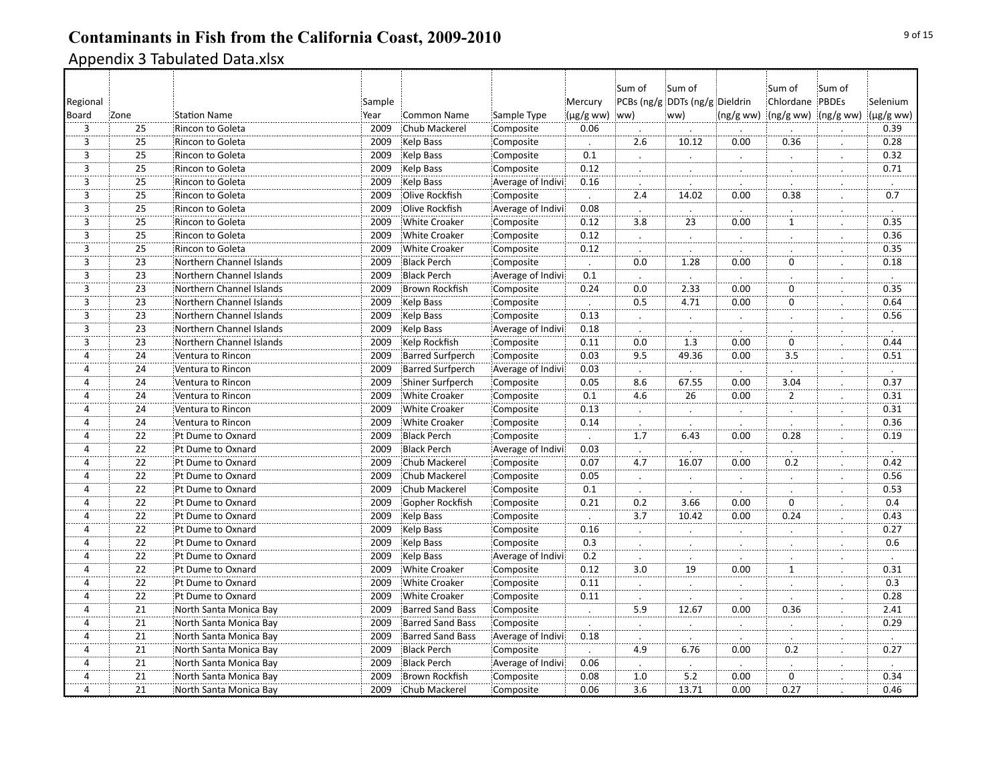| Regional       |                            |                          | Sample |                         |                   | Mercury              | Sum of           | Sum of<br>PCBs (ng/g DDTs (ng/g Dieldrin |                      | :Sum of<br>Chlordane PBDEs | Sum of         | Selenium               |
|----------------|----------------------------|--------------------------|--------|-------------------------|-------------------|----------------------|------------------|------------------------------------------|----------------------|----------------------------|----------------|------------------------|
| Board          | Zone                       | <b>Station Name</b>      | Year   | <b>Common Name</b>      | Sample Type       | $(\mu g/g$ ww)       | ww)              | ww)                                      | (ng/gww)             | (ng/g ww) (ng/g ww)        |                | $(\mu$ g/g ww)         |
| $\overline{3}$ | 25                         | Rincon to Goleta         | 2009   | <b>Chub Mackerel</b>    | Composite         | 0.06                 |                  |                                          |                      |                            |                | 0.39                   |
| $\overline{3}$ | 25                         | Rincon to Goleta         | 2009   | Kelp Bass               | Composite         | $\ddot{\phantom{a}}$ | 2.6              | 10.12                                    | 0.00                 | 0.36                       | $\blacksquare$ | 0.28                   |
| 3              | 25                         | Rincon to Goleta         | 2009   | <b>Kelp Bass</b>        | Composite         | 0.1                  | $\cdot$          |                                          |                      |                            |                | 0.32                   |
| $\overline{3}$ | 25                         | Rincon to Goleta         | 2009   | Kelp Bass               | Composite         | 0.12                 | $\cdot$          |                                          | $\blacksquare$       |                            |                | 0.71                   |
| 3              | 25                         | Rincon to Goleta         | 2009   | Kelp Bass               | Average of Indivi | 0.16                 | $\cdot$          |                                          |                      |                            |                |                        |
| 3              | 25                         | Rincon to Goleta         | 2009   | Olive Rockfish          | Composite         |                      | 2.4              | 14.02                                    | 0.00                 | 0.38                       |                | $\dot{\overline{0.7}}$ |
| $\overline{3}$ | 25                         | Rincon to Goleta         | 2009   | Olive Rockfish          | Average of Indivi | 0.08                 | $\cdot$          |                                          | $\cdot$              |                            |                |                        |
| $\overline{3}$ | $\overline{25}$            | Rincon to Goleta         | 2009   | <b>White Croaker</b>    | Composite         | 0.12                 | $\overline{3.8}$ | $\overline{23}$                          | 0.00                 | $\mathbf{1}$               |                | 0.35                   |
| $\overline{3}$ | $\overline{25}$            | Rincon to Goleta         | 2009   | <b>White Croaker</b>    | Composite         | 0.12                 | $\cdot$          |                                          |                      |                            |                | 0.36                   |
| 3              | 25                         | Rincon to Goleta         | 2009   | <b>White Croaker</b>    | Composite         | 0.12                 | $\cdot$          |                                          |                      |                            |                | 0.35                   |
| $\overline{3}$ | 23                         | Northern Channel Islands | 2009   | <b>Black Perch</b>      | Composite         |                      | 0.0              | 1.28                                     | 0.00                 | $\mathbf 0$                |                | 0.18                   |
| $\overline{3}$ | 23                         | Northern Channel Islands | 2009   | <b>Black Perch</b>      | Average of Indivi | 0.1                  | $\cdot$          |                                          | $\cdot$              |                            |                | $\cdot$                |
| $\overline{3}$ | $\overline{23}$            | Northern Channel Islands | 2009   | <b>Brown Rockfish</b>   | Composite         | 0.24                 | $\overline{0.0}$ | 2.33                                     | 0.00                 | $\overline{0}$             | .              | 0.35                   |
| $\overline{3}$ | $\overline{23}$            | Northern Channel Islands | 2009   | Kelp Bass               | Composite         |                      | $\overline{0.5}$ | 4.71                                     | 0.00                 | $\mathbf 0$                |                | 0.64                   |
| 3              | 23                         | Northern Channel Islands | 2009   | Kelp Bass               | Composite         | 0.13                 | $\cdot$          | $\mathbf{L}$                             | $\ldots$             |                            |                | 0.56                   |
| $\overline{3}$ | 23                         | Northern Channel Islands | 2009   | Kelp Bass               | Average of Indivi | 0.18                 |                  |                                          |                      |                            |                |                        |
| $\overline{3}$ | 23                         | Northern Channel Islands | 2009   | Kelp Rockfish           | Composite         | 0.11                 | 0.0              | 1.3                                      | 0.00                 | $\mathbf 0$                |                | 0.44                   |
| $\overline{4}$ | $\overline{24}$            | Ventura to Rincon        | 2009   | <b>Barred Surfperch</b> | Composite         | 0.03                 | 9.5              | 49.36                                    | 0.00                 | $\overline{3.5}$           | $\cdot$        | 0.51                   |
| $\overline{4}$ | 24                         | Ventura to Rincon        | 2009   | <b>Barred Surfperch</b> | Average of Indivi | 0.03                 | $\cdot$          |                                          | $\ddot{\phantom{a}}$ |                            |                | $\cdot$                |
| 4              | 24                         | Ventura to Rincon        | 2009   | Shiner Surfperch        | Composite         | 0.05                 | 8.6              | 67.55                                    | 0.00                 | 3.04                       |                | 0.37                   |
| 4              | 24                         | Ventura to Rincon        | 2009   | <b>White Croaker</b>    | Composite         | 0.1                  | 4.6              | 26                                       | 0.00                 | $\overline{2}$             |                | 0.31                   |
| $\overline{4}$ | 24                         | Ventura to Rincon        | 2009   | <b>White Croaker</b>    | Composite         | 0.13                 | $\cdot$          | $\ddot{\phantom{0}}$                     | $\bullet$            | $\cdot$                    | $\cdot$        | 0.31                   |
| $\overline{4}$ | 24                         | Ventura to Rincon        | 2009   | <b>White Croaker</b>    | Composite         | 0.14                 |                  |                                          |                      |                            |                | 0.36                   |
| 4              | 22                         | Pt Dume to Oxnard        | 2009   | <b>Black Perch</b>      | Composite         | $\cdot$              | $\overline{1.7}$ | 6.43                                     | 0.00                 | 0.28                       | $\cdot$        | 0.19                   |
| $\overline{4}$ | $\overline{22}$            | Pt Dume to Oxnard        | 2009   | <b>Black Perch</b>      | Average of Indivi | 0.03                 | $\cdot$          |                                          | $\blacksquare$       |                            |                |                        |
| $\overline{4}$ | 22                         | Pt Dume to Oxnard        | 2009   | Chub Mackerel           | Composite         | 0.07                 | 4.7              | 16.07                                    | 0.00                 | 0.2                        |                | 0.42                   |
| $\overline{4}$ | 22                         | Pt Dume to Oxnard        | 2009   | Chub Mackerel           | Composite         | 0.05                 | $\cdot$          | $\ddot{\phantom{0}}$                     | $\ddot{\phantom{a}}$ | $\cdot$                    | $\cdot$        | 0.56                   |
| $\overline{4}$ | 22                         | Pt Dume to Oxnard        | 2009   | Chub Mackerel           | Composite         | 0.1                  |                  |                                          |                      |                            |                | 0.53                   |
| 4              | $\overline{2}\overline{2}$ | Pt Dume to Oxnard        | 2009   | Gopher Rockfish         | Composite         | 0.21                 | $\overline{0.2}$ | 3.66                                     | 0.00                 | $\mathbf 0$                |                | 0.4                    |
| $\overline{4}$ | $\overline{22}$            | Pt Dume to Oxnard        | 2009   | Kelp Bass               | Composite         |                      | $\overline{3.7}$ | 10.42                                    | 0.00                 | 0.24                       |                | 0.43                   |
| $\overline{4}$ | 22                         | Pt Dume to Oxnard        | 2009   | Kelp Bass               | Composite         | 0.16                 | $\cdot$          |                                          | $\bullet$            |                            | $\bullet$      | 0.27                   |
| $\overline{4}$ | $\overline{22}$            | Pt Dume to Oxnard        | 2009   | Kelp Bass               | Composite         | 0.3                  | L.               |                                          | Ż.                   |                            |                | 0.6                    |
| $\overline{4}$ | $\overline{22}$            | Pt Dume to Oxnard        | 2009   | Kelp Bass               | Average of Indivi | 0.2                  |                  |                                          |                      |                            |                |                        |
| 4              | $\overline{2}\overline{2}$ | Pt Dume to Oxnard        | 2009   | <b>White Croaker</b>    | Composite         | 0.12                 | $\overline{3.0}$ | $\overline{19}$                          | 0.00                 | $\mathbf{1}$               |                | 0.31                   |
| 4              | 22                         | Pt Dume to Oxnard        | 2009   | <b>White Croaker</b>    | Composite         | 0.11                 |                  |                                          |                      |                            |                | 0.3                    |
| 4              | 22                         | Pt Dume to Oxnard        | 2009   | <b>White Croaker</b>    | Composite         | 0.11                 |                  |                                          |                      |                            |                | 0.28                   |
| $\overline{4}$ | 21                         | North Santa Monica Bay   | 2009   | <b>Barred Sand Bass</b> | Composite         | $\vdots$             | 5.9              | 12.67                                    | 0.00                 | 0.36                       | .              | 2.41                   |
| $\overline{4}$ | $\overline{21}$            | North Santa Monica Bay   | 2009   | Barred Sand Bass        | Composite         | $\cdot$              | $\cdot$          |                                          |                      |                            | $\bullet$      | 0.29                   |
| 4              | $\overline{21}$            | North Santa Monica Bay   | 2009   | <b>Barred Sand Bass</b> | Average of Indivi | 0.18                 | $\cdot$          |                                          |                      |                            |                |                        |
| 4              | 21                         | North Santa Monica Bay   | 2009   | <b>Black Perch</b>      | Composite         |                      | 4.9              | 6.76                                     | 0.00                 | 0.2                        |                | 0.27                   |
| $\overline{4}$ | 21                         | North Santa Monica Bay   | 2009   | <b>Black Perch</b>      | Average of Indivi | 0.06                 |                  |                                          |                      |                            |                |                        |
| 4              | 21                         | North Santa Monica Bay   | 2009   | <b>Brown Rockfish</b>   | Composite         | 0.08                 | 1.0              | 5.2                                      | 0.00                 | $\mathbf 0$                |                | 0.34                   |
| $\overline{4}$ | 21                         | North Santa Monica Bay   | 2009   | Chub Mackerel           | Composite         | 0.06                 | 3.6              | 13.71                                    | 0.00                 | 0.27                       |                | 0.46                   |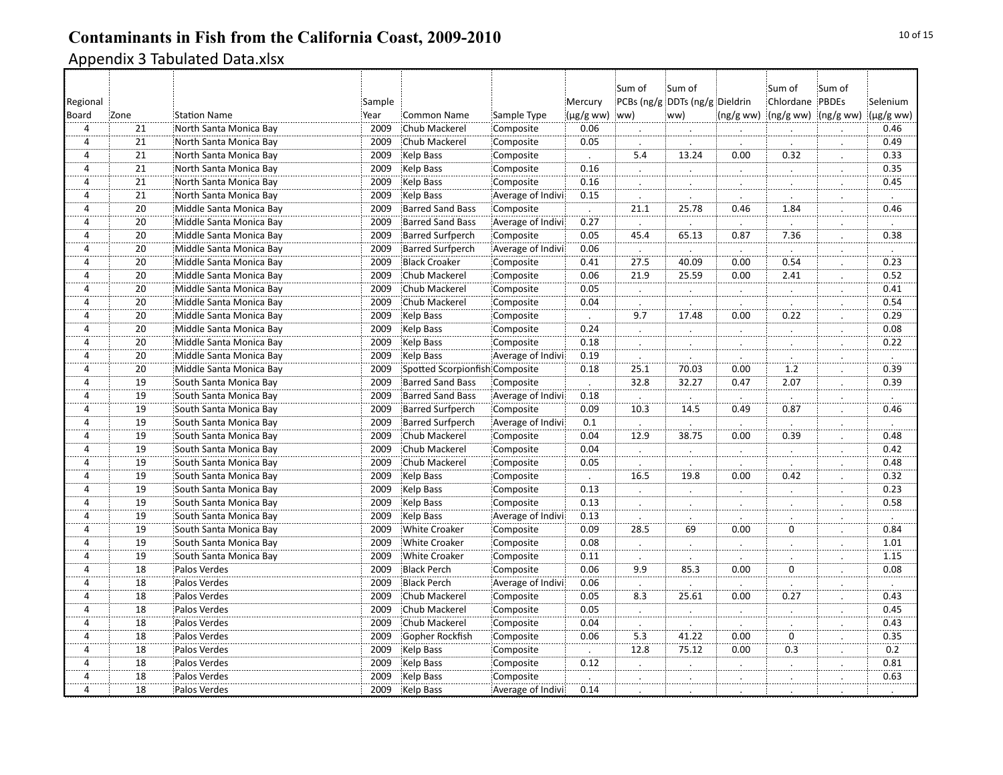|                |                 |                         |        |                                |                   |                | Sum of               | Sum of                         |                      | Sum of              | Sum of               |                |
|----------------|-----------------|-------------------------|--------|--------------------------------|-------------------|----------------|----------------------|--------------------------------|----------------------|---------------------|----------------------|----------------|
| Regional       |                 |                         | Sample |                                |                   | Mercury        |                      | PCBs (ng/g DDTs (ng/g Dieldrin |                      | Chlordane PBDEs     |                      | Selenium       |
| Board          | Zone            | <b>Station Name</b>     | Year   | <b>Common Name</b>             | Sample Type       | $(\mu g/g$ ww) | (ww                  | ww)                            | (ng/gww)             | (ng/g ww) (ng/g ww) |                      | $(\mu g/g$ ww) |
| $\overline{4}$ | 21              | North Santa Monica Bay  | 2009   | Chub Mackerel                  | Composite         | 0.06           |                      |                                |                      |                     |                      | 0.46           |
| $\overline{4}$ | 21              | North Santa Monica Bay  | 2009   | Chub Mackerel                  | Composite         | 0.05           |                      |                                |                      |                     | $\cdot$              | 0.49           |
| $\overline{4}$ | 21              | North Santa Monica Bay  | 2009   | Kelp Bass                      | Composite         | $\overline{a}$ | 5.4                  | 13.24                          | 0.00                 | 0.32                |                      | 0.33           |
| 4              | 21              | North Santa Monica Bay  | 2009   | Kelp Bass                      | Composite         | 0.16           | $\cdot$              | $\ddot{\phantom{a}}$           | $\ddot{\phantom{a}}$ |                     | $\ddot{\phantom{a}}$ | 0.35           |
| $\overline{4}$ | 21              | North Santa Monica Bay  | 2009   | <b>Kelp Bass</b>               | Composite         | 0.16           |                      | ċ.                             | Ż.                   |                     | $\cdot$              | 0.45           |
| $\overline{4}$ | 21              | North Santa Monica Bay  | 2009   | Kelp Bass                      | Average of Indivi | 0.15           |                      |                                |                      |                     |                      |                |
| $\overline{4}$ | $\overline{20}$ | Middle Santa Monica Bay | 2009   | <b>Barred Sand Bass</b>        | Composite         | $\mathcal{L}$  | 21.1                 | 25.78                          | 0.46                 | 1.84                | $\cdot$              | 0.46           |
| $\overline{4}$ | $\overline{20}$ | Middle Santa Monica Bay | 2009   | <b>Barred Sand Bass</b>        | Average of Indivi | 0.27           |                      |                                |                      |                     |                      |                |
| $\overline{4}$ | 20              | Middle Santa Monica Bay | 2009   | <b>Barred Surfperch</b>        | Composite         | 0.05           | 45.4                 | 65.13                          | 0.87                 | 7.36                |                      | 0.38           |
| $\overline{4}$ | 20              | Middle Santa Monica Bay | 2009   | <b>Barred Surfperch</b>        | Average of Indivi | 0.06           |                      |                                |                      |                     |                      |                |
| $\overline{4}$ | 20              | Middle Santa Monica Bay | 2009   | <b>Black Croaker</b>           | Composite         | 0.41           | 27.5                 | 40.09                          | 0.00                 | 0.54                |                      | 0.23           |
| $\overline{4}$ | 20              | Middle Santa Monica Bay | 2009   | Chub Mackerel                  | Composite         | 0.06           | 21.9                 | 25.59                          | 0.00                 | 2.41                | $\vdots$             | 0.52           |
| $\overline{4}$ | $\overline{20}$ | Middle Santa Monica Bay | 2009   | Chub Mackerel                  | Composite         | 0.05           | $\cdot$              | $\cdot$                        |                      |                     | $\cdot$              | 0.41           |
| $\overline{4}$ | $\overline{20}$ | Middle Santa Monica Bay | 2009   | Chub Mackerel                  | Composite         | 0.04           | $\cdot$              |                                |                      |                     |                      | 0.54           |
| $\overline{4}$ | 20              | Middle Santa Monica Bay | 2009   | Kelp Bass                      | Composite         |                | 9.7                  | 17.48                          | 0.00                 | 0.22                |                      | 0.29           |
| 4              | 20              | Middle Santa Monica Bay | 2009   | Kelp Bass                      | Composite         | 0.24           | $\cdot$              |                                | $\cdot$              |                     |                      | 0.08           |
| $\overline{4}$ | 20              | Middle Santa Monica Bay | 2009   | Kelp Bass                      | Composite         | 0.18           | $\therefore$         | $\bullet$                      | $\therefore$         |                     | $\cdot$              | 0.22           |
| $\overline{4}$ | $\overline{20}$ | Middle Santa Monica Bay | 2009   | Kelp Bass                      | Average of Indivi | 0.19           |                      |                                |                      |                     | $\cdot$              | $\cdot$        |
| $\overline{4}$ | 20              | Middle Santa Monica Bay | 2009   | Spotted Scorpionfish Composite |                   | 0.18           | 25.1                 | 70.03                          | 0.00                 | 1.2                 |                      | 0.39           |
| 4              | 19              | South Santa Monica Bay  | 2009   | <b>Barred Sand Bass</b>        | Composite         | $\cdot$        | 32.8                 | 32.27                          | 0.47                 | 2.07                | $\cdot$              | 0.39           |
| 4              | 19              | South Santa Monica Bay  | 2009   | <b>Barred Sand Bass</b>        | Average of Indivi | 0.18           |                      |                                |                      |                     | Ż.                   |                |
| $\overline{4}$ | 19              | South Santa Monica Bay  | 2009   | <b>Barred Surfperch</b>        | Composite         | 0.09           | 10.3                 | 14.5                           | 0.49                 | 0.87                | $\cdot$              | 0.46           |
| $\overline{4}$ | 19              | South Santa Monica Bay  | 2009   | <b>Barred Surfperch</b>        | Average of Indivi | 0.1            | $\ddot{\phantom{a}}$ |                                |                      |                     |                      |                |
| 4              | 19              | South Santa Monica Bay  | 2009   | Chub Mackerel                  | Composite         | 0.04           | 12.9                 | 38.75                          | 0.00                 | 0.39                | $\cdot$              | 0.48           |
| $\overline{4}$ | 19              | South Santa Monica Bay  | 2009   | Chub Mackerel                  | Composite         | 0.04           |                      | $\cdot$                        | $\bullet$            | $\cdot$             | $\cdot$              | 0.42           |
| 4              | 19              | South Santa Monica Bay  | 2009   | Chub Mackerel                  | Composite         | 0.05           |                      |                                |                      |                     |                      | 0.48           |
| $\overline{4}$ | 19              | South Santa Monica Bay  | 2009   | Kelp Bass                      | Composite         | $\Box$         | $\overline{16.5}$    | 19.8                           | 0.00                 | $\overline{0.42}$   | $\cdot$              | 0.32           |
| $\overline{4}$ | 19              | South Santa Monica Bay  | 2009   | <b>Kelp Bass</b>               | Composite         | 0.13           |                      | $\cdot$                        |                      |                     |                      | 0.23           |
| 4              | 19              | South Santa Monica Bay  | 2009   | Kelp Bass                      | Composite         | 0.13           | $\cdot$              | $\ddot{\phantom{a}}$           | $\ddot{\phantom{a}}$ |                     |                      | 0.58           |
| $\overline{4}$ | 19              | South Santa Monica Bay  | 2009   | Kelp Bass                      | Average of Indivi | 0.13           |                      |                                |                      |                     |                      |                |
| ï,             | $\overline{19}$ | South Santa Monica Bay  | 2009   | <b>White Croaker</b>           | Composite         | 0.09           | 28.5                 | $\frac{1}{69}$                 | 0.00                 | $\overline{0}$      |                      | 0.84           |
| $\overline{4}$ | $\overline{19}$ | South Santa Monica Bay  | 2009   | <b>White Croaker</b>           | Composite         | 0.08           | $\therefore$         | $\vdots$                       | $\therefore$         |                     | $\cdot$              | 1.01           |
| $\overline{4}$ | $\overline{19}$ | South Santa Monica Bay  | 2009   | <b>White Croaker</b>           | Composite         | 0.11           |                      |                                |                      |                     |                      | 1.15           |
| 4              | 18              | Palos Verdes            | 2009   | <b>Black Perch</b>             | Composite         | 0.06           | 9.9                  | 85.3                           | 0.00                 | $\mathbf 0$         | $\cdot$              | 0.08           |
| $\overline{4}$ | 18              | Palos Verdes            | 2009   | <b>Black Perch</b>             | Average of Indivi | 0.06           |                      |                                |                      |                     |                      |                |
| $\overline{4}$ | 18              | Palos Verdes            | 2009   | Chub Mackerel                  | Composite         | 0.05           | 8.3                  | 25.61                          | 0.00                 | 0.27                |                      | 0.43           |
| $\overline{4}$ | $\overline{18}$ | Palos Verdes            | 2009   | Chub Mackerel                  | Composite         | 0.05           | $\ddot{a}$           | $\vdots$                       | $\therefore$         |                     | $\vdots$             | 0.45           |
| $\overline{4}$ | $\overline{18}$ | Palos Verdes            | 2009   | Chub Mackerel                  | Composite         | 0.04           |                      |                                |                      |                     | $\cdot$              | 0.43           |
| 4              | 18              | Palos Verdes            | 2009   | Gopher Rockfish                | Composite         | 0.06           | 5.3                  | 41.22                          | 0.00                 | $\mathbf 0$         |                      | 0.35           |
| $\overline{4}$ | 18              | Palos Verdes            | 2009   | Kelp Bass                      | Composite         |                | 12.8                 | 75.12                          | 0.00                 | 0.3                 |                      | 0.2            |
| $\overline{4}$ | 18              | Palos Verdes            | 2009   | Kelp Bass                      | Composite         | 0.12           |                      |                                |                      |                     |                      | 0.81           |
| $\overline{4}$ | 18              | Palos Verdes            | 2009   | Kelp Bass                      | Composite         | $\cdot$        |                      |                                |                      |                     |                      | 0.63           |
| $\overline{4}$ | $\overline{18}$ | Palos Verdes            | 2009   | Kelp Bass                      | Average of Indivi | 0.14           |                      |                                |                      |                     |                      |                |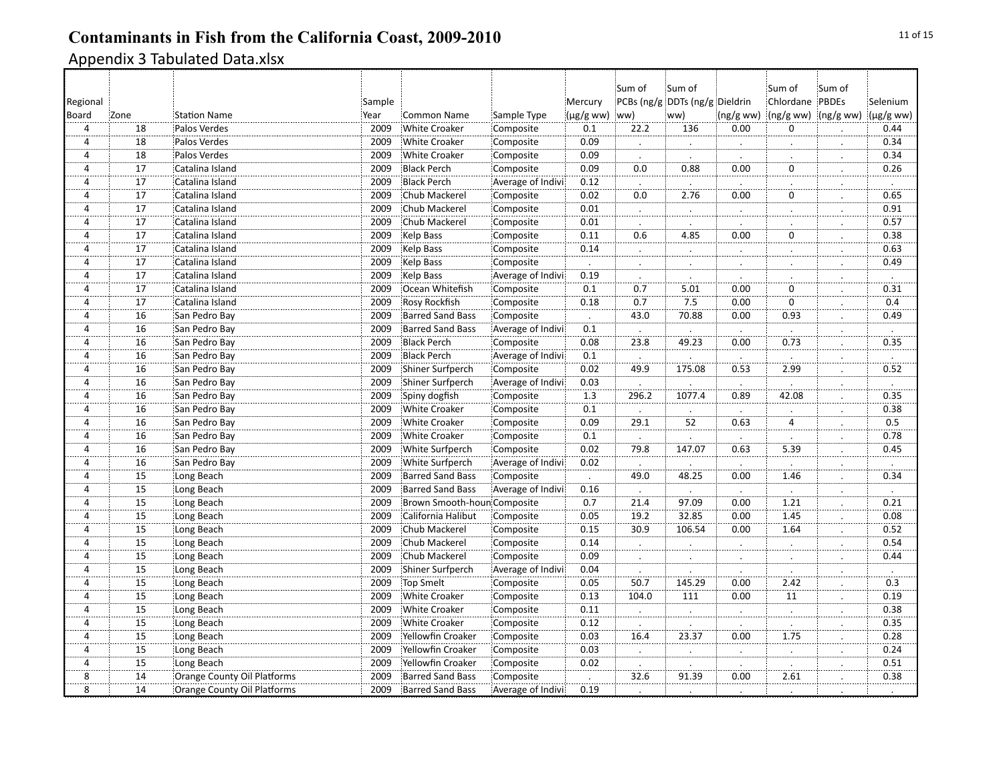|                |                                    |                             |        |                             |                   |                      | Sum of           | Sum of                         |              | :Sum of             | Sum of                      |           |
|----------------|------------------------------------|-----------------------------|--------|-----------------------------|-------------------|----------------------|------------------|--------------------------------|--------------|---------------------|-----------------------------|-----------|
| Regional       |                                    |                             | Sample |                             |                   | Mercury              |                  | PCBs (ng/g DDTs (ng/g Dieldrin |              | Chlordane PBDEs     |                             | Selenium  |
| Board          | Zone                               | <b>Station Name</b>         | Year   | <b>Common Name</b>          | Sample Type       | $(\mu g/g$ ww)       | (ww              | ww)                            | (ng/gww)     | (ng/g ww) (ng/g ww) |                             | (µg/g ww) |
| $\overline{4}$ | 18                                 | Palos Verdes                | 2009   | <b>White Croaker</b>        | Composite         | 0.1                  | 22.2             | 136                            | 0.00         | $\Omega$            |                             | 0.44      |
| $\overline{4}$ | $\overline{18}$                    | Palos Verdes                | 2009   | <b>White Croaker</b>        | Composite         | 0.09                 |                  |                                |              |                     |                             | 0.34      |
| $\overline{4}$ | 18                                 | Palos Verdes                | 2009   | <b>White Croaker</b>        | Composite         | 0.09                 | $\bullet$        | $\cdot$                        | $\cdot$      | $\cdot$             | $\bullet$                   | 0.34      |
| 4              | 17                                 | Catalina Island             | 2009   | <b>Black Perch</b>          | Composite         | 0.09                 | 0.0              | 0.88                           | 0.00         | $\mathbf 0$         |                             | 0.26      |
| 4              | 17                                 |                             | 2009   | <b>Black Perch</b>          |                   |                      |                  |                                |              |                     | $\ddot{\phantom{a}}$        |           |
|                | 17                                 | Catalina Island             |        |                             | Average of Indivi | 0.12<br>0.02         | 0.0              | 2.76                           | 0.00         | ö                   | ÷.,                         |           |
| 4              |                                    | Catalina Island             | 2009   | Chub Mackerel               | Composite         |                      |                  |                                |              |                     |                             | 0.65      |
| $\overline{4}$ | $\overline{17}$<br>$\overline{17}$ | Catalina Island             | 2009   | Chub Mackerel               | Composite         | 0.01                 | $\therefore$     | $\vdots$                       | $\therefore$ | $\cdot$             | $\ddot{\cdot}$ .            | 0.91      |
| 4              |                                    | Catalina Island             | 2009   | Chub Mackerel               | Composite         | 0.01                 |                  |                                |              |                     |                             | 0.57      |
| 4              | 17                                 | Catalina Island             | 2009   | Kelp Bass                   | Composite         | 0.11                 | 0.6              | 4.85                           | 0.00         | $\mathbf 0$         |                             | 0.38      |
| 4              | 17                                 | Catalina Island             | 2009   | Kelp Bass                   | Composite         | 0.14                 | $\sim$           | $\cdot$                        | Ż.           |                     |                             | 0.63      |
| 4              | 17                                 | Catalina Island             | 2009   | Kelp Bass                   | Composite         |                      |                  |                                |              |                     |                             | 0.49      |
| 4              | 17                                 | Catalina Island             | 2009   | Kelp Bass                   | Average of Indivi | 0.19                 | $\cdot$          |                                |              |                     | $\mathcal{L}_{\mathcal{L}}$ | $\cdot$   |
| $\overline{4}$ | <br>17                             | Catalina Island             | 2009   | Ocean Whitefish             | Composite         | 0.1                  | $\overline{0.7}$ | 5.01                           | 0.00         | $\mathbf 0$         | $\cdot$                     | 0.31      |
| 4              | 17                                 | Catalina Island             | 2009   | Rosy Rockfish               | Composite         | 0.18                 | 0.7              | 7.5                            | 0.00         | $\mathbf 0$         |                             | 0.4       |
| 4              | 16                                 | San Pedro Bay               | 2009   | <b>Barred Sand Bass</b>     | Composite         |                      | 43.0             | 70.88                          | 0.00         | 0.93                |                             | 0.49      |
| 4              | 16                                 | San Pedro Bay               | 2009   | <b>Barred Sand Bass</b>     | Average of Indivi | 0.1                  |                  |                                |              |                     |                             |           |
| $\overline{4}$ | $\overline{16}$                    | San Pedro Bay               | 2009   | <b>Black Perch</b>          | Composite         | 0.08                 | 23.8             | 49.23                          | 0.00         | 0.73                | $\cdot$                     | 0.35      |
| 4              | $\overline{16}$                    | San Pedro Bay               | 2009   | <b>Black Perch</b>          | Average of Indivi | 0.1                  | $\cdot$          |                                |              |                     |                             |           |
| 4              | 16                                 | San Pedro Bay               | 2009   | Shiner Surfperch            | Composite         | 0.02                 | 49.9             | 175.08                         | 0.53         | 2.99                |                             | 0.52      |
| 4              | 16                                 | San Pedro Bay               | 2009   | Shiner Surfperch            | Average of Indivi | 0.03                 |                  |                                |              |                     |                             |           |
| 4              | 16                                 | San Pedro Bay               | 2009   | Spiny dogfish               | Composite         | 1.3                  | 296.2            | 1077.4                         | 0.89         | 42.08               |                             | 0.35      |
| 4              | 16                                 | San Pedro Bay               | 2009   | <b>White Croaker</b>        | Composite         | 0.1                  | $\blacksquare$   |                                | $\cdot$      |                     | $\bullet$                   | 0.38      |
| $\overline{4}$ | 16                                 | San Pedro Bay               | 2009   | <b>White Croaker</b>        | Composite         | 0.09                 | 29.1             | 52                             | 0.63         | $\overline{4}$      |                             | 0.5       |
| 4              | 16                                 | San Pedro Bay               | 2009   | <b>White Croaker</b>        | Composite         | 0.1                  |                  |                                |              |                     |                             | 0.78      |
| 4              | 16                                 | San Pedro Bay               | 2009   | White Surfperch             | Composite         | 0.02                 | 79.8             | 147.07                         | 0.63         | 5.39                |                             | 0.45      |
| 4              | 16                                 | San Pedro Bay               | 2009   | White Surfperch             | Average of Indivi | 0.02                 |                  |                                |              |                     |                             |           |
| 4              | $\overline{15}$                    | Long Beach                  | 2009   | <b>Barred Sand Bass</b>     | Composite         | $\ddot{\phantom{a}}$ | 49.0             | 48.25                          | 0.00         | 1.46                | $\bullet$                   | 0.34      |
| $\overline{4}$ | 15                                 | Long Beach                  | 2009   | <b>Barred Sand Bass</b>     | Average of Indivi | 0.16                 | $\cdot$          |                                |              |                     |                             |           |
| 4              | 15                                 | Long Beach                  | 2009   | Brown Smooth-houn Composite |                   | 0.7                  | 21.4             | 97.09                          | 0.00         | 1.21                | $\ddot{\phantom{a}}$        | 0.21      |
| 4              | 15                                 | Long Beach                  | 2009   | California Halibut          | Composite         | 0.05                 | 19.2             | 32.85                          | 0.00         | 1.45                |                             | 0.08      |
| $\overline{4}$ | 15                                 | Long Beach                  | 2009   | Chub Mackerel               | Composite         | 0.15                 | 30.9             | 106.54                         | 0.00         | 1.64                | .                           | 0.52      |
| 4              | $\overline{15}$                    | Long Beach                  | 2009   | Chub Mackerel               | Composite         | 0.14                 |                  |                                |              |                     |                             | 0.54      |
| $\overline{4}$ | $\overline{15}$                    | Long Beach                  | 2009   | Chub Mackerel               | Composite         | 0.09                 | $\cdot$          | $\cdot$                        | $\cdot$      | $\cdot$             | $\cdot$                     | 0.44      |
| 4              | $\overline{15}$                    |                             | 2009   |                             |                   | 0.04                 |                  |                                |              |                     |                             |           |
|                |                                    | Long Beach                  |        | Shiner Surfperch            | Average of Indivi |                      |                  |                                |              |                     |                             |           |
| $\overline{4}$ | $\overline{15}$                    | Long Beach                  | 2009   | <b>Top Smelt</b>            | Composite         | 0.05                 | 50.7             | 145.29                         | 0.00         | 2.42                |                             | 0.3       |
| 4              | 15                                 | Long Beach                  | 2009   | <b>White Croaker</b>        | Composite         | 0.13                 | 104.0            | 111                            | 0.00         | 11                  |                             | 0.19      |
| 4              | $\overline{15}$                    | Long Beach                  | 2009   | <b>White Croaker</b>        | Composite         | 0.11                 | $\ddotsc$        | $\ddot{a}$                     | $\dot{a}$    | $\ddot{\cdot}$      |                             | 0.38      |
| $\overline{4}$ | $\overline{15}$                    | Long Beach                  | 2009   | White Croaker               | Composite         | 0.12                 |                  |                                |              |                     |                             | 0.35      |
| 4              | 15                                 | Long Beach                  | 2009   | Yellowfin Croaker           | Composite         | 0.03                 | 16.4             | 23.37                          | 0.00         | 1.75                |                             | 0.28      |
| $\overline{4}$ | $\overline{15}$                    | Long Beach                  | 2009   | Yellowfin Croaker           | Composite         | 0.03                 |                  |                                | ż.           |                     |                             | 0.24      |
| 4              | 15                                 | Long Beach                  | 2009   | <b>Yellowfin Croaker</b>    | Composite         | 0.02                 |                  |                                |              |                     |                             | 0.51      |
| $\bf 8$        | 14                                 | Orange County Oil Platforms | 2009   | <b>Barred Sand Bass</b>     | Composite         |                      | 32.6             | 91.39                          | 0.00         | 2.61                |                             | 0.38      |
| $\overline{8}$ | 14                                 | Orange County Oil Platforms | 2009   | <b>Barred Sand Bass</b>     | Average of Indivi | 0.19                 |                  |                                |              |                     |                             |           |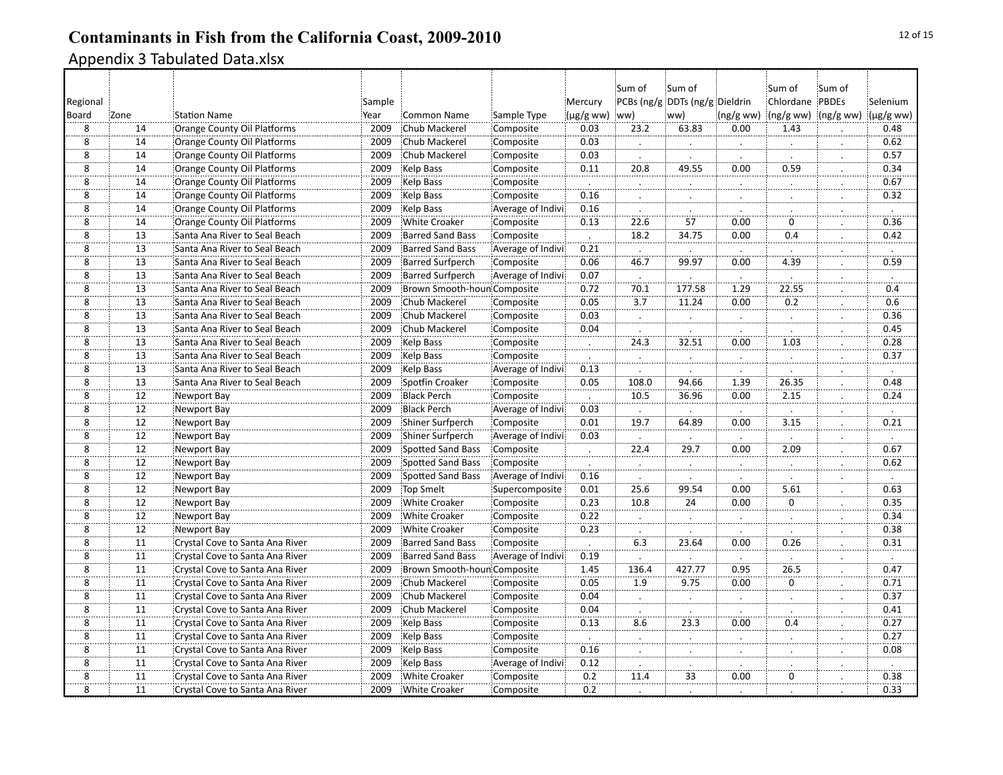| (µg/g ww) ww)<br>8<br>14<br>Orange County Oil Platforms<br>2009<br>0.03<br>23.2<br>63.83<br>0.00<br>1.43<br>Chub Mackerel<br>Composite<br>$\overline{8}$<br>0.03<br>14<br>Orange County Oil Platforms<br>2009<br>Chub Mackerel<br>Composite<br>$\bullet$<br>$\bullet$<br>$\cdot$<br>$\cdot$<br>$\cdot$<br>8<br>14<br>Orange County Oil Platforms<br>2009<br>Chub Mackerel<br>Composite<br>0.03<br>$\overline{8}$<br>20.8<br>0.00<br>0.59<br>49.55<br>Kelp Bass<br>0.11<br>14<br>Orange County Oil Platforms<br>2009<br>Composite<br>$\ddot{\phantom{0}}$<br>8<br>14<br>Orange County Oil Platforms<br>2009<br>Kelp Bass<br>Composite<br>$\cdot$<br>$\therefore$<br>$\cdot$<br>$\overline{8}$<br>Orange County Oil Platforms<br>2009<br>Kelp Bass<br>Composite<br>14<br>0.16<br>$\overline{8}$<br>$\overline{14}$<br>0.16<br>Orange County Oil Platforms<br>2009<br>Kelp Bass<br>Average of Indivi<br>$\cdot$<br>$\cdot$<br>$\overline{8}$<br>$\overline{57}$<br>14<br>0.13<br>22.6<br>0.00<br>$\mathbf 0$<br>Orange County Oil Platforms<br>2009<br><b>White Croaker</b><br>Composite<br>$\overline{8}$<br>Santa Ana River to Seal Beach<br>2009<br><b>Barred Sand Bass</b><br>Composite<br>18.2<br>34.75<br>0.00<br>0.4<br>13<br>$\ddot{\phantom{a}}$<br>$\cdot$<br>8<br>13<br>2009<br><b>Barred Sand Bass</b><br>0.21<br>Santa Ana River to Seal Beach<br>Average of Indivi<br>$\overline{8}$<br>99.97<br>0.06<br>0.00<br>4.39<br>13<br>Santa Ana River to Seal Beach<br>2009<br><b>Barred Surfperch</b><br>Composite<br>46.7<br>$\overline{8}$<br>$\overline{13}$<br>0.07<br>Santa Ana River to Seal Beach<br>2009<br><b>Barred Surfperch</b><br>Average of Indivi<br>$\cdot$<br>$\ddot{\phantom{a}}$<br>$\mathcal{L}_{\mathcal{L}}$<br>$\overline{8}$<br>70.1<br>$\overline{13}$<br>1.29<br>0.72<br>2009<br>177.58<br>22.55<br>Santa Ana River to Seal Beach<br>Brown Smooth-houn Composite<br>$\overline{\bf 8}$<br>$\overline{3.7}$<br>0.05<br>0.2<br>13<br>Chub Mackerel<br>11.24<br>0.00<br>Santa Ana River to Seal Beach<br>2009<br>Composite<br>8<br>$\overline{13}$<br>0.03<br>Santa Ana River to Seal Beach<br>2009<br>Chub Mackerel<br>Composite<br>$\mathbb{R}^2$<br>$\mathbb{Z}^2$<br>$\overline{8}$<br>$\overline{13}$<br>0.04<br>2009<br>Chub Mackerel<br>Composite<br>Santa Ana River to Seal Beach<br>$\overline{8}$<br>32.51<br>13<br>24.3<br>0.00<br>1.03<br>Santa Ana River to Seal Beach<br>2009<br>Kelp Bass<br>Composite<br>$\therefore$<br>ż.<br>$\overline{8}$<br>$\overline{13}$<br>Santa Ana River to Seal Beach<br>2009<br>Kelp Bass<br>Composite<br>$\cdot$<br>$\cdot$<br>$\cdot$<br>$\bullet$<br>$\cdot$<br>$\cdot$<br>$\bf 8$<br>13<br><b>Kelp Bass</b><br>0.13<br>Santa Ana River to Seal Beach<br>2009<br>Average of Indivi<br>$\cdot$<br>8<br>13<br>2009<br>Spotfin Croaker<br>Composite<br>0.05<br>94.66<br>1.39<br>26.35<br>Santa Ana River to Seal Beach<br>108.0<br>8<br>12<br>2009<br><b>Black Perch</b><br>Composite<br>10.5<br>2.15<br>Newport Bay<br>36.96<br>0.00<br>$\ddot{\cdot}$<br>$\overline{\mathbf{8}}$<br>$\overline{12}$<br>2009<br><b>Black Perch</b><br>Average of Indivi<br>0.03<br>Newport Bay<br>$\cdot$<br>$\cdot$<br>$\cdot$<br>$\cdot$<br>$\cdot$<br>$\overline{8}$<br>12<br>0.01<br>3.15<br>2009<br><b>Shiner Surfperch</b><br>Composite<br>19.7<br>64.89<br>0.00<br>Newport Bay<br>$\overline{8}$<br>0.03<br>12<br>2009<br>Shiner Surfperch<br>Average of Indivi<br>Newport Bay<br>$\cdot$<br>$\cdot$<br>8<br>12<br>2009<br>Spotted Sand Bass<br>Composite<br>22.4<br>29.7<br>0.00<br>2.09<br>Newport Bay<br>$\cdot$<br>8<br>12<br>Composite<br>Newport Bay<br>2009<br>Spotted Sand Bass<br><br>Ż.<br>$\overline{8}$<br>12<br>2009<br><b>Spotted Sand Bass</b><br>0.16<br>Newport Bay<br>Average of Indivi<br>$\cdot$<br>$\cdot$<br>8<br>12<br><b>Top Smelt</b><br>25.6<br>99.54<br>0.00<br>5.61<br>Newport Bay<br>2009<br>Supercomposite<br>0.01<br>$\overline{0}$<br>8<br>12<br>2009<br><b>White Croaker</b><br>Composite<br>0.23<br>10.8<br>24<br>0.00<br>Newport Bay<br>$\ddot{\phantom{a}}$<br>8<br>$\overline{12}$<br>2009<br>0.22<br>Newport Bay<br><b>White Croaker</b><br>Composite<br>$\ddot{ }$<br>$\ddot{\cdot}$<br>$\overline{8}$<br>12<br>0.23<br>2009<br><b>White Croaker</b><br>Composite<br>Newport Bay<br>$\cdot$<br>$\overline{8}$<br>$\overline{11}$<br>6.3<br>2009<br>23.64<br>0.00<br>0.26<br>Crystal Cove to Santa Ana River<br><b>Barred Sand Bass</b><br>Composite<br>$\cdot$<br>$\cdot$ .<br>$\overline{\overset{}{8}}$<br>$\overline{11}$<br>0.19<br>2009<br><b>Barred Sand Bass</b><br>Crystal Cove to Santa Ana River<br>Average of Indivi<br>$\overline{8}$<br>2009<br>1.45<br>0.95<br>26.5<br>11<br>Crystal Cove to Santa Ana River<br>Brown Smooth-houn Composite<br>136.4<br>427.77<br>8<br>11<br>0.05<br>9.75<br>$\Omega$<br>Crystal Cove to Santa Ana River<br>2009<br>Chub Mackerel<br>Composite<br>1.9<br>0.00<br><br>$\overline{8}$<br>11<br>2009<br>0.04<br>Crystal Cove to Santa Ana River<br>Chub Mackerel<br>Composite<br>8<br>11<br>Crystal Cove to Santa Ana River<br>2009<br>Chub Mackerel<br>0.04<br>Composite<br>$\cdot$<br>٠ | Selenium             | Sum of               | Sum of<br>Chlordane PBDEs |          | Sum of<br>PCBs (ng/g DDTs (ng/g Dieldrin | Sum of           | Mercury |             |                    | Sample |                                 |                 | Regional       |
|----------------------------------------------------------------------------------------------------------------------------------------------------------------------------------------------------------------------------------------------------------------------------------------------------------------------------------------------------------------------------------------------------------------------------------------------------------------------------------------------------------------------------------------------------------------------------------------------------------------------------------------------------------------------------------------------------------------------------------------------------------------------------------------------------------------------------------------------------------------------------------------------------------------------------------------------------------------------------------------------------------------------------------------------------------------------------------------------------------------------------------------------------------------------------------------------------------------------------------------------------------------------------------------------------------------------------------------------------------------------------------------------------------------------------------------------------------------------------------------------------------------------------------------------------------------------------------------------------------------------------------------------------------------------------------------------------------------------------------------------------------------------------------------------------------------------------------------------------------------------------------------------------------------------------------------------------------------------------------------------------------------------------------------------------------------------------------------------------------------------------------------------------------------------------------------------------------------------------------------------------------------------------------------------------------------------------------------------------------------------------------------------------------------------------------------------------------------------------------------------------------------------------------------------------------------------------------------------------------------------------------------------------------------------------------------------------------------------------------------------------------------------------------------------------------------------------------------------------------------------------------------------------------------------------------------------------------------------------------------------------------------------------------------------------------------------------------------------------------------------------------------------------------------------------------------------------------------------------------------------------------------------------------------------------------------------------------------------------------------------------------------------------------------------------------------------------------------------------------------------------------------------------------------------------------------------------------------------------------------------------------------------------------------------------------------------------------------------------------------------------------------------------------------------------------------------------------------------------------------------------------------------------------------------------------------------------------------------------------------------------------------------------------------------------------------------------------------------------------------------------------------------------------------------------------------------------------------------------------------------------------------------------------------------------------------------------------------------------------------------------------------------------------------------------------------------------------------------------------------------------------------------------------------------------------------------------------------------------------------------------------------------------------------------------------------------------------------------------------------------------------------------------------------------------------------------------------------------------------------------------------------------------------------------------------------------------------------------------------------------------------------------------------------------------------------------------------------------------------------------------------------------|----------------------|----------------------|---------------------------|----------|------------------------------------------|------------------|---------|-------------|--------------------|--------|---------------------------------|-----------------|----------------|
|                                                                                                                                                                                                                                                                                                                                                                                                                                                                                                                                                                                                                                                                                                                                                                                                                                                                                                                                                                                                                                                                                                                                                                                                                                                                                                                                                                                                                                                                                                                                                                                                                                                                                                                                                                                                                                                                                                                                                                                                                                                                                                                                                                                                                                                                                                                                                                                                                                                                                                                                                                                                                                                                                                                                                                                                                                                                                                                                                                                                                                                                                                                                                                                                                                                                                                                                                                                                                                                                                                                                                                                                                                                                                                                                                                                                                                                                                                                                                                                                                                                                                                                                                                                                                                                                                                                                                                                                                                                                                                                                                                                                                                                                                                                                                                                                                                                                                                                                                                                                                                                                                                                                              | $(\mu g/g$ ww)       | (ng/gww)             | (ng/g ww)                 | (ng/gww) | ww)                                      |                  |         | Sample Type | <b>Common Name</b> | Year   | <b>Station Name</b>             | Zone            | Board          |
|                                                                                                                                                                                                                                                                                                                                                                                                                                                                                                                                                                                                                                                                                                                                                                                                                                                                                                                                                                                                                                                                                                                                                                                                                                                                                                                                                                                                                                                                                                                                                                                                                                                                                                                                                                                                                                                                                                                                                                                                                                                                                                                                                                                                                                                                                                                                                                                                                                                                                                                                                                                                                                                                                                                                                                                                                                                                                                                                                                                                                                                                                                                                                                                                                                                                                                                                                                                                                                                                                                                                                                                                                                                                                                                                                                                                                                                                                                                                                                                                                                                                                                                                                                                                                                                                                                                                                                                                                                                                                                                                                                                                                                                                                                                                                                                                                                                                                                                                                                                                                                                                                                                                              | 0.48                 |                      |                           |          |                                          |                  |         |             |                    |        |                                 |                 |                |
|                                                                                                                                                                                                                                                                                                                                                                                                                                                                                                                                                                                                                                                                                                                                                                                                                                                                                                                                                                                                                                                                                                                                                                                                                                                                                                                                                                                                                                                                                                                                                                                                                                                                                                                                                                                                                                                                                                                                                                                                                                                                                                                                                                                                                                                                                                                                                                                                                                                                                                                                                                                                                                                                                                                                                                                                                                                                                                                                                                                                                                                                                                                                                                                                                                                                                                                                                                                                                                                                                                                                                                                                                                                                                                                                                                                                                                                                                                                                                                                                                                                                                                                                                                                                                                                                                                                                                                                                                                                                                                                                                                                                                                                                                                                                                                                                                                                                                                                                                                                                                                                                                                                                              | 0.62                 |                      |                           |          |                                          |                  |         |             |                    |        |                                 |                 |                |
|                                                                                                                                                                                                                                                                                                                                                                                                                                                                                                                                                                                                                                                                                                                                                                                                                                                                                                                                                                                                                                                                                                                                                                                                                                                                                                                                                                                                                                                                                                                                                                                                                                                                                                                                                                                                                                                                                                                                                                                                                                                                                                                                                                                                                                                                                                                                                                                                                                                                                                                                                                                                                                                                                                                                                                                                                                                                                                                                                                                                                                                                                                                                                                                                                                                                                                                                                                                                                                                                                                                                                                                                                                                                                                                                                                                                                                                                                                                                                                                                                                                                                                                                                                                                                                                                                                                                                                                                                                                                                                                                                                                                                                                                                                                                                                                                                                                                                                                                                                                                                                                                                                                                              | 0.57                 |                      |                           |          |                                          |                  |         |             |                    |        |                                 |                 |                |
|                                                                                                                                                                                                                                                                                                                                                                                                                                                                                                                                                                                                                                                                                                                                                                                                                                                                                                                                                                                                                                                                                                                                                                                                                                                                                                                                                                                                                                                                                                                                                                                                                                                                                                                                                                                                                                                                                                                                                                                                                                                                                                                                                                                                                                                                                                                                                                                                                                                                                                                                                                                                                                                                                                                                                                                                                                                                                                                                                                                                                                                                                                                                                                                                                                                                                                                                                                                                                                                                                                                                                                                                                                                                                                                                                                                                                                                                                                                                                                                                                                                                                                                                                                                                                                                                                                                                                                                                                                                                                                                                                                                                                                                                                                                                                                                                                                                                                                                                                                                                                                                                                                                                              | 0.34                 |                      |                           |          |                                          |                  |         |             |                    |        |                                 |                 |                |
|                                                                                                                                                                                                                                                                                                                                                                                                                                                                                                                                                                                                                                                                                                                                                                                                                                                                                                                                                                                                                                                                                                                                                                                                                                                                                                                                                                                                                                                                                                                                                                                                                                                                                                                                                                                                                                                                                                                                                                                                                                                                                                                                                                                                                                                                                                                                                                                                                                                                                                                                                                                                                                                                                                                                                                                                                                                                                                                                                                                                                                                                                                                                                                                                                                                                                                                                                                                                                                                                                                                                                                                                                                                                                                                                                                                                                                                                                                                                                                                                                                                                                                                                                                                                                                                                                                                                                                                                                                                                                                                                                                                                                                                                                                                                                                                                                                                                                                                                                                                                                                                                                                                                              | 0.67                 |                      |                           |          |                                          |                  |         |             |                    |        |                                 |                 |                |
|                                                                                                                                                                                                                                                                                                                                                                                                                                                                                                                                                                                                                                                                                                                                                                                                                                                                                                                                                                                                                                                                                                                                                                                                                                                                                                                                                                                                                                                                                                                                                                                                                                                                                                                                                                                                                                                                                                                                                                                                                                                                                                                                                                                                                                                                                                                                                                                                                                                                                                                                                                                                                                                                                                                                                                                                                                                                                                                                                                                                                                                                                                                                                                                                                                                                                                                                                                                                                                                                                                                                                                                                                                                                                                                                                                                                                                                                                                                                                                                                                                                                                                                                                                                                                                                                                                                                                                                                                                                                                                                                                                                                                                                                                                                                                                                                                                                                                                                                                                                                                                                                                                                                              | 0.32                 |                      |                           |          |                                          |                  |         |             |                    |        |                                 |                 |                |
|                                                                                                                                                                                                                                                                                                                                                                                                                                                                                                                                                                                                                                                                                                                                                                                                                                                                                                                                                                                                                                                                                                                                                                                                                                                                                                                                                                                                                                                                                                                                                                                                                                                                                                                                                                                                                                                                                                                                                                                                                                                                                                                                                                                                                                                                                                                                                                                                                                                                                                                                                                                                                                                                                                                                                                                                                                                                                                                                                                                                                                                                                                                                                                                                                                                                                                                                                                                                                                                                                                                                                                                                                                                                                                                                                                                                                                                                                                                                                                                                                                                                                                                                                                                                                                                                                                                                                                                                                                                                                                                                                                                                                                                                                                                                                                                                                                                                                                                                                                                                                                                                                                                                              | $\blacksquare$       |                      |                           |          |                                          |                  |         |             |                    |        |                                 |                 |                |
|                                                                                                                                                                                                                                                                                                                                                                                                                                                                                                                                                                                                                                                                                                                                                                                                                                                                                                                                                                                                                                                                                                                                                                                                                                                                                                                                                                                                                                                                                                                                                                                                                                                                                                                                                                                                                                                                                                                                                                                                                                                                                                                                                                                                                                                                                                                                                                                                                                                                                                                                                                                                                                                                                                                                                                                                                                                                                                                                                                                                                                                                                                                                                                                                                                                                                                                                                                                                                                                                                                                                                                                                                                                                                                                                                                                                                                                                                                                                                                                                                                                                                                                                                                                                                                                                                                                                                                                                                                                                                                                                                                                                                                                                                                                                                                                                                                                                                                                                                                                                                                                                                                                                              | 0.36                 |                      |                           |          |                                          |                  |         |             |                    |        |                                 |                 |                |
|                                                                                                                                                                                                                                                                                                                                                                                                                                                                                                                                                                                                                                                                                                                                                                                                                                                                                                                                                                                                                                                                                                                                                                                                                                                                                                                                                                                                                                                                                                                                                                                                                                                                                                                                                                                                                                                                                                                                                                                                                                                                                                                                                                                                                                                                                                                                                                                                                                                                                                                                                                                                                                                                                                                                                                                                                                                                                                                                                                                                                                                                                                                                                                                                                                                                                                                                                                                                                                                                                                                                                                                                                                                                                                                                                                                                                                                                                                                                                                                                                                                                                                                                                                                                                                                                                                                                                                                                                                                                                                                                                                                                                                                                                                                                                                                                                                                                                                                                                                                                                                                                                                                                              | 0.42                 |                      |                           |          |                                          |                  |         |             |                    |        |                                 |                 |                |
|                                                                                                                                                                                                                                                                                                                                                                                                                                                                                                                                                                                                                                                                                                                                                                                                                                                                                                                                                                                                                                                                                                                                                                                                                                                                                                                                                                                                                                                                                                                                                                                                                                                                                                                                                                                                                                                                                                                                                                                                                                                                                                                                                                                                                                                                                                                                                                                                                                                                                                                                                                                                                                                                                                                                                                                                                                                                                                                                                                                                                                                                                                                                                                                                                                                                                                                                                                                                                                                                                                                                                                                                                                                                                                                                                                                                                                                                                                                                                                                                                                                                                                                                                                                                                                                                                                                                                                                                                                                                                                                                                                                                                                                                                                                                                                                                                                                                                                                                                                                                                                                                                                                                              |                      |                      |                           |          |                                          |                  |         |             |                    |        |                                 |                 |                |
|                                                                                                                                                                                                                                                                                                                                                                                                                                                                                                                                                                                                                                                                                                                                                                                                                                                                                                                                                                                                                                                                                                                                                                                                                                                                                                                                                                                                                                                                                                                                                                                                                                                                                                                                                                                                                                                                                                                                                                                                                                                                                                                                                                                                                                                                                                                                                                                                                                                                                                                                                                                                                                                                                                                                                                                                                                                                                                                                                                                                                                                                                                                                                                                                                                                                                                                                                                                                                                                                                                                                                                                                                                                                                                                                                                                                                                                                                                                                                                                                                                                                                                                                                                                                                                                                                                                                                                                                                                                                                                                                                                                                                                                                                                                                                                                                                                                                                                                                                                                                                                                                                                                                              | 0.59                 |                      |                           |          |                                          |                  |         |             |                    |        |                                 |                 |                |
|                                                                                                                                                                                                                                                                                                                                                                                                                                                                                                                                                                                                                                                                                                                                                                                                                                                                                                                                                                                                                                                                                                                                                                                                                                                                                                                                                                                                                                                                                                                                                                                                                                                                                                                                                                                                                                                                                                                                                                                                                                                                                                                                                                                                                                                                                                                                                                                                                                                                                                                                                                                                                                                                                                                                                                                                                                                                                                                                                                                                                                                                                                                                                                                                                                                                                                                                                                                                                                                                                                                                                                                                                                                                                                                                                                                                                                                                                                                                                                                                                                                                                                                                                                                                                                                                                                                                                                                                                                                                                                                                                                                                                                                                                                                                                                                                                                                                                                                                                                                                                                                                                                                                              | $\ddot{\phantom{a}}$ |                      |                           |          |                                          |                  |         |             |                    |        |                                 |                 |                |
|                                                                                                                                                                                                                                                                                                                                                                                                                                                                                                                                                                                                                                                                                                                                                                                                                                                                                                                                                                                                                                                                                                                                                                                                                                                                                                                                                                                                                                                                                                                                                                                                                                                                                                                                                                                                                                                                                                                                                                                                                                                                                                                                                                                                                                                                                                                                                                                                                                                                                                                                                                                                                                                                                                                                                                                                                                                                                                                                                                                                                                                                                                                                                                                                                                                                                                                                                                                                                                                                                                                                                                                                                                                                                                                                                                                                                                                                                                                                                                                                                                                                                                                                                                                                                                                                                                                                                                                                                                                                                                                                                                                                                                                                                                                                                                                                                                                                                                                                                                                                                                                                                                                                              | $\overline{0.4}$     |                      |                           |          |                                          |                  |         |             |                    |        |                                 |                 |                |
|                                                                                                                                                                                                                                                                                                                                                                                                                                                                                                                                                                                                                                                                                                                                                                                                                                                                                                                                                                                                                                                                                                                                                                                                                                                                                                                                                                                                                                                                                                                                                                                                                                                                                                                                                                                                                                                                                                                                                                                                                                                                                                                                                                                                                                                                                                                                                                                                                                                                                                                                                                                                                                                                                                                                                                                                                                                                                                                                                                                                                                                                                                                                                                                                                                                                                                                                                                                                                                                                                                                                                                                                                                                                                                                                                                                                                                                                                                                                                                                                                                                                                                                                                                                                                                                                                                                                                                                                                                                                                                                                                                                                                                                                                                                                                                                                                                                                                                                                                                                                                                                                                                                                              | 0.6                  |                      |                           |          |                                          |                  |         |             |                    |        |                                 |                 |                |
|                                                                                                                                                                                                                                                                                                                                                                                                                                                                                                                                                                                                                                                                                                                                                                                                                                                                                                                                                                                                                                                                                                                                                                                                                                                                                                                                                                                                                                                                                                                                                                                                                                                                                                                                                                                                                                                                                                                                                                                                                                                                                                                                                                                                                                                                                                                                                                                                                                                                                                                                                                                                                                                                                                                                                                                                                                                                                                                                                                                                                                                                                                                                                                                                                                                                                                                                                                                                                                                                                                                                                                                                                                                                                                                                                                                                                                                                                                                                                                                                                                                                                                                                                                                                                                                                                                                                                                                                                                                                                                                                                                                                                                                                                                                                                                                                                                                                                                                                                                                                                                                                                                                                              | 0.36                 |                      |                           |          |                                          |                  |         |             |                    |        |                                 |                 |                |
|                                                                                                                                                                                                                                                                                                                                                                                                                                                                                                                                                                                                                                                                                                                                                                                                                                                                                                                                                                                                                                                                                                                                                                                                                                                                                                                                                                                                                                                                                                                                                                                                                                                                                                                                                                                                                                                                                                                                                                                                                                                                                                                                                                                                                                                                                                                                                                                                                                                                                                                                                                                                                                                                                                                                                                                                                                                                                                                                                                                                                                                                                                                                                                                                                                                                                                                                                                                                                                                                                                                                                                                                                                                                                                                                                                                                                                                                                                                                                                                                                                                                                                                                                                                                                                                                                                                                                                                                                                                                                                                                                                                                                                                                                                                                                                                                                                                                                                                                                                                                                                                                                                                                              | 0.45                 |                      |                           |          |                                          |                  |         |             |                    |        |                                 |                 |                |
|                                                                                                                                                                                                                                                                                                                                                                                                                                                                                                                                                                                                                                                                                                                                                                                                                                                                                                                                                                                                                                                                                                                                                                                                                                                                                                                                                                                                                                                                                                                                                                                                                                                                                                                                                                                                                                                                                                                                                                                                                                                                                                                                                                                                                                                                                                                                                                                                                                                                                                                                                                                                                                                                                                                                                                                                                                                                                                                                                                                                                                                                                                                                                                                                                                                                                                                                                                                                                                                                                                                                                                                                                                                                                                                                                                                                                                                                                                                                                                                                                                                                                                                                                                                                                                                                                                                                                                                                                                                                                                                                                                                                                                                                                                                                                                                                                                                                                                                                                                                                                                                                                                                                              | 0.28                 |                      |                           |          |                                          |                  |         |             |                    |        |                                 |                 |                |
|                                                                                                                                                                                                                                                                                                                                                                                                                                                                                                                                                                                                                                                                                                                                                                                                                                                                                                                                                                                                                                                                                                                                                                                                                                                                                                                                                                                                                                                                                                                                                                                                                                                                                                                                                                                                                                                                                                                                                                                                                                                                                                                                                                                                                                                                                                                                                                                                                                                                                                                                                                                                                                                                                                                                                                                                                                                                                                                                                                                                                                                                                                                                                                                                                                                                                                                                                                                                                                                                                                                                                                                                                                                                                                                                                                                                                                                                                                                                                                                                                                                                                                                                                                                                                                                                                                                                                                                                                                                                                                                                                                                                                                                                                                                                                                                                                                                                                                                                                                                                                                                                                                                                              | 0.37                 |                      |                           |          |                                          |                  |         |             |                    |        |                                 |                 |                |
|                                                                                                                                                                                                                                                                                                                                                                                                                                                                                                                                                                                                                                                                                                                                                                                                                                                                                                                                                                                                                                                                                                                                                                                                                                                                                                                                                                                                                                                                                                                                                                                                                                                                                                                                                                                                                                                                                                                                                                                                                                                                                                                                                                                                                                                                                                                                                                                                                                                                                                                                                                                                                                                                                                                                                                                                                                                                                                                                                                                                                                                                                                                                                                                                                                                                                                                                                                                                                                                                                                                                                                                                                                                                                                                                                                                                                                                                                                                                                                                                                                                                                                                                                                                                                                                                                                                                                                                                                                                                                                                                                                                                                                                                                                                                                                                                                                                                                                                                                                                                                                                                                                                                              |                      |                      |                           |          |                                          |                  |         |             |                    |        |                                 |                 |                |
|                                                                                                                                                                                                                                                                                                                                                                                                                                                                                                                                                                                                                                                                                                                                                                                                                                                                                                                                                                                                                                                                                                                                                                                                                                                                                                                                                                                                                                                                                                                                                                                                                                                                                                                                                                                                                                                                                                                                                                                                                                                                                                                                                                                                                                                                                                                                                                                                                                                                                                                                                                                                                                                                                                                                                                                                                                                                                                                                                                                                                                                                                                                                                                                                                                                                                                                                                                                                                                                                                                                                                                                                                                                                                                                                                                                                                                                                                                                                                                                                                                                                                                                                                                                                                                                                                                                                                                                                                                                                                                                                                                                                                                                                                                                                                                                                                                                                                                                                                                                                                                                                                                                                              | 0.48                 |                      |                           |          |                                          |                  |         |             |                    |        |                                 |                 |                |
|                                                                                                                                                                                                                                                                                                                                                                                                                                                                                                                                                                                                                                                                                                                                                                                                                                                                                                                                                                                                                                                                                                                                                                                                                                                                                                                                                                                                                                                                                                                                                                                                                                                                                                                                                                                                                                                                                                                                                                                                                                                                                                                                                                                                                                                                                                                                                                                                                                                                                                                                                                                                                                                                                                                                                                                                                                                                                                                                                                                                                                                                                                                                                                                                                                                                                                                                                                                                                                                                                                                                                                                                                                                                                                                                                                                                                                                                                                                                                                                                                                                                                                                                                                                                                                                                                                                                                                                                                                                                                                                                                                                                                                                                                                                                                                                                                                                                                                                                                                                                                                                                                                                                              | 0.24                 |                      |                           |          |                                          |                  |         |             |                    |        |                                 |                 |                |
|                                                                                                                                                                                                                                                                                                                                                                                                                                                                                                                                                                                                                                                                                                                                                                                                                                                                                                                                                                                                                                                                                                                                                                                                                                                                                                                                                                                                                                                                                                                                                                                                                                                                                                                                                                                                                                                                                                                                                                                                                                                                                                                                                                                                                                                                                                                                                                                                                                                                                                                                                                                                                                                                                                                                                                                                                                                                                                                                                                                                                                                                                                                                                                                                                                                                                                                                                                                                                                                                                                                                                                                                                                                                                                                                                                                                                                                                                                                                                                                                                                                                                                                                                                                                                                                                                                                                                                                                                                                                                                                                                                                                                                                                                                                                                                                                                                                                                                                                                                                                                                                                                                                                              | $\cdot$              |                      |                           |          |                                          |                  |         |             |                    |        |                                 |                 |                |
|                                                                                                                                                                                                                                                                                                                                                                                                                                                                                                                                                                                                                                                                                                                                                                                                                                                                                                                                                                                                                                                                                                                                                                                                                                                                                                                                                                                                                                                                                                                                                                                                                                                                                                                                                                                                                                                                                                                                                                                                                                                                                                                                                                                                                                                                                                                                                                                                                                                                                                                                                                                                                                                                                                                                                                                                                                                                                                                                                                                                                                                                                                                                                                                                                                                                                                                                                                                                                                                                                                                                                                                                                                                                                                                                                                                                                                                                                                                                                                                                                                                                                                                                                                                                                                                                                                                                                                                                                                                                                                                                                                                                                                                                                                                                                                                                                                                                                                                                                                                                                                                                                                                                              | 0.21                 |                      |                           |          |                                          |                  |         |             |                    |        |                                 |                 |                |
|                                                                                                                                                                                                                                                                                                                                                                                                                                                                                                                                                                                                                                                                                                                                                                                                                                                                                                                                                                                                                                                                                                                                                                                                                                                                                                                                                                                                                                                                                                                                                                                                                                                                                                                                                                                                                                                                                                                                                                                                                                                                                                                                                                                                                                                                                                                                                                                                                                                                                                                                                                                                                                                                                                                                                                                                                                                                                                                                                                                                                                                                                                                                                                                                                                                                                                                                                                                                                                                                                                                                                                                                                                                                                                                                                                                                                                                                                                                                                                                                                                                                                                                                                                                                                                                                                                                                                                                                                                                                                                                                                                                                                                                                                                                                                                                                                                                                                                                                                                                                                                                                                                                                              |                      |                      |                           |          |                                          |                  |         |             |                    |        |                                 |                 |                |
|                                                                                                                                                                                                                                                                                                                                                                                                                                                                                                                                                                                                                                                                                                                                                                                                                                                                                                                                                                                                                                                                                                                                                                                                                                                                                                                                                                                                                                                                                                                                                                                                                                                                                                                                                                                                                                                                                                                                                                                                                                                                                                                                                                                                                                                                                                                                                                                                                                                                                                                                                                                                                                                                                                                                                                                                                                                                                                                                                                                                                                                                                                                                                                                                                                                                                                                                                                                                                                                                                                                                                                                                                                                                                                                                                                                                                                                                                                                                                                                                                                                                                                                                                                                                                                                                                                                                                                                                                                                                                                                                                                                                                                                                                                                                                                                                                                                                                                                                                                                                                                                                                                                                              | 0.67                 |                      |                           |          |                                          |                  |         |             |                    |        |                                 |                 |                |
|                                                                                                                                                                                                                                                                                                                                                                                                                                                                                                                                                                                                                                                                                                                                                                                                                                                                                                                                                                                                                                                                                                                                                                                                                                                                                                                                                                                                                                                                                                                                                                                                                                                                                                                                                                                                                                                                                                                                                                                                                                                                                                                                                                                                                                                                                                                                                                                                                                                                                                                                                                                                                                                                                                                                                                                                                                                                                                                                                                                                                                                                                                                                                                                                                                                                                                                                                                                                                                                                                                                                                                                                                                                                                                                                                                                                                                                                                                                                                                                                                                                                                                                                                                                                                                                                                                                                                                                                                                                                                                                                                                                                                                                                                                                                                                                                                                                                                                                                                                                                                                                                                                                                              | 0.62                 |                      |                           |          |                                          |                  |         |             |                    |        |                                 |                 |                |
|                                                                                                                                                                                                                                                                                                                                                                                                                                                                                                                                                                                                                                                                                                                                                                                                                                                                                                                                                                                                                                                                                                                                                                                                                                                                                                                                                                                                                                                                                                                                                                                                                                                                                                                                                                                                                                                                                                                                                                                                                                                                                                                                                                                                                                                                                                                                                                                                                                                                                                                                                                                                                                                                                                                                                                                                                                                                                                                                                                                                                                                                                                                                                                                                                                                                                                                                                                                                                                                                                                                                                                                                                                                                                                                                                                                                                                                                                                                                                                                                                                                                                                                                                                                                                                                                                                                                                                                                                                                                                                                                                                                                                                                                                                                                                                                                                                                                                                                                                                                                                                                                                                                                              | $\ddot{\phantom{a}}$ |                      |                           |          |                                          |                  |         |             |                    |        |                                 |                 |                |
|                                                                                                                                                                                                                                                                                                                                                                                                                                                                                                                                                                                                                                                                                                                                                                                                                                                                                                                                                                                                                                                                                                                                                                                                                                                                                                                                                                                                                                                                                                                                                                                                                                                                                                                                                                                                                                                                                                                                                                                                                                                                                                                                                                                                                                                                                                                                                                                                                                                                                                                                                                                                                                                                                                                                                                                                                                                                                                                                                                                                                                                                                                                                                                                                                                                                                                                                                                                                                                                                                                                                                                                                                                                                                                                                                                                                                                                                                                                                                                                                                                                                                                                                                                                                                                                                                                                                                                                                                                                                                                                                                                                                                                                                                                                                                                                                                                                                                                                                                                                                                                                                                                                                              | 0.63                 |                      |                           |          |                                          |                  |         |             |                    |        |                                 |                 |                |
|                                                                                                                                                                                                                                                                                                                                                                                                                                                                                                                                                                                                                                                                                                                                                                                                                                                                                                                                                                                                                                                                                                                                                                                                                                                                                                                                                                                                                                                                                                                                                                                                                                                                                                                                                                                                                                                                                                                                                                                                                                                                                                                                                                                                                                                                                                                                                                                                                                                                                                                                                                                                                                                                                                                                                                                                                                                                                                                                                                                                                                                                                                                                                                                                                                                                                                                                                                                                                                                                                                                                                                                                                                                                                                                                                                                                                                                                                                                                                                                                                                                                                                                                                                                                                                                                                                                                                                                                                                                                                                                                                                                                                                                                                                                                                                                                                                                                                                                                                                                                                                                                                                                                              | 0.35                 |                      |                           |          |                                          |                  |         |             |                    |        |                                 |                 |                |
|                                                                                                                                                                                                                                                                                                                                                                                                                                                                                                                                                                                                                                                                                                                                                                                                                                                                                                                                                                                                                                                                                                                                                                                                                                                                                                                                                                                                                                                                                                                                                                                                                                                                                                                                                                                                                                                                                                                                                                                                                                                                                                                                                                                                                                                                                                                                                                                                                                                                                                                                                                                                                                                                                                                                                                                                                                                                                                                                                                                                                                                                                                                                                                                                                                                                                                                                                                                                                                                                                                                                                                                                                                                                                                                                                                                                                                                                                                                                                                                                                                                                                                                                                                                                                                                                                                                                                                                                                                                                                                                                                                                                                                                                                                                                                                                                                                                                                                                                                                                                                                                                                                                                              | 0.34                 |                      |                           |          |                                          |                  |         |             |                    |        |                                 |                 |                |
|                                                                                                                                                                                                                                                                                                                                                                                                                                                                                                                                                                                                                                                                                                                                                                                                                                                                                                                                                                                                                                                                                                                                                                                                                                                                                                                                                                                                                                                                                                                                                                                                                                                                                                                                                                                                                                                                                                                                                                                                                                                                                                                                                                                                                                                                                                                                                                                                                                                                                                                                                                                                                                                                                                                                                                                                                                                                                                                                                                                                                                                                                                                                                                                                                                                                                                                                                                                                                                                                                                                                                                                                                                                                                                                                                                                                                                                                                                                                                                                                                                                                                                                                                                                                                                                                                                                                                                                                                                                                                                                                                                                                                                                                                                                                                                                                                                                                                                                                                                                                                                                                                                                                              | 0.38                 |                      |                           |          |                                          |                  |         |             |                    |        |                                 |                 |                |
|                                                                                                                                                                                                                                                                                                                                                                                                                                                                                                                                                                                                                                                                                                                                                                                                                                                                                                                                                                                                                                                                                                                                                                                                                                                                                                                                                                                                                                                                                                                                                                                                                                                                                                                                                                                                                                                                                                                                                                                                                                                                                                                                                                                                                                                                                                                                                                                                                                                                                                                                                                                                                                                                                                                                                                                                                                                                                                                                                                                                                                                                                                                                                                                                                                                                                                                                                                                                                                                                                                                                                                                                                                                                                                                                                                                                                                                                                                                                                                                                                                                                                                                                                                                                                                                                                                                                                                                                                                                                                                                                                                                                                                                                                                                                                                                                                                                                                                                                                                                                                                                                                                                                              | 0.31                 |                      |                           |          |                                          |                  |         |             |                    |        |                                 |                 |                |
|                                                                                                                                                                                                                                                                                                                                                                                                                                                                                                                                                                                                                                                                                                                                                                                                                                                                                                                                                                                                                                                                                                                                                                                                                                                                                                                                                                                                                                                                                                                                                                                                                                                                                                                                                                                                                                                                                                                                                                                                                                                                                                                                                                                                                                                                                                                                                                                                                                                                                                                                                                                                                                                                                                                                                                                                                                                                                                                                                                                                                                                                                                                                                                                                                                                                                                                                                                                                                                                                                                                                                                                                                                                                                                                                                                                                                                                                                                                                                                                                                                                                                                                                                                                                                                                                                                                                                                                                                                                                                                                                                                                                                                                                                                                                                                                                                                                                                                                                                                                                                                                                                                                                              |                      |                      |                           |          |                                          |                  |         |             |                    |        |                                 |                 |                |
|                                                                                                                                                                                                                                                                                                                                                                                                                                                                                                                                                                                                                                                                                                                                                                                                                                                                                                                                                                                                                                                                                                                                                                                                                                                                                                                                                                                                                                                                                                                                                                                                                                                                                                                                                                                                                                                                                                                                                                                                                                                                                                                                                                                                                                                                                                                                                                                                                                                                                                                                                                                                                                                                                                                                                                                                                                                                                                                                                                                                                                                                                                                                                                                                                                                                                                                                                                                                                                                                                                                                                                                                                                                                                                                                                                                                                                                                                                                                                                                                                                                                                                                                                                                                                                                                                                                                                                                                                                                                                                                                                                                                                                                                                                                                                                                                                                                                                                                                                                                                                                                                                                                                              | 0.47                 |                      |                           |          |                                          |                  |         |             |                    |        |                                 |                 |                |
|                                                                                                                                                                                                                                                                                                                                                                                                                                                                                                                                                                                                                                                                                                                                                                                                                                                                                                                                                                                                                                                                                                                                                                                                                                                                                                                                                                                                                                                                                                                                                                                                                                                                                                                                                                                                                                                                                                                                                                                                                                                                                                                                                                                                                                                                                                                                                                                                                                                                                                                                                                                                                                                                                                                                                                                                                                                                                                                                                                                                                                                                                                                                                                                                                                                                                                                                                                                                                                                                                                                                                                                                                                                                                                                                                                                                                                                                                                                                                                                                                                                                                                                                                                                                                                                                                                                                                                                                                                                                                                                                                                                                                                                                                                                                                                                                                                                                                                                                                                                                                                                                                                                                              | 0.71                 |                      |                           |          |                                          |                  |         |             |                    |        |                                 |                 |                |
|                                                                                                                                                                                                                                                                                                                                                                                                                                                                                                                                                                                                                                                                                                                                                                                                                                                                                                                                                                                                                                                                                                                                                                                                                                                                                                                                                                                                                                                                                                                                                                                                                                                                                                                                                                                                                                                                                                                                                                                                                                                                                                                                                                                                                                                                                                                                                                                                                                                                                                                                                                                                                                                                                                                                                                                                                                                                                                                                                                                                                                                                                                                                                                                                                                                                                                                                                                                                                                                                                                                                                                                                                                                                                                                                                                                                                                                                                                                                                                                                                                                                                                                                                                                                                                                                                                                                                                                                                                                                                                                                                                                                                                                                                                                                                                                                                                                                                                                                                                                                                                                                                                                                              | 0.37                 |                      |                           |          |                                          |                  |         |             |                    |        |                                 |                 |                |
|                                                                                                                                                                                                                                                                                                                                                                                                                                                                                                                                                                                                                                                                                                                                                                                                                                                                                                                                                                                                                                                                                                                                                                                                                                                                                                                                                                                                                                                                                                                                                                                                                                                                                                                                                                                                                                                                                                                                                                                                                                                                                                                                                                                                                                                                                                                                                                                                                                                                                                                                                                                                                                                                                                                                                                                                                                                                                                                                                                                                                                                                                                                                                                                                                                                                                                                                                                                                                                                                                                                                                                                                                                                                                                                                                                                                                                                                                                                                                                                                                                                                                                                                                                                                                                                                                                                                                                                                                                                                                                                                                                                                                                                                                                                                                                                                                                                                                                                                                                                                                                                                                                                                              | 0.41                 |                      |                           |          |                                          |                  |         |             |                    |        |                                 |                 |                |
|                                                                                                                                                                                                                                                                                                                                                                                                                                                                                                                                                                                                                                                                                                                                                                                                                                                                                                                                                                                                                                                                                                                                                                                                                                                                                                                                                                                                                                                                                                                                                                                                                                                                                                                                                                                                                                                                                                                                                                                                                                                                                                                                                                                                                                                                                                                                                                                                                                                                                                                                                                                                                                                                                                                                                                                                                                                                                                                                                                                                                                                                                                                                                                                                                                                                                                                                                                                                                                                                                                                                                                                                                                                                                                                                                                                                                                                                                                                                                                                                                                                                                                                                                                                                                                                                                                                                                                                                                                                                                                                                                                                                                                                                                                                                                                                                                                                                                                                                                                                                                                                                                                                                              | 0.27                 | $\ddot{\phantom{0}}$ | 0.4                       | 0.00     | 23.3                                     | $\overline{8.6}$ | 0.13    | Composite   | Kelp Bass          | 2009   | Crystal Cove to Santa Ana River | $\overline{11}$ | $\overline{8}$ |
| 8<br>11<br>Kelp Bass<br>Crystal Cove to Santa Ana River<br>2009<br>Composite                                                                                                                                                                                                                                                                                                                                                                                                                                                                                                                                                                                                                                                                                                                                                                                                                                                                                                                                                                                                                                                                                                                                                                                                                                                                                                                                                                                                                                                                                                                                                                                                                                                                                                                                                                                                                                                                                                                                                                                                                                                                                                                                                                                                                                                                                                                                                                                                                                                                                                                                                                                                                                                                                                                                                                                                                                                                                                                                                                                                                                                                                                                                                                                                                                                                                                                                                                                                                                                                                                                                                                                                                                                                                                                                                                                                                                                                                                                                                                                                                                                                                                                                                                                                                                                                                                                                                                                                                                                                                                                                                                                                                                                                                                                                                                                                                                                                                                                                                                                                                                                                 | 0.27                 |                      |                           |          |                                          |                  |         |             |                    |        |                                 |                 |                |
| $\overline{8}$<br>11<br>Crystal Cove to Santa Ana River<br>2009<br>Kelp Bass<br>Composite<br>0.16                                                                                                                                                                                                                                                                                                                                                                                                                                                                                                                                                                                                                                                                                                                                                                                                                                                                                                                                                                                                                                                                                                                                                                                                                                                                                                                                                                                                                                                                                                                                                                                                                                                                                                                                                                                                                                                                                                                                                                                                                                                                                                                                                                                                                                                                                                                                                                                                                                                                                                                                                                                                                                                                                                                                                                                                                                                                                                                                                                                                                                                                                                                                                                                                                                                                                                                                                                                                                                                                                                                                                                                                                                                                                                                                                                                                                                                                                                                                                                                                                                                                                                                                                                                                                                                                                                                                                                                                                                                                                                                                                                                                                                                                                                                                                                                                                                                                                                                                                                                                                                            | 0.08                 |                      |                           |          |                                          |                  |         |             |                    |        |                                 |                 |                |
| $\overline{8}$<br>11<br>Kelp Bass<br>0.12<br>Crystal Cove to Santa Ana River<br>2009<br>Average of Indivi                                                                                                                                                                                                                                                                                                                                                                                                                                                                                                                                                                                                                                                                                                                                                                                                                                                                                                                                                                                                                                                                                                                                                                                                                                                                                                                                                                                                                                                                                                                                                                                                                                                                                                                                                                                                                                                                                                                                                                                                                                                                                                                                                                                                                                                                                                                                                                                                                                                                                                                                                                                                                                                                                                                                                                                                                                                                                                                                                                                                                                                                                                                                                                                                                                                                                                                                                                                                                                                                                                                                                                                                                                                                                                                                                                                                                                                                                                                                                                                                                                                                                                                                                                                                                                                                                                                                                                                                                                                                                                                                                                                                                                                                                                                                                                                                                                                                                                                                                                                                                                    |                      |                      |                           |          |                                          |                  |         |             |                    |        |                                 |                 |                |
| $\overline{8}$<br>$\overline{33}$<br>11<br>0.2<br>Crystal Cove to Santa Ana River<br>2009<br>11.4<br>0.00<br>0<br><b>White Croaker</b><br>Composite<br>$\cdot$                                                                                                                                                                                                                                                                                                                                                                                                                                                                                                                                                                                                                                                                                                                                                                                                                                                                                                                                                                                                                                                                                                                                                                                                                                                                                                                                                                                                                                                                                                                                                                                                                                                                                                                                                                                                                                                                                                                                                                                                                                                                                                                                                                                                                                                                                                                                                                                                                                                                                                                                                                                                                                                                                                                                                                                                                                                                                                                                                                                                                                                                                                                                                                                                                                                                                                                                                                                                                                                                                                                                                                                                                                                                                                                                                                                                                                                                                                                                                                                                                                                                                                                                                                                                                                                                                                                                                                                                                                                                                                                                                                                                                                                                                                                                                                                                                                                                                                                                                                               | 0.38                 |                      |                           |          |                                          |                  |         |             |                    |        |                                 |                 |                |
| $\stackrel{\cdots}{8}$<br>$\overline{11}$<br>0.2<br>2009<br><b>White Croaker</b><br>Crystal Cove to Santa Ana River<br>Composite                                                                                                                                                                                                                                                                                                                                                                                                                                                                                                                                                                                                                                                                                                                                                                                                                                                                                                                                                                                                                                                                                                                                                                                                                                                                                                                                                                                                                                                                                                                                                                                                                                                                                                                                                                                                                                                                                                                                                                                                                                                                                                                                                                                                                                                                                                                                                                                                                                                                                                                                                                                                                                                                                                                                                                                                                                                                                                                                                                                                                                                                                                                                                                                                                                                                                                                                                                                                                                                                                                                                                                                                                                                                                                                                                                                                                                                                                                                                                                                                                                                                                                                                                                                                                                                                                                                                                                                                                                                                                                                                                                                                                                                                                                                                                                                                                                                                                                                                                                                                             | 0.33                 |                      |                           |          |                                          |                  |         |             |                    |        |                                 |                 |                |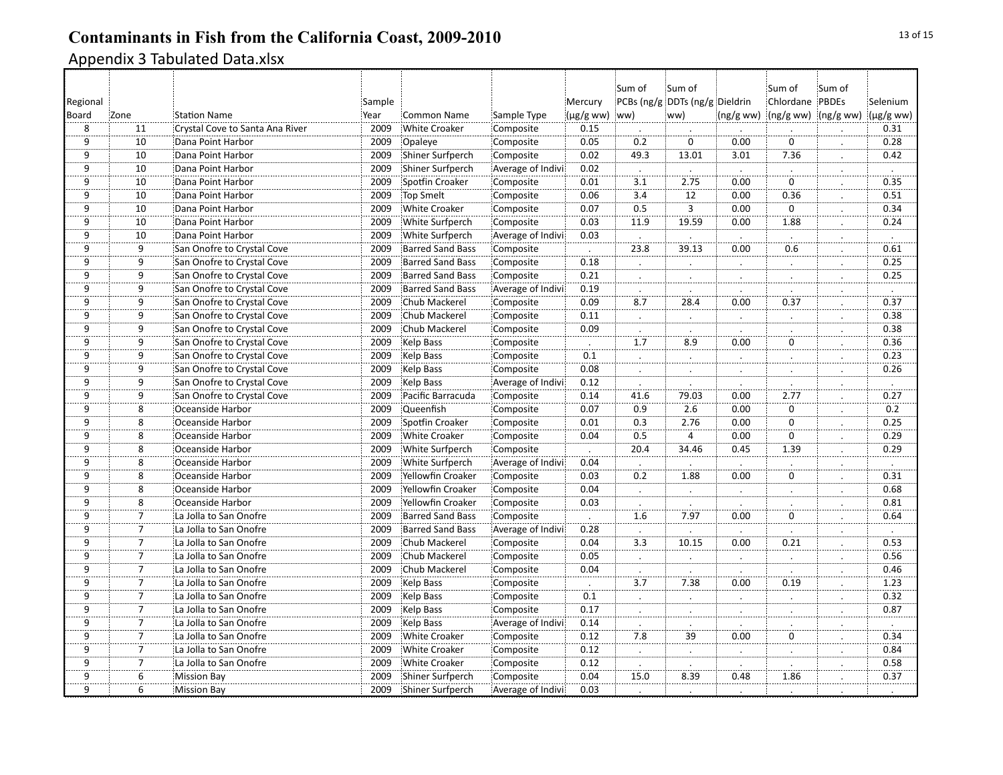| Regional<br>Board | Zone                 | <b>Station Name</b>             | Sample<br>Year | <b>Common Name</b>      | Sample Type       | Mercury<br>$(\mu g/g$ ww) | Sum of<br>ww)    | Sum of<br>PCBs (ng/g DDTs (ng/g Dieldrin<br>ww) | (ng/gww)       | :Sum of<br>Chlordane PBDEs<br>(ng/g ww) (ng/g ww) | Sum of               | Selenium<br>(µg/g ww) |
|-------------------|----------------------|---------------------------------|----------------|-------------------------|-------------------|---------------------------|------------------|-------------------------------------------------|----------------|---------------------------------------------------|----------------------|-----------------------|
| 8                 | 11                   | Crystal Cove to Santa Ana River | 2009           | <b>White Croaker</b>    | Composite         | 0.15                      |                  |                                                 |                |                                                   |                      | 0.31                  |
| 9                 | 10                   | Dana Point Harbor               | 2009           | Opaleye                 | Composite         | 0.05                      | 0.2              | $\mathbf 0$                                     | 0.00           | $\mathbf 0$                                       | $\cdot$              | 0.28                  |
| 9                 | 10                   | Dana Point Harbor               | 2009           | Shiner Surfperch        | Composite         | 0.02                      | 49.3             | 13.01                                           | 3.01           | 7.36                                              |                      | 0.42                  |
| $\overline{9}$    | 10                   | Dana Point Harbor               | 2009           | Shiner Surfperch        | Average of Indivi | 0.02                      | $\blacksquare$   |                                                 | $\blacksquare$ |                                                   |                      | $\ddot{\phantom{a}}$  |
| 9                 | 10                   | Dana Point Harbor               | 2009           | Spotfin Croaker         | Composite         | 0.01                      | 3.1              | 2.75                                            | 0.00           | $\mathbf 0$                                       |                      | 0.35                  |
| ڗۊ                | 10                   | Dana Point Harbor               | 2009           | <b>Top Smelt</b>        | Composite         | 0.06                      | 3.4              | 12                                              | 0.00           | 0.36                                              |                      | 0.51                  |
| $\overline{9}$    | $\overline{10}$      | Dana Point Harbor               | 2009           | <b>White Croaker</b>    | Composite         | 0.07                      | 0.5              | $\overline{3}$                                  | 0.00           | $\mathbf 0$                                       | $\cdot$              | 0.34                  |
| $\overline{9}$    | 10                   | Dana Point Harbor               | 2009           | White Surfperch         | Composite         | 0.03                      | 11.9             | 19.59                                           | 0.00           | 1.88                                              |                      | 0.24                  |
| <br>9             | 10                   | Dana Point Harbor               | 2009           | White Surfperch         | Average of Indivi | 0.03                      |                  |                                                 |                |                                                   |                      |                       |
| 9                 | 9                    | San Onofre to Crystal Cove      | 2009           | <b>Barred Sand Bass</b> | Composite         |                           | 23.8             | 39.13                                           | 0.00           | 0.6                                               |                      | 0.61                  |
| ِّقَ              | $\overline{9}$       | San Onofre to Crystal Cove      | 2009           | <b>Barred Sand Bass</b> | Composite         | 0.18                      |                  |                                                 |                |                                                   |                      | 0.25                  |
| 9                 | 9                    | San Onofre to Crystal Cove      | 2009           | <b>Barred Sand Bass</b> | Composite         | 0.21                      | $\vdots$         | $\ddotsc$                                       | $\vdots$       |                                                   | $\mathbf{L}$         | 0.25                  |
| <br>9             | $\dddot{\mathsf{g}}$ | San Onofre to Crystal Cove      | 2009           | <b>Barred Sand Bass</b> | Average of Indivi | 0.19                      |                  |                                                 |                |                                                   |                      |                       |
| $\overline{9}$    | 9                    | San Onofre to Crystal Cove      | 2009           | Chub Mackerel           | Composite         | 0.09                      | $\overline{8.7}$ | 28.4                                            | 0.00           | 0.37                                              |                      | 0.37                  |
| 9                 | 9                    | San Onofre to Crystal Cove      | 2009           | Chub Mackerel           | Composite         | 0.11                      |                  |                                                 | Ż.             |                                                   |                      | 0.38                  |
| <br>9             | $\overline{9}$       | San Onofre to Crystal Cove      | 2009           | Chub Mackerel           | Composite         | 0.09                      |                  |                                                 |                |                                                   |                      | 0.38                  |
| 9                 | 9                    | San Onofre to Crystal Cove      | 2009           | Kelp Bass               | Composite         | $\cdot$                   | $\overline{1.7}$ | 8.9                                             | 0.00           | 0                                                 | $\cdot$              | 0.36                  |
| 9                 | 9                    | San Onofre to Crystal Cove      | 2009           | Kelp Bass               | Composite         | 0.1                       | $\cdot$          | $\blacksquare$                                  | $\cdot$        |                                                   | $\ddot{\phantom{0}}$ | 0.23                  |
| 9                 | $\overline{9}$       | San Onofre to Crystal Cove      | 2009           | <b>Kelp Bass</b>        | Composite         | 0.08                      | $\therefore$     |                                                 | $\therefore$   |                                                   |                      | 0.26                  |
| 9                 | 9                    | San Onofre to Crystal Cove      | 2009           | Kelp Bass               | Average of Indivi | 0.12                      |                  |                                                 |                |                                                   |                      |                       |
| 9                 | 9                    | San Onofre to Crystal Cove      | 2009           | Pacific Barracuda       | Composite         | 0.14                      | 41.6             | 79.03                                           | 0.00           | 2.77                                              |                      | 0.27                  |
| 9                 | 8                    | Oceanside Harbor                | 2009           | Queenfish               | Composite         | 0.07                      | 0.9              | 2.6                                             | 0.00           | $\mathbf 0$                                       | $\cdot$              | 0.2                   |
| $\overline{9}$    | 8                    | Oceanside Harbor                | 2009           | Spotfin Croaker         | Composite         | 0.01                      | 0.3              | 2.76                                            | 0.00           | $\mathbf 0$                                       |                      | 0.25                  |
| $\overline{9}$    | 8                    | Oceanside Harbor                | 2009           | <b>White Croaker</b>    | Composite         | 0.04                      | 0.5              | $\overline{4}$                                  | 0.00           | $\mathbf 0$                                       |                      | 0.29                  |
| 9                 | 8                    | Oceanside Harbor                | 2009           | White Surfperch         | Composite         |                           | 20.4             | 34.46                                           | 0.45           | 1.39                                              |                      | 0.29                  |
| $\overline{9}$    | 8                    | Oceanside Harbor                | 2009           | White Surfperch         | Average of Indivi | 0.04                      |                  |                                                 |                |                                                   |                      |                       |
| 9                 | 8                    | Oceanside Harbor                | 2009           | Yellowfin Croaker       | Composite         | 0.03                      | $\overline{0.2}$ | 1.88                                            | 0.00           | $\mathbf 0$                                       | $\cdot$              | 0.31                  |
| 9                 | 8                    | Oceanside Harbor                | 2009           | Yellowfin Croaker       | Composite         | 0.04                      | $\cdot$          |                                                 |                |                                                   |                      | 0.68                  |
| 9                 | 8                    | Oceanside Harbor                | 2009           | Yellowfin Croaker       | Composite         | 0.03                      | $\cdot$          |                                                 |                |                                                   |                      | 0.81                  |
| 9                 | $\overline{7}$       | La Jolla to San Onofre          | 2009           | <b>Barred Sand Bass</b> | Composite         |                           | 1.6              | 7.97                                            | 0.00           | $\Omega$                                          |                      | 0.64                  |
| <br>9             | $\overline{7}$       | La Jolla to San Onofre          | 2009           | <b>Barred Sand Bass</b> | Average of Indivi | 0.28                      |                  |                                                 |                |                                                   |                      |                       |
| $\overline{9}$    | 7                    | La Jolla to San Onofre          | 2009           | Chub Mackerel           | Composite         | 0.04                      | $\overline{3.3}$ | 10.15                                           | 0.00           | 0.21                                              | ż.                   | 0.53                  |
| $\overline{9}$    | $\frac{1}{7}$        | La Jolla to San Onofre          | 2009           | Chub Mackerel           | Composite         | 0.05                      |                  |                                                 |                |                                                   |                      | 0.56                  |
| 9                 | $\overline{7}$       | La Jolla to San Onofre          | 2009           | Chub Mackerel           | Composite         | 0.04                      |                  |                                                 |                |                                                   |                      | 0.46                  |
| 9                 | $\overline{7}$       | La Jolla to San Onofre          | 2009           | Kelp Bass               | Composite         |                           | $\overline{3.7}$ | 7.38                                            | 0.00           | 0.19                                              |                      | 1.23                  |
| 9                 | 7                    | La Jolla to San Onofre          | 2009           | Kelp Bass               | Composite         | 0.1                       | $\cdot$          |                                                 |                |                                                   |                      | 0.32                  |
| 9                 | $\overline{7}$       | La Jolla to San Onofre          | 2009           | Kelp Bass               | Composite         | 0.17                      | $\ddot{\cdot}$   | $\vdots$                                        | ÷.             | $\cdot$                                           | $\cdot$              | 0.87                  |
| <br>9             | Ï                    | La Jolla to San Onofre          | 2009           | Kelp Bass               | Average of Indivi | 0.14                      |                  |                                                 |                |                                                   |                      | $\cdot$               |
| 9                 | $\overline{7}$       | La Jolla to San Onofre          | 2009           | <b>White Croaker</b>    | Composite         | 0.12                      | 7.8              | $\overline{39}$                                 | 0.00           | $\mathbf 0$                                       |                      | 0.34                  |
| $\overline{9}$    | $\overline{7}$       | La Jolla to San Onofre          | 2009           | <b>White Croaker</b>    | Composite         | 0.12                      |                  |                                                 | ż.             |                                                   |                      | 0.84                  |
| 9                 | 7                    | La Jolla to San Onofre          | 2009           | <b>White Croaker</b>    | Composite         | 0.12                      |                  |                                                 |                |                                                   |                      | 0.58                  |
| $\overline{9}$    | $\overline{6}$       | <b>Mission Bay</b>              | 2009           | Shiner Surfperch        | Composite         | 0.04                      | 15.0             | 8.39                                            | 0.48           | 1.86                                              | $\cdot$              | 0.37                  |
| $\dddot{9}$       | $\dddot{6}$          | <b>Mission Bay</b>              | 2009           | Shiner Surfperch        | Average of Indivi | 0.03                      |                  |                                                 |                |                                                   |                      |                       |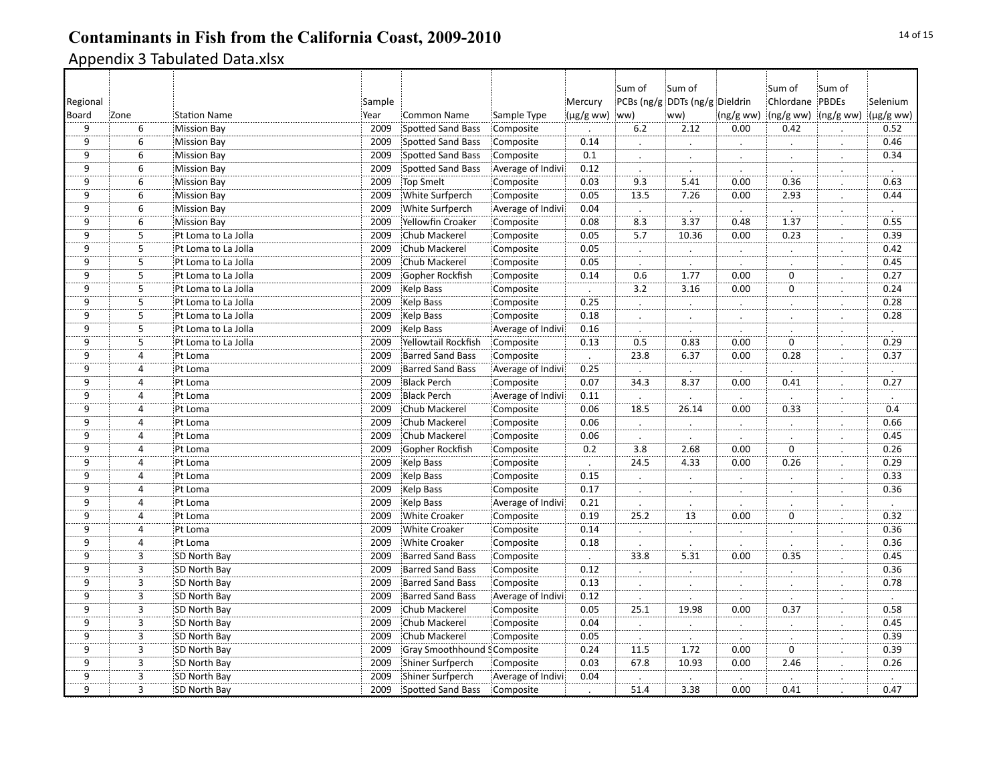|                |                |                     |        |                                    |                   |           | Sum of               | Sum of                         |                      | :Sum of           | Sum of               |                |
|----------------|----------------|---------------------|--------|------------------------------------|-------------------|-----------|----------------------|--------------------------------|----------------------|-------------------|----------------------|----------------|
| Regional       |                |                     | Sample |                                    |                   | Mercury   |                      | PCBs (ng/g DDTs (ng/g Dieldrin |                      | Chlordane PBDEs   |                      | Selenium       |
| Board          | Zone           | <b>Station Name</b> | Year   | <b>Common Name</b>                 | Sample Type       | (µg/g ww) | ww)                  | ww)                            | (ng/g ww)            |                   | (ng/g ww) (ng/g ww)  | (µg/g ww)      |
| 9              | 6              | <b>Mission Bay</b>  | 2009   | <b>Spotted Sand Bass</b>           | Composite         |           | 6.2                  | 2.12                           | 0.00                 | 0.42              |                      | 0.52           |
| 9              | 6              | <b>Mission Bay</b>  | 2009   | Spotted Sand Bass                  | Composite         | 0.14      | $\cdot$              | $\cdot$                        | $\cdot$              | $\blacksquare$    | $\bullet$            | 0.46           |
| 9              | 6              | <b>Mission Bay</b>  | 2009   | Spotted Sand Bass                  | Composite         | 0.1       |                      |                                |                      |                   |                      | 0.34           |
| 9              | 6              | <b>Mission Bay</b>  | 2009   | <b>Spotted Sand Bass</b>           | Average of Indivi | 0.12      | $\cdot$              | $\cdot$                        | $\ddot{\phantom{a}}$ |                   | $\ddot{\phantom{0}}$ | $\blacksquare$ |
| 9              | 6              | <b>Mission Bay</b>  | 2009   | <b>Top Smelt</b>                   | Composite         | 0.03      | 9.3                  | 5.41                           | 0.00                 | 0.36              | .                    | 0.63           |
| <br>9          | $\overline{6}$ | <b>Mission Bay</b>  | 2009   | White Surfperch                    | Composite         | 0.05      | 13.5                 | 7.26                           | 0.00                 | 2.93              | $\cdot$              | 0.44           |
| 9              | $\overline{6}$ | <b>Mission Bay</b>  | 2009   | White Surfperch                    | Average of Indivi | 0.04      | $\frac{1}{8.3}$      | $\cdot$                        | $\bullet$            | $\blacksquare$    | $\cdot$              | $\cdot$        |
| $\overline{9}$ | 6              | <b>Mission Bay</b>  | 2009   | Yellowfin Croaker                  | Composite         | 0.08      |                      | $\overline{3.37}$              | 0.48                 | $\overline{1.37}$ |                      | 0.55           |
| 9              | 5              | Pt Loma to La Jolla | 2009   | Chub Mackerel                      | Composite         | 0.05      | $\overline{5.7}$     | 10.36                          | 0.00                 | 0.23              | $\cdot$              | 0.39           |
| 9              | 5              | Pt Loma to La Jolla | 2009   | Chub Mackerel                      | Composite         | 0.05      |                      | ż.                             | ż.                   |                   | ż.                   | 0.42           |
| 9              | $\overline{5}$ | Pt Loma to La Jolla | 2009   | Chub Mackerel                      | Composite         | 0.05      |                      |                                |                      |                   |                      | 0.45           |
| 9              | 5              | Pt Loma to La Jolla | 2009   | Gopher Rockfish                    | Composite         | 0.14      | 0.6                  | 1.77                           | 0.00                 | $\mathbf 0$       | $\cdot$              | 0.27           |
| <br>9          | $\frac{1}{5}$  | Pt Loma to La Jolla | 2009   | Kelp Bass                          | Composite         | $\cdot$   | $\overline{3.2}$     | 3.16                           | 0.00                 | ö                 | $\cdot$              | 0.24           |
| 9              | 5              | Pt Loma to La Jolla | 2009   | Kelp Bass                          | Composite         | 0.25      | $\mathbf{L}$         |                                |                      |                   |                      | 0.28           |
| $\overline{9}$ | 5              | Pt Loma to La Jolla | 2009   | Kelp Bass                          | Composite         | 0.18      |                      |                                |                      |                   | .:                   | 0.28           |
| <br>9          | $\dddot{5}$    | Pt Loma to La Jolla | 2009   | <b>Kelp Bass</b>                   | Average of Indivi | 0.16      |                      |                                |                      |                   |                      |                |
| 9              | $\overline{5}$ | Pt Loma to La Jolla | 2009   | Yellowtail Rockfish                | Composite         | 0.13      | 0.5                  | 0.83                           | 0.00                 | $\mathbf 0$       | ż.                   | 0.29           |
| $\overline{9}$ | $\overline{4}$ | Pt Loma             | 2009   | <b>Barred Sand Bass</b>            | Composite         | $\cdot$   | 23.8                 | 6.37                           | 0.00                 | 0.28              | $\cdot$              | 0.37           |
| 9              | 4              | Pt Loma             | 2009   | <b>Barred Sand Bass</b>            | Average of Indivi | 0.25      |                      |                                |                      |                   |                      |                |
| 9              | 4              | Pt Loma             | 2009   | <b>Black Perch</b>                 | Composite         | 0.07      | 34.3                 | 8.37                           | 0.00                 | 0.41              |                      | 0.27           |
| 9              | 4              | Pt Loma             | 2009   | <b>Black Perch</b>                 | Average of Indivi | 0.11      |                      |                                |                      |                   |                      |                |
| $\overline{9}$ | $\overline{4}$ | Pt Loma             | 2009   | Chub Mackerel                      | Composite         | 0.06      | 18.5                 | 26.14                          | 0.00                 | 0.33              | $\bullet$            | 0.4            |
| 9              | $\overline{4}$ | Pt Loma             | 2009   | Chub Mackerel                      | Composite         | 0.06      | $\cdot$              |                                |                      |                   |                      | 0.66           |
| 9              | 4              | Pt Loma             | 2009   | Chub Mackerel                      | Composite         | 0.06      | $\ddot{\phantom{a}}$ |                                |                      |                   |                      | 0.45           |
| 9              | $\overline{4}$ | Pt Loma             | 2009   | Gopher Rockfish                    | Composite         | 0.2       | 3.8                  | 2.68                           | 0.00                 | $\mathbf 0$       | $\cdot$              | 0.26           |
| $\overline{9}$ | 4              | Pt Loma             | 2009   | Kelp Bass                          | Composite         |           | 24.5                 | 4.33                           | 0.00                 | 0.26              |                      | 0.29           |
| $\overline{9}$ | $\overline{4}$ | Pt Loma             | 2009   | Kelp Bass                          | Composite         | 0.15      | $\epsilon$           | $\cdot$                        | $\cdot$              | $\cdot$           | $\cdot$              | 0.33           |
| 9              | 4              | Pt Loma             | 2009   | <b>Kelp Bass</b>                   | Composite         | 0.17      | .                    |                                |                      |                   |                      | 0.36           |
| 9              | 4              | Pt Loma             | 2009   | Kelp Bass                          | Average of Indivi | 0.21      | $\cdot$              |                                |                      |                   |                      | $\cdot$        |
| 9              | 4              | Pt Loma             | 2009   | <b>White Croaker</b>               | Composite         | 0.19      | 25.2                 | 13                             | 0.00                 | $\mathbf 0$       |                      | 0.32           |
| <br>9          | 4              | Pt Loma             | 2009   | <b>White Croaker</b>               | Composite         | 0.14      | $\cdot$              |                                | $\bullet$            |                   | $\cdot$              | 0.36           |
| 9              | $\pmb{4}$      | Pt Loma             | 2009   | <b>White Croaker</b>               | Composite         | 0.18<br>. | $\cdot$              |                                | $\bullet$            | $\cdot$           | $\cdot$              | 0.36           |
| $\overline{9}$ | $\overline{3}$ | SD North Bay        | 2009   | <b>Barred Sand Bass</b>            | Composite         | $\cdot$   | 33.8                 | $\overline{5.31}$              | $\frac{1}{0.00}$     | 0.35              |                      | 0.45           |
| 9              | 3              | SD North Bay        | 2009   | <b>Barred Sand Bass</b>            | Composite         | 0.12      | $\cdot$              |                                | $\blacksquare$       |                   |                      | 0.36           |
| 9              | 3              | SD North Bay        | 2009   | <b>Barred Sand Bass</b>            | Composite         | 0.13      |                      |                                |                      |                   |                      | 0.78           |
| 9              | $\overline{3}$ | SD North Bay        | 2009   | <b>Barred Sand Bass</b>            | Average of Indivi | 0.12      |                      |                                |                      |                   |                      |                |
| 9              | 3              | SD North Bay        | 2009   | Chub Mackerel                      | Composite         | 0.05      | 25.1                 | 19.98                          | 0.00                 | 0.37              | $\ddot{\cdot}$       | 0.58           |
| <br>9          | $\dddot{3}$    | SD North Bay        | 2009   | Chub Mackerel                      | Composite         | 0.04      | $\blacksquare$       |                                | $\cdot$              | $\cdot$           | $\cdot$              | 0.45           |
| 9              | 3              | SD North Bay        | 2009   | Chub Mackerel                      | Composite         | 0.05      |                      |                                |                      |                   |                      | 0.39           |
| $\overline{9}$ | 3              | SD North Bay        | 2009   | <b>Gray Smoothhound SComposite</b> |                   | 0.24      | 11.5                 | 1.72                           | 0.00                 | $\mathbf 0$       |                      | 0.39           |
| 9              | $\overline{3}$ | SD North Bay        | 2009   | Shiner Surfperch                   | Composite         | 0.03      | 67.8                 | 10.93                          | 0.00                 | 2.46              |                      | 0.26           |
| $\overline{9}$ | $\overline{3}$ | SD North Bay        | 2009   | Shiner Surfperch                   | Average of Indivi | 0.04      | $\ddot{\phantom{a}}$ |                                | $\ddot{\phantom{a}}$ |                   |                      | $\cdot$        |
| $\frac{1}{9}$  | $\frac{1}{3}$  | SD North Bay        | 2009   | <b>Spotted Sand Bass</b>           | Composite         |           | 51.4                 | 3.38                           | 0.00                 | 0.41              |                      | 0.47           |